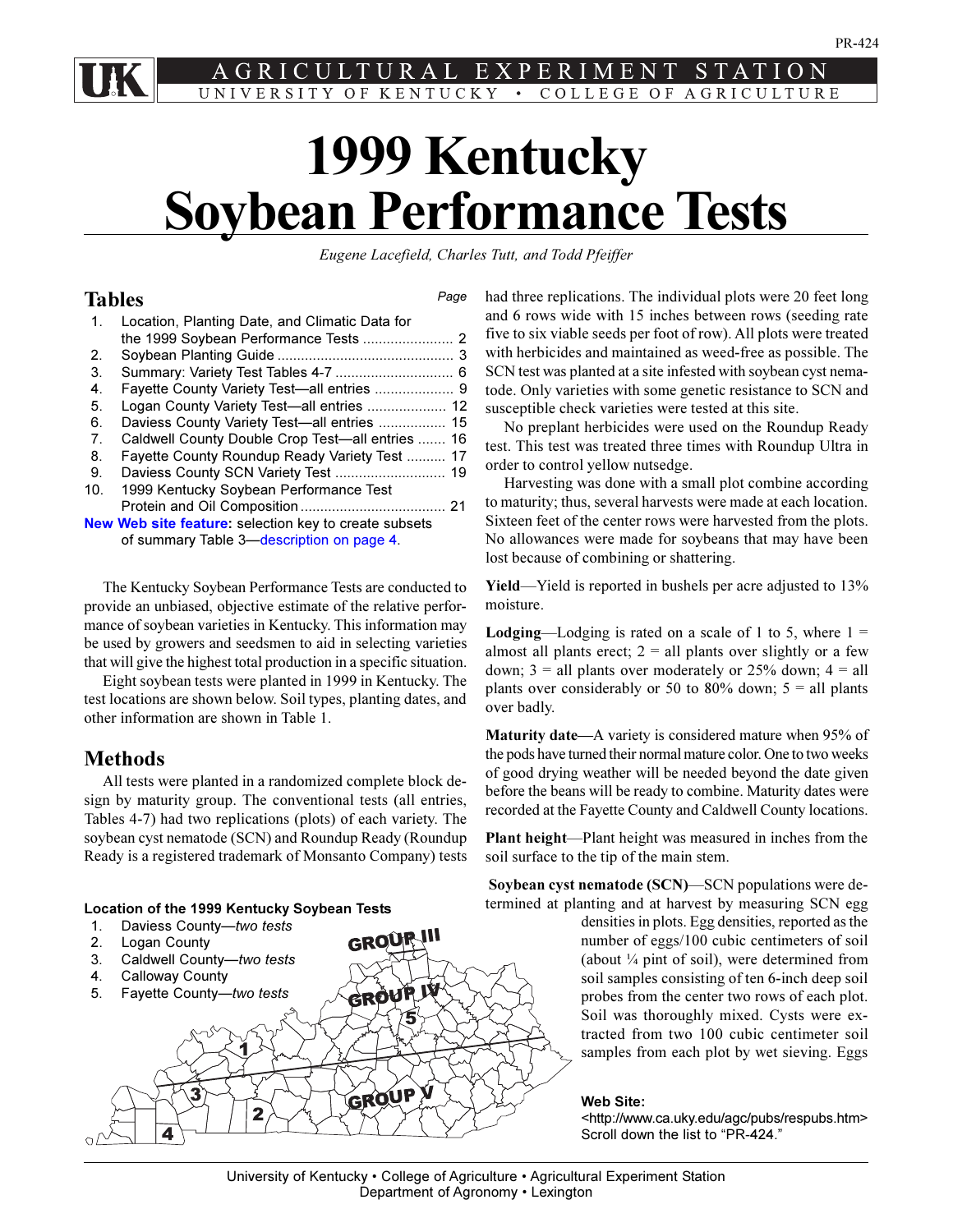<span id="page-0-0"></span>LT R A L P. E E N R M UNIVERSITY OF KENTUCKY . COLLEGE OF AGRICULTURE

# **1999 Kentucky Soybean Performance Tests**

*Eugene Lacefield, Charles Tutt, and Todd Pfeiffer*

*Page*

# **Tables**

| 1.             | Location, Planting Date, and Climatic Data for        |  |
|----------------|-------------------------------------------------------|--|
|                |                                                       |  |
| 2.             |                                                       |  |
| 3.             |                                                       |  |
| 4.             |                                                       |  |
| 5.             | Logan County Variety Test-all entries  12             |  |
| 6.             | Daviess County Variety Test-all entries  15           |  |
| 7 <sub>1</sub> | Caldwell County Double Crop Test—all entries  16      |  |
| 8.             | Fayette County Roundup Ready Variety Test  17         |  |
| 9.             |                                                       |  |
| 10.            | 1999 Kentucky Soybean Performance Test                |  |
|                |                                                       |  |
|                | New Web site feature: selection key to create subsets |  |
|                | of summary Table 3-description on page 4.             |  |

The Kentucky Soybean Performance Tests are conducted to provide an unbiased, objective estimate of the relative performance of soybean varieties in Kentucky. This information may be used by growers and seedsmen to aid in selecting varieties that will give the highest total production in a specific situation.

Eight soybean tests were planted in 1999 in Kentucky. The test locations are shown below. Soil types, planting dates, and other information are shown in Table 1.

# **Methods**

All tests were planted in a randomized complete block design by maturity group. The conventional tests (all entries, Tables 4-7) had two replications (plots) of each variety. The soybean cyst nematode (SCN) and Roundup Ready (Roundup Ready is a registered trademark of Monsanto Company) tests

# **Location of the 1999 Kentucky Soybean Tests**

1. Daviess County-two tests

over badly. **Maturity date—A** variety is considered mature when 95% of the pods have turned their normal mature color. One to two weeks of good drying weather will be needed beyond the date given before the beans will be ready to combine. Maturity dates were recorded at the Fayette County and Caldwell County locations.

**Plant height**—Plant height was measured in inches from the soil surface to the tip of the main stem.

**Soybean cyst nematode (SCN)—SCN populations were de**termined at planting and at harvest by measuring SCN egg

densities in plots. Egg densities, reported as the number of eggs/100 cubic centimeters of soil (about  $\frac{1}{4}$  pint of soil), were determined from soil samples consisting of ten 6-inch deep soil probes from the center two rows of each plot. Soil was thoroughly mixed. Cysts were extracted from two 100 cubic centimeter soil samples from each plot by wet sieving. Eggs

## **Web Site:**

<http://www.ca.uky.edu/agc/pubs/respubs.htm> Scroll down the list to "PR-424."



University of Kentucky • College of Agriculture • Agricultural Experiment Station Department of Agronomy • Lexington

had three replications. The individual plots were 20 feet long and 6 rows wide with 15 inches between rows (seeding rate five to six viable seeds per foot of row). All plots were treated with herbicides and maintained as weed-free as possible. The SCN test was planted at a site infested with soybean cyst nematode. Only varieties with some genetic resistance to SCN and susceptible check varieties were tested at this site.

No preplant herbicides were used on the Roundup Ready test. This test was treated three times with Roundup Ultra in order to control yellow nutsedge.

Harvesting was done with a small plot combine according to maturity; thus, several harvests were made at each location. Sixteen feet of the center rows were harvested from the plots. No allowances were made for soybeans that may have been lost because of combining or shattering.

**Yield**—Yield is reported in bushels per acre adjusted to 13% moisture.

**Lodging**—Lodging is rated on a scale of 1 to 5, where  $1 =$ almost all plants erect;  $2 =$  all plants over slightly or a few down;  $3 =$  all plants over moderately or 25% down;  $4 =$  all plants over considerably or 50 to 80% down;  $5 =$  all plants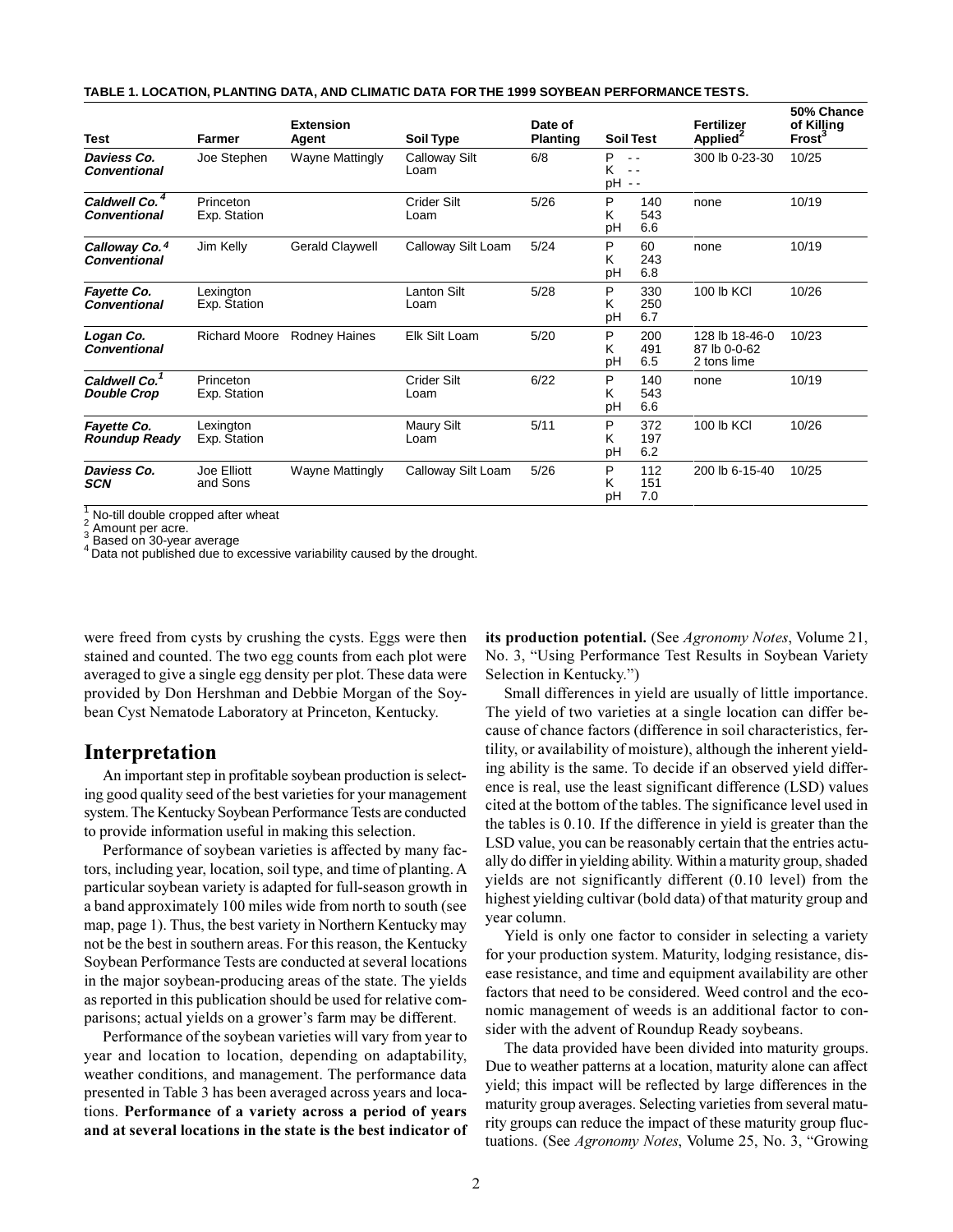|  | TABLE 1. LOCATION. PLANTING DATA. AND CLIMATIC DATA FOR THE 1999 SOYBEAN PERFORMANCE TESTS. |
|--|---------------------------------------------------------------------------------------------|
|  |                                                                                             |

| <b>Test</b>                                     | Farmer                    | <b>Extension</b><br>Agent | Soil Type                    | Date of<br><b>Planting</b> |              | <b>Soil Test</b>  | Fertilizer<br>Applied <sup>2</sup>            | 50% Chance<br>of Killing<br>Frost <sup>3</sup> |
|-------------------------------------------------|---------------------------|---------------------------|------------------------------|----------------------------|--------------|-------------------|-----------------------------------------------|------------------------------------------------|
| Daviess Co.<br><b>Conventional</b>              | Joe Stephen               | <b>Wayne Mattingly</b>    | <b>Calloway Silt</b><br>Loam | 6/8                        | P<br>Κ<br>рH | $ -$              | 300 lb 0-23-30                                | 10/25                                          |
| Caldwell Co.<br><b>Conventional</b>             | Princeton<br>Exp. Station |                           | Crider Silt<br>Loam          | 5/26                       | P<br>κ<br>pH | 140<br>543<br>6.6 | none                                          | 10/19                                          |
| Calloway Co. 4<br><b>Conventional</b>           | Jim Kelly                 | <b>Gerald Claywell</b>    | Calloway Silt Loam           | 5/24                       | P<br>Κ<br>pH | 60<br>243<br>6.8  | none                                          | 10/19                                          |
| Fayette Co.<br><b>Conventional</b>              | Lexington<br>Exp. Station |                           | <b>Lanton Silt</b><br>Loam   | 5/28                       | P<br>κ<br>pH | 330<br>250<br>6.7 | 100 lb KCI                                    | 10/26                                          |
| Logan Co.<br><b>Conventional</b>                | Richard Moore             | <b>Rodney Haines</b>      | Elk Silt Loam                | 5/20                       | P<br>Κ<br>рH | 200<br>491<br>6.5 | 128 lb 18-46-0<br>87 lb 0-0-62<br>2 tons lime | 10/23                                          |
| Caldwell Co. <sup>1</sup><br><b>Double Crop</b> | Princeton<br>Exp. Station |                           | <b>Crider Silt</b><br>Loam   | 6/22                       | P<br>Κ<br>pH | 140<br>543<br>6.6 | none                                          | 10/19                                          |
| Fayette Co.<br>Roundup Ready                    | Lexington<br>Exp. Station |                           | Maury Silt<br>Loam           | 5/11                       | P<br>κ<br>pH | 372<br>197<br>6.2 | 100 lb KCI                                    | 10/26                                          |
| Daviess Co.<br>SCN                              | Joe Elliott<br>and Sons   | <b>Wayne Mattingly</b>    | Calloway Silt Loam           | 5/26                       | P<br>Κ<br>pH | 112<br>151<br>7.0 | 200 lb 6-15-40                                | 10/25                                          |

1  $\frac{1}{2}$  No-till double cropped after wheat

 $\frac{2}{3}$  Amount per acre.<br> $\frac{3}{2}$  Based on 30-year average

A Based on 30 year are rage.

were freed from cysts by crushing the cysts. Eggs were then stained and counted. The two egg counts from each plot were averaged to give a single egg density per plot. These data were provided by Don Hershman and Debbie Morgan of the Soybean Cyst Nematode Laboratory at Princeton, Kentucky.

# **Interpretation**

An important step in profitable soybean production is selecting good quality seed of the best varieties for your management system. The Kentucky Soybean Performance Tests are conducted to provide information useful in making this selection.

Performance of soybean varieties is affected by many factors, including year, location, soil type, and time of planting. A particular soybean variety is adapted for full-season growth in a band approximately 100 miles wide from north to south (see map, page 1). Thus, the best variety in Northern Kentucky may not be the best in southern areas. For this reason, the Kentucky Soybean Performance Tests are conducted at several locations in the major soybean-producing areas of the state. The yields as reported in this publication should be used for relative comparisons; actual yields on a grower's farm may be different.

Performance of the soybean varieties will vary from year to year and location to location, depending on adaptability, weather conditions, and management. The performance data presented in Table 3 has been averaged across years and locations. **Performance of a variety across a period of years and at several locations in the state is the best indicator of** **its production potential.** (See *Agronomy Notes*, Volume 21, No. 3, "Using Performance Test Results in Soybean Variety Selection in Kentucky.")

Small differences in yield are usually of little importance. The yield of two varieties at a single location can differ because of chance factors (difference in soil characteristics, fertility, or availability of moisture), although the inherent yielding ability is the same. To decide if an observed yield difference is real, use the least significant difference (LSD) values cited at the bottom of the tables. The significance level used in the tables is 0.10. If the difference in yield is greater than the LSD value, you can be reasonably certain that the entries actually do differ in yielding ability. Within a maturity group, shaded yields are not significantly different (0.10 level) from the highest yielding cultivar (bold data) of that maturity group and year column.

Yield is only one factor to consider in selecting a variety for your production system. Maturity, lodging resistance, disease resistance, and time and equipment availability are other factors that need to be considered. Weed control and the economic management of weeds is an additional factor to consider with the advent of Roundup Ready soybeans.

The data provided have been divided into maturity groups. Due to weather patterns at a location, maturity alone can affect yield; this impact will be reflected by large differences in the maturity group averages. Selecting varieties from several maturity groups can reduce the impact of these maturity group fluctuations. (See *Agronomy Notes*, Volume 25, No. 3, "Growing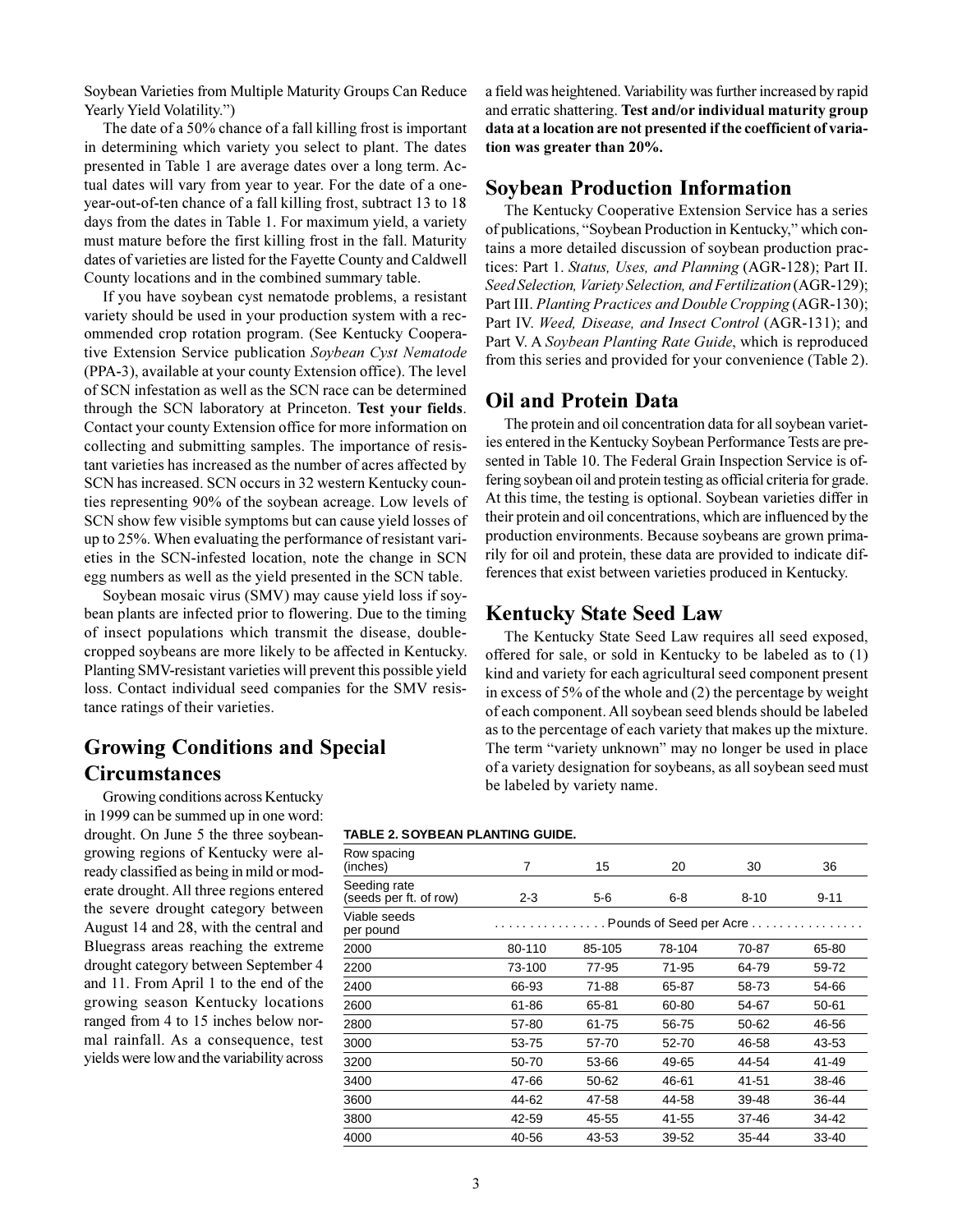Soybean Varieties from Multiple Maturity Groups Can Reduce Yearly Yield Volatility.")

The date of a 50% chance of a fall killing frost is important in determining which variety you select to plant. The dates presented in Table 1 are average dates over a long term. Actual dates will vary from year to year. For the date of a oneyear-out-of-ten chance of a fall killing frost, subtract 13 to 18 days from the dates in Table 1. For maximum yield, a variety must mature before the first killing frost in the fall. Maturity dates of varieties are listed for the Fayette County and Caldwell County locations and in the combined summary table.

If you have soybean cyst nematode problems, a resistant variety should be used in your production system with a recommended crop rotation program. (See Kentucky Cooperative Extension Service publication *Soybean Cyst Nematode* (PPA-3), available at your county Extension office). The level of SCN infestation as well as the SCN race can be determined through the SCN laboratory at Princeton. **Test your fields**. Contact your county Extension office for more information on collecting and submitting samples. The importance of resistant varieties has increased as the number of acres affected by SCN has increased. SCN occurs in 32 western Kentucky counties representing 90% of the soybean acreage. Low levels of SCN show few visible symptoms but can cause yield losses of up to 25%. When evaluating the performance of resistant varieties in the SCN-infested location, note the change in SCN egg numbers as well as the yield presented in the SCN table.

Soybean mosaic virus (SMV) may cause yield loss if soybean plants are infected prior to flowering. Due to the timing of insect populations which transmit the disease, doublecropped soybeans are more likely to be affected in Kentucky. Planting SMV-resistant varieties will prevent this possible yield loss. Contact individual seed companies for the SMV resistance ratings of their varieties.

# **Growing Conditions and Special Circumstances**

Growing conditions across Kentucky in 1999 can be summed up in one word: drought. On June 5 the three soybeangrowing regions of Kentucky were already classified as being in mild or moderate drought. All three regions entered the severe drought category between August 14 and 28, with the central and Bluegrass areas reaching the extreme drought category between September 4 and 11. From April 1 to the end of the growing season Kentucky locations ranged from 4 to 15 inches below normal rainfall. As a consequence, test yields were low and the variability across a field was heightened. Variability was further increased by rapid and erratic shattering. **Test and/or individual maturity group data at a location are not presented if the coefficient of variation was greater than 20%.**

# **Soybean Production Information**

The Kentucky Cooperative Extension Service has a series of publications, "Soybean Production in Kentucky," which contains a more detailed discussion of soybean production practices: Part 1. *Status, Uses, and Planning* (AGR-128); Part II. *Seed Selection, Variety Selection, and Fertilization* (AGR-129); Part III. *Planting Practices and Double Cropping* (AGR-130); Part IV. *Weed, Disease, and Insect Control* (AGR-131); and Part V. A *Soybean Planting Rate Guide*, which is reproduced from this series and provided for your convenience (Table 2).

# **Oil and Protein Data**

The protein and oil concentration data for all soybean varieties entered in the Kentucky Soybean Performance Tests are presented in Table 10. The Federal Grain Inspection Service is offering soybean oil and protein testing as official criteria for grade. At this time, the testing is optional. Soybean varieties differ in their protein and oil concentrations, which are influenced by the production environments. Because soybeans are grown primarily for oil and protein, these data are provided to indicate differences that exist between varieties produced in Kentucky.

# **Kentucky State Seed Law**

The Kentucky State Seed Law requires all seed exposed, offered for sale, or sold in Kentucky to be labeled as to (1) kind and variety for each agricultural seed component present in excess of 5% of the whole and (2) the percentage by weight of each component. All soybean seed blends should be labeled as to the percentage of each variety that makes up the mixture. The term "variety unknown" may no longer be used in place of a variety designation for soybeans, as all soybean seed must be labeled by variety name.

#### **TABLE 2. SOYBEAN PLANTING GUIDE.**

| 7       | 15                        | 20     | 30        | 36        |  |  |  |  |  |
|---------|---------------------------|--------|-----------|-----------|--|--|--|--|--|
| $2 - 3$ | $5-6$                     | 6-8    | $8 - 10$  | $9 - 11$  |  |  |  |  |  |
|         | . Pounds of Seed per Acre |        |           |           |  |  |  |  |  |
| 80-110  | 85-105                    | 78-104 | 70-87     | 65-80     |  |  |  |  |  |
| 73-100  | 77-95                     | 71-95  | 64-79     | 59-72     |  |  |  |  |  |
| 66-93   | 71-88                     | 65-87  | 58-73     | 54-66     |  |  |  |  |  |
| 61-86   | 65-81                     | 60-80  | 54-67     | 50-61     |  |  |  |  |  |
| 57-80   | 61-75                     | 56-75  | $50 - 62$ | 46-56     |  |  |  |  |  |
| 53-75   | 57-70                     | 52-70  | 46-58     | 43-53     |  |  |  |  |  |
| 50-70   | 53-66                     | 49-65  | 44-54     | 41-49     |  |  |  |  |  |
| 47-66   | 50-62                     | 46-61  | 41-51     | 38-46     |  |  |  |  |  |
| 44-62   | 47-58                     | 44-58  | 39-48     | 36-44     |  |  |  |  |  |
| 42-59   | 45-55                     | 41-55  | 37-46     | 34-42     |  |  |  |  |  |
| 40-56   | 43-53                     | 39-52  | 35-44     | $33 - 40$ |  |  |  |  |  |
|         |                           |        |           |           |  |  |  |  |  |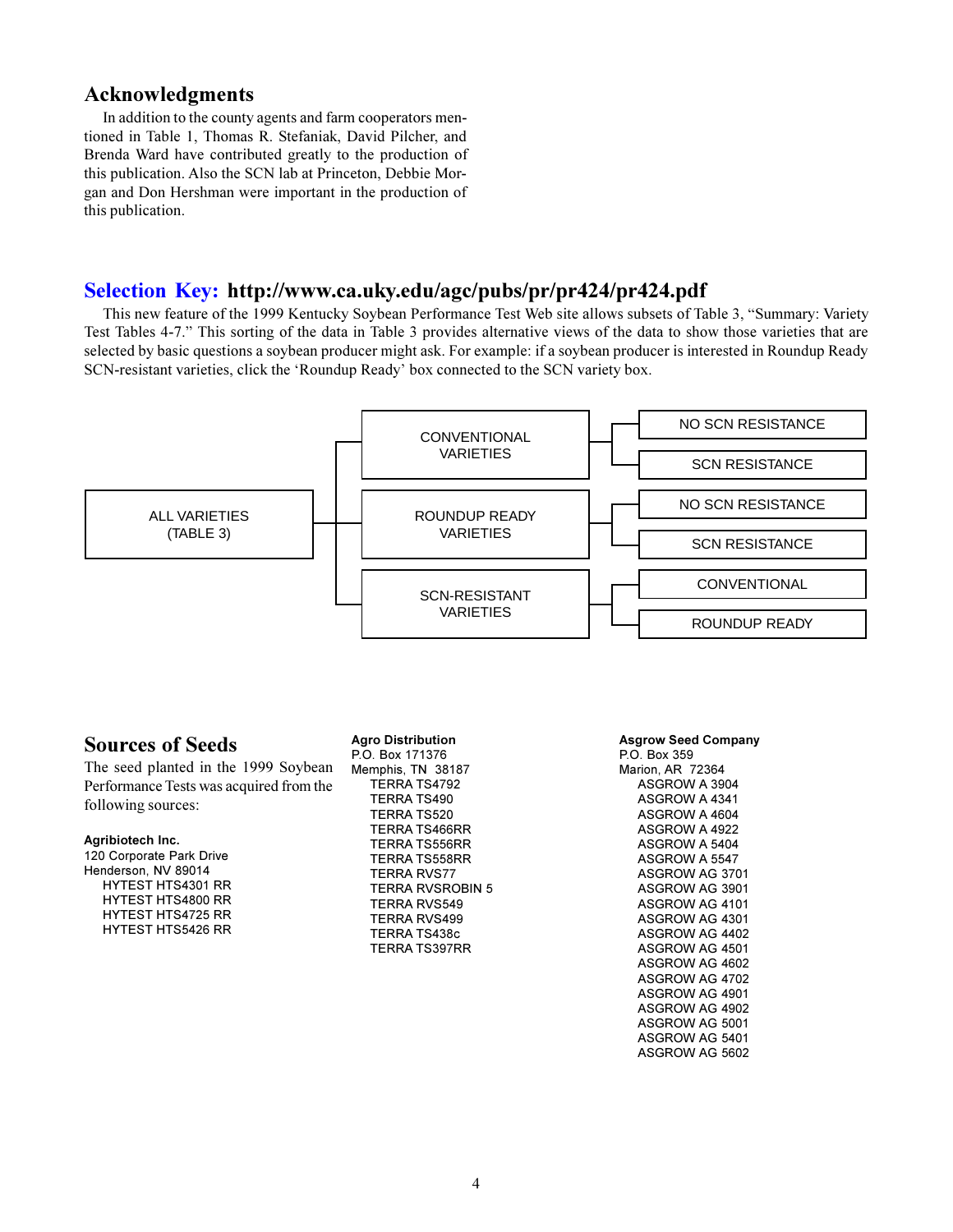# <span id="page-3-0"></span>**Acknowledgments**

In addition to the county agents and farm cooperators mentioned in Table 1, Thomas R. Stefaniak, David Pilcher, and Brenda Ward have contributed greatly to the production of this publication. Also the SCN lab at Princeton, Debbie Morgan and Don Hershman were important in the production of this publication.

# **[Selection Key: h](#page-22-0)ttp://www.ca.uky.edu/agc/pubs/pr/pr424/pr424.pdf**

This new feature of the 1999 Kentucky Soybean Performance Test Web site allows subsets of Table 3, "Summary: Variety Test Tables 4-7. This sorting of the data in Table 3 provides alternative views of the data to show those varieties that are selected by basic questions a soybean producer might ask. For example: if a soybean producer is interested in Roundup Ready SCN-resistant varieties, click the 'Roundup Ready' box connected to the SCN variety box.



# **Sources of Seeds**

The seed planted in the 1999 Soybean Performance Tests was acquired from the following sources:

#### **Agribiotech Inc.**

120 Corporate Park Drive Henderson, NV 89014 HYTEST HTS4301 RR HYTEST HTS4800 RR HYTEST HTS4725 RR HYTEST HTS5426 RR

**Agro Distribution** P.O. Box 171376 Memphis, TN 38187 TERRA TS4792 TERRA TS490 TERRA TS520 TERRA TS466RR TERRA TS556RR TERRA TS558RR TERRA RVS77 TERRA RVSROBIN 5 TERRA RVS549 TERRA RVS499 TERRA TS438c TERRA TS397RR

**Asgrow Seed Company**

P.O. Box 359 Marion, AR 72364 ASGROW A 3904 ASGROW A 4341 ASGROW A 4604 ASGROW A 4922 ASGROW A 5404 ASGROW A 5547 ASGROW AG 3701 ASGROW AG 3901 ASGROW AG 4101 ASGROW AG 4301 ASGROW AG 4402 ASGROW AG 4501 ASGROW AG 4602 ASGROW AG 4702 ASGROW AG 4901 ASGROW AG 4902 ASGROW AG 5001 ASGROW AG 5401 ASGROW AG 5602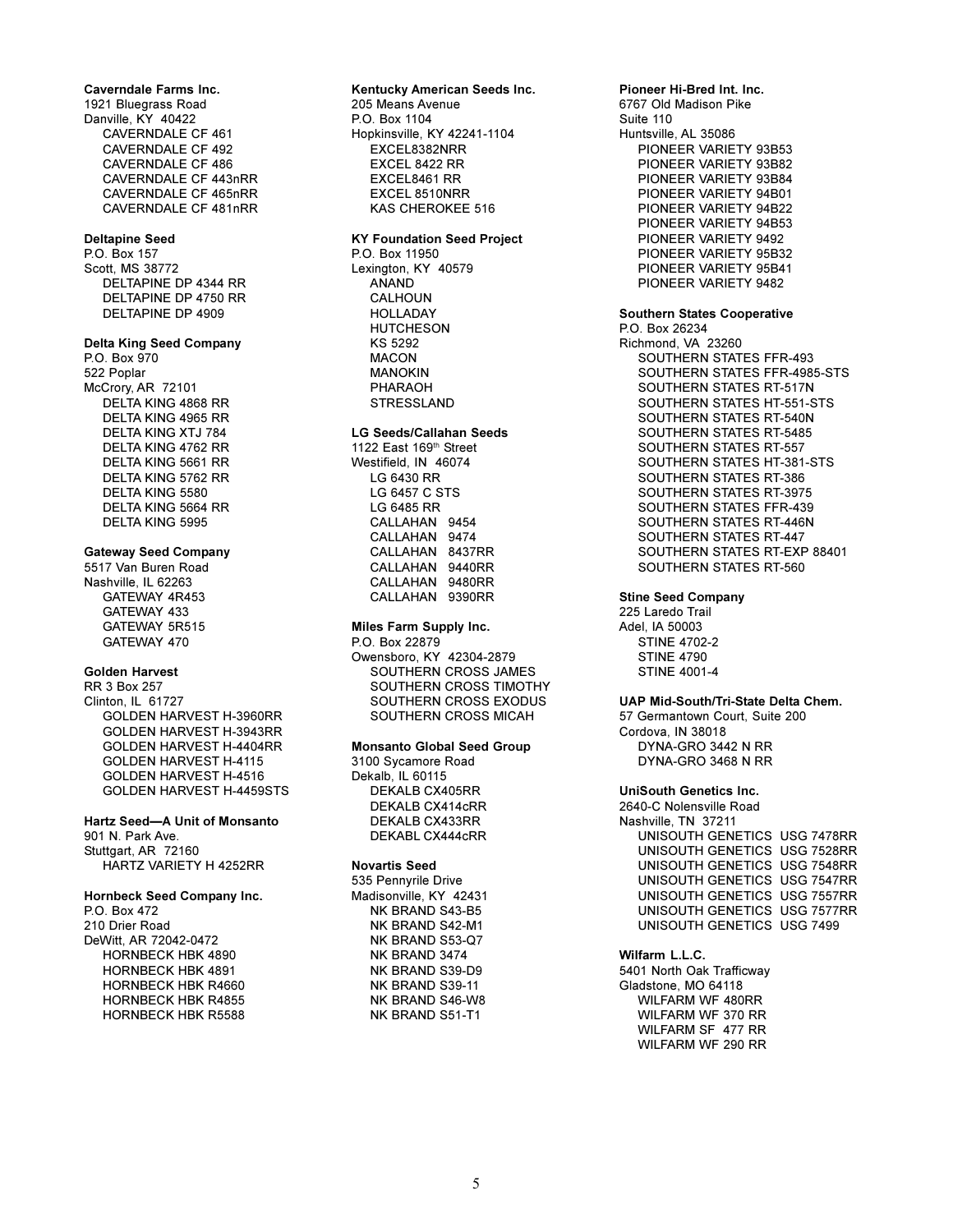**Caverndale Farms Inc.** 1921 Bluegrass Road Danville, KY 40422 CAVERNDALE CF 461 CAVERNDALE CF 492 CAVERNDALE CF 486 CAVERNDALE CF 443nRR CAVERNDALE CF 465nRR CAVERNDALE CF 481nRR

#### **Deltapine Seed**

P.O. Box 157 Scott, MS 38772 DELTAPINE DP 4344 RR DELTAPINE DP 4750 RR DELTAPINE DP 4909

#### **Delta King Seed Company**

P.O. Box 970 522 Poplar McCrory, AR 72101 DELTA KING 4868 RR DELTA KING 4965 RR DELTA KING XTJ 784 DELTA KING 4762 RR DELTA KING 5661 RR DELTA KING 5762 RR DELTA KING 5580 DELTA KING 5664 RR DELTA KING 5995

#### **Gateway Seed Company**

5517 Van Buren Road Nashville, IL 62263 GATEWAY 4R453 GATEWAY 433 GATEWAY 5R515 GATEWAY 470

#### **Golden Harvest**

RR 3 Box 257 Clinton, IL 61727 GOLDEN HARVEST H-3960RR GOLDEN HARVEST H-3943RR GOLDEN HARVEST H-4404RR GOLDEN HARVEST H-4115 GOLDEN HARVEST H-4516 GOLDEN HARVEST H-4459STS

# **Hartz Seed-A Unit of Monsanto** 901 N. Park Ave.

Stuttgart, AR 72160 HARTZ VARIETY H 4252RR

# **Hornbeck Seed Company Inc.**

P.O. Box 472

210 Drier Road DeWitt, AR 72042-0472 HORNBECK HBK 4890 HORNBECK HBK 4891 HORNBECK HBK R4660 HORNBECK HBK R4855 HORNBECK HBK R5588

# **Kentucky American Seeds Inc.**

205 Means Avenue P.O. Box 1104 Hopkinsville, KY 42241-1104 EXCEL8382NRR EXCEL 8422 RR EXCEL8461 RR EXCEL 8510NRR KAS CHEROKEE 516

#### **KY Foundation Seed Project**

P.O. Box 11950 Lexington, KY 40579 ANAND CALHOUN HOLLADAY HUTCHESON KS 5292 MACON MANOKIN PHARAOH STRESSLAND

#### **LG Seeds/Callahan Seeds**

1122 East 169th Street Westifield, IN 46074 LG 6430 RR LG 6457 C STS LG 6485 RR CALLAHAN 9454 CALLAHAN 9474 CALLAHAN 8437RR CALLAHAN 9440RR CALLAHAN 9480RR CALLAHAN 9390RR

#### **Miles Farm Supply Inc.**

P.O. Box 22879 Owensboro, KY 42304-2879 SOUTHERN CROSS JAMES SOUTHERN CROSS TIMOTHY SOUTHERN CROSS EXODUS SOUTHERN CROSS MICAH

#### **Monsanto Global Seed Group**

3100 Sycamore Road Dekalb, IL 60115 DEKALB CX405RR DEKALB CX414cRR DEKALB CX433RR DEKABL CX444cRR

#### **Novartis Seed**

535 Pennyrile Drive Madisonville, KY 42431 NK BRAND S43-B5 NK BRAND S42-M1 NK BRAND S53-Q7 NK BRAND 3474 NK BRAND S39-D9 NK BRAND S39-11 NK BRAND S46-W8 NK BRAND S51-T1

**Pioneer Hi-Bred Int. Inc.** 6767 Old Madison Pike Suite 110 Huntsville, AL 35086 PIONEER VARIETY 93B53 PIONEER VARIETY 93B82 PIONEER VARIETY 93B84 PIONEER VARIETY 94B01 PIONEER VARIETY 94B22 PIONEER VARIETY 94B53 PIONEER VARIETY 9492 PIONEER VARIETY 95B32 PIONEER VARIETY 95B41 PIONEER VARIETY 9482

#### **Southern States Cooperative**

P.O. Box 26234 Richmond, VA 23260 SOUTHERN STATES FFR-493 SOUTHERN STATES FFR-4985-STS SOUTHERN STATES RT-517N SOUTHERN STATES HT-551-STS SOUTHERN STATES RT-540N SOUTHERN STATES RT-5485 SOUTHERN STATES RT-557 SOUTHERN STATES HT-381-STS SOUTHERN STATES RT-386 SOUTHERN STATES RT-3975 SOUTHERN STATES FFR-439 SOUTHERN STATES RT-446N SOUTHERN STATES RT-447 SOUTHERN STATES RT-EXP 88401 SOUTHERN STATES RT-560

#### **Stine Seed Company**

225 Laredo Trail Adel, IA 50003 STINE 4702-2 **STINE 4790** STINE 4001-4

#### **UAP Mid-South/Tri-State Delta Chem.**

57 Germantown Court, Suite 200 Cordova, IN 38018 DYNA-GRO 3442 N RR DYNA-GRO 3468 N RR

#### **UniSouth Genetics Inc.**

2640-C Nolensville Road Nashville, TN 37211 UNISOUTH GENETICS USG 7478RR UNISOUTH GENETICS USG 7528RR UNISOUTH GENETICS USG 7548RR UNISOUTH GENETICS USG 7547RR UNISOUTH GENETICS USG 7557RR UNISOUTH GENETICS USG 7577RR UNISOUTH GENETICS USG 7499

## **Wilfarm L.L.C.**

5401 North Oak Trafficway Gladstone, MO 64118 WILFARM WF 480RR WILFARM WF 370 RR WILFARM SF 477 RR WILFARM WF 290 RR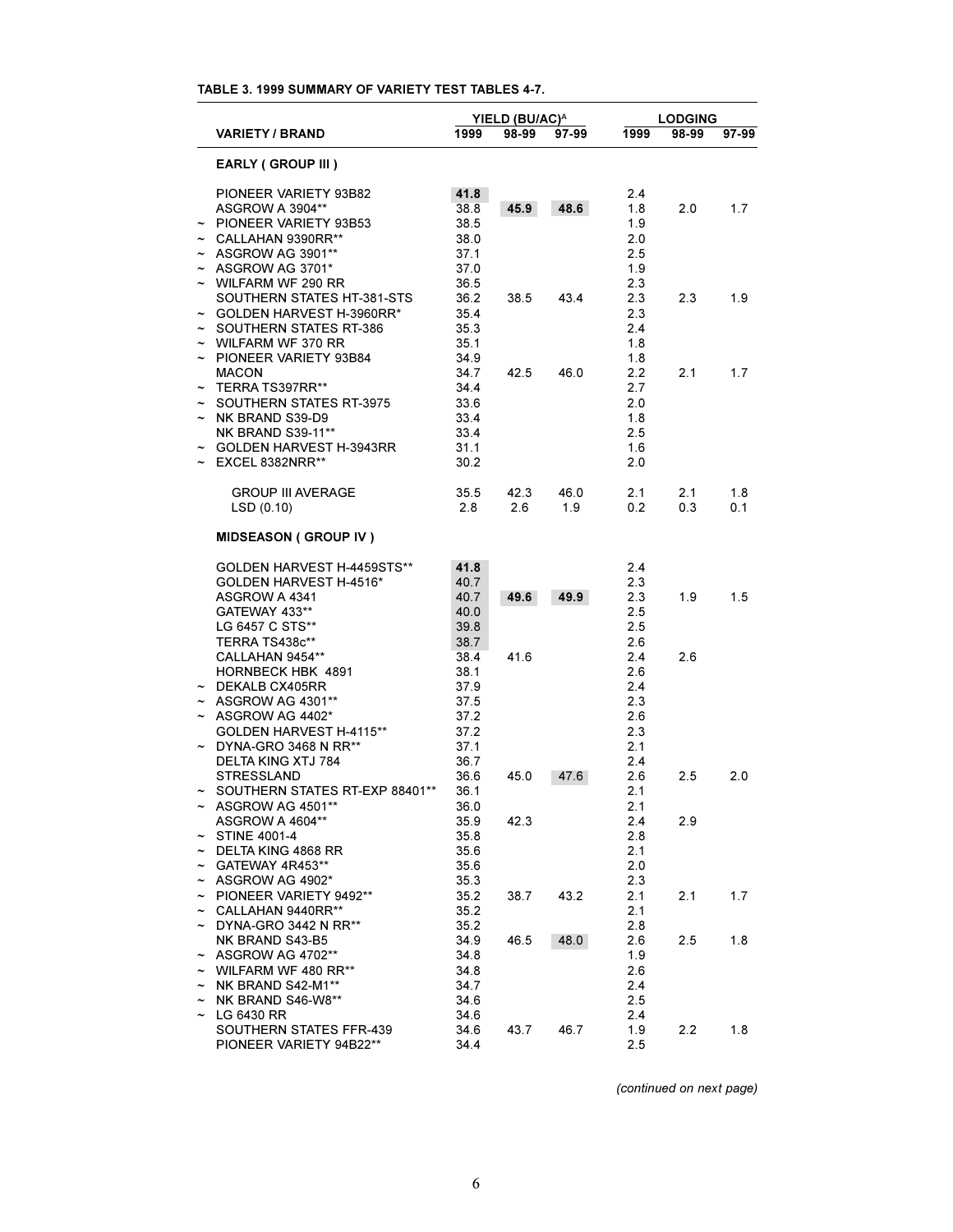# **TABLE 3. 1999 SUMMARY OF VARIETY TEST TABLES 4-7.**

|                       | YIELD (BU/AC) <sup>A</sup>                 |              |       |       |            | <b>LODGING</b> |       |  |
|-----------------------|--------------------------------------------|--------------|-------|-------|------------|----------------|-------|--|
|                       | <b>VARIETY / BRAND</b>                     | 1999         | 98-99 | 97-99 | 1999       | 98-99          | 97-99 |  |
|                       | <b>EARLY (GROUP III)</b>                   |              |       |       |            |                |       |  |
|                       |                                            |              |       |       |            |                |       |  |
|                       | PIONEER VARIETY 93B82                      | 41.8         |       |       | 2.4        |                |       |  |
|                       | ASGROW A 3904**                            | 38.8         | 45.9  | 48.6  | 1.8        | 2.0            | 1.7   |  |
|                       | PIONEER VARIETY 93B53                      | 38.5         |       |       | 1.9        |                |       |  |
|                       | CALLAHAN 9390RR**                          | 38.0         |       |       | 2.0        |                |       |  |
|                       | $\sim$ ASGROW AG 3901**                    | 37.1         |       |       | 2.5        |                |       |  |
|                       | $~\sim~$ ASGROW AG 3701*                   | 37.0         |       |       | 1.9        |                |       |  |
|                       | $\sim$ WILFARM WF 290 RR                   | 36.5         |       |       | 2.3        |                |       |  |
|                       | SOUTHERN STATES HT-381-STS                 | 36.2         | 38.5  | 43.4  | 2.3        | 2.3            | 1.9   |  |
|                       | GOLDEN HARVEST H-3960RR*                   | 35.4         |       |       | 2.3        |                |       |  |
| $\tilde{\phantom{a}}$ | SOUTHERN STATES RT-386                     | 35.3         |       |       | 2.4        |                |       |  |
|                       | $\sim$ WILFARM WF 370 RR                   | 35.1         |       |       | 1.8        |                |       |  |
|                       | ~ PIONEER VARIETY 93B84<br><b>MACON</b>    | 34.9<br>34.7 | 42.5  | 46.0  | 1.8<br>2.2 | 2.1            | 1.7   |  |
|                       | TERRA TS397RR**                            | 34.4         |       |       | 2.7        |                |       |  |
| $\tilde{}$            | SOUTHERN STATES RT-3975                    | 33.6         |       |       | 2.0        |                |       |  |
|                       | NK BRAND S39-D9                            | 33.4         |       |       | 1.8        |                |       |  |
|                       | <b>NK BRAND S39-11**</b>                   | 33.4         |       |       | 2.5        |                |       |  |
|                       | <b>GOLDEN HARVEST H-3943RR</b>             | 31.1         |       |       | 1.6        |                |       |  |
|                       | EXCEL 8382NRR**                            | 30.2         |       |       | 2.0        |                |       |  |
|                       |                                            |              |       |       |            |                |       |  |
|                       | <b>GROUP III AVERAGE</b>                   | 35.5         | 42.3  | 46.0  | 2.1        | 2.1            | 1.8   |  |
|                       | LSD(0.10)                                  | 2.8          | 2.6   | 1.9   | 0.2        | 0.3            | 0.1   |  |
|                       | <b>MIDSEASON (GROUP IV)</b>                |              |       |       |            |                |       |  |
|                       |                                            |              |       |       |            |                |       |  |
|                       | GOLDEN HARVEST H-4459STS**                 | 41.8         |       |       | 2.4        |                |       |  |
|                       | GOLDEN HARVEST H-4516*                     | 40.7         |       |       | 2.3        |                |       |  |
|                       | ASGROW A 4341                              | 40.7         | 49.6  | 49.9  | 2.3        | 1.9            | 1.5   |  |
|                       | GATEWAY 433**                              | 40.0         |       |       | 2.5        |                |       |  |
|                       | LG 6457 C STS**<br>TERRA TS438c**          | 39.8<br>38.7 |       |       | 2.5<br>2.6 |                |       |  |
|                       | CALLAHAN 9454**                            | 38.4         | 41.6  |       | 2.4        | 2.6            |       |  |
|                       | HORNBECK HBK 4891                          | 38.1         |       |       | 2.6        |                |       |  |
|                       | $\sim$ DEKALB CX405RR                      | 37.9         |       |       | 2.4        |                |       |  |
|                       | $\sim$ ASGROW AG 4301**                    | 37.5         |       |       | 2.3        |                |       |  |
|                       | $\sim$ ASGROW AG 4402*                     | 37.2         |       |       | 2.6        |                |       |  |
|                       | GOLDEN HARVEST H-4115**                    | 37.2         |       |       | 2.3        |                |       |  |
|                       | $\sim$ DYNA-GRO 3468 N RR**                | 37.1         |       |       | 2.1        |                |       |  |
|                       | DELTA KING XTJ 784                         | 36.7         |       |       | 2.4        |                |       |  |
|                       | <b>STRESSLAND</b>                          | 36.6         | 45.0  | 47.6  | 2.6        | 2.5            | 2.0   |  |
|                       | SOUTHERN STATES RT-EXP 88401**             | 36.1         |       |       | 2.1        |                |       |  |
| $\sim$                | ASGROW AG 4501**                           | 36.0         |       |       | 2.1        |                |       |  |
|                       | ASGROW A 4604**                            | 35.9         | 42.3  |       | 2.4        | 2.9            |       |  |
|                       | $\sim$ STINE 4001-4                        | 35.8         |       |       | 2.8        |                |       |  |
|                       | $\sim$ DELTA KING 4868 RR                  | 35.6         |       |       | 2.1        |                |       |  |
|                       | ~ GATEWAY 4R453**                          | 35.6         |       |       | 2.0        |                |       |  |
|                       | $\sim$ ASGROW AG 4902*                     | 35.3         |       |       | 2.3        |                |       |  |
|                       | ~ PIONEER VARIETY 9492**                   | 35.2         | 38.7  | 43.2  | 2.1        | 2.1            | 1.7   |  |
|                       | $\sim$ CALLAHAN 9440RR**                   | 35.2         |       |       | 2.1        |                |       |  |
|                       | $\sim$ DYNA-GRO 3442 N RR**                | 35.2         |       | 48.0  | 2.8        |                |       |  |
|                       | NK BRAND S43-B5<br>$\sim$ ASGROW AG 4702** | 34.9         | 46.5  |       | 2.6        | 2.5            | 1.8   |  |
|                       | $\sim$ WILFARM WF 480 RR**                 | 34.8<br>34.8 |       |       | 1.9<br>2.6 |                |       |  |
|                       | $\sim$ NK BRAND S42-M1**                   | 34.7         |       |       | 2.4        |                |       |  |
|                       | $\sim$ NK BRAND S46-W8**                   | 34.6         |       |       | 2.5        |                |       |  |
|                       | $\sim$ LG 6430 RR                          | 34.6         |       |       | 2.4        |                |       |  |
|                       | SOUTHERN STATES FFR-439                    | 34.6         | 43.7  | 46.7  | 1.9        | 2.2            | 1.8   |  |
|                       | PIONEER VARIETY 94B22**                    | 34.4         |       |       | 2.5        |                |       |  |

*(continued on next page)*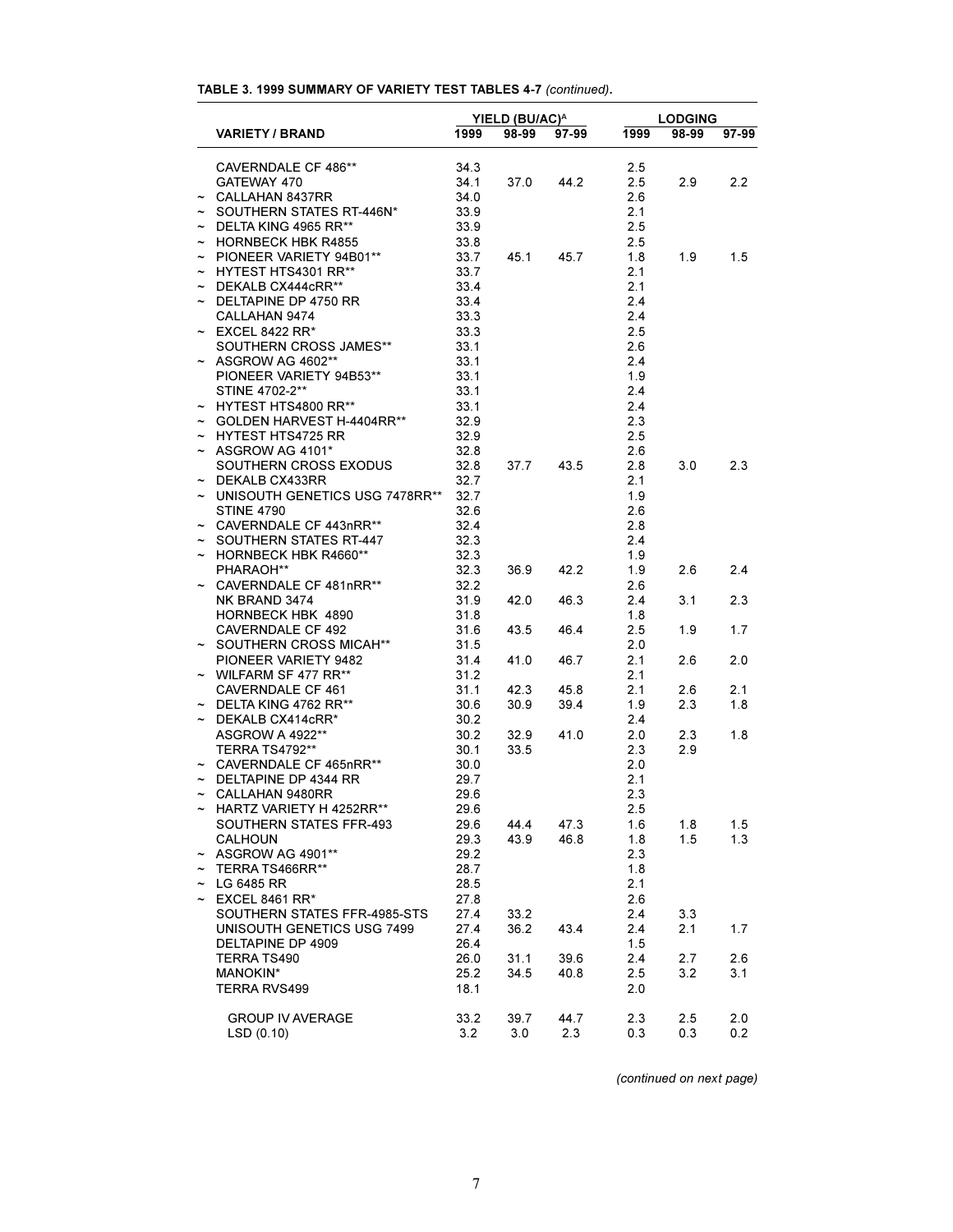# **TABLE 3. 1999 SUMMARY OF VARIETY TEST TABLES 4-7** *(continued)***.**

|                                                   | YIELD (BU/AC) <sup>A</sup> |       |       | <b>LODGING</b> |       |            |  |
|---------------------------------------------------|----------------------------|-------|-------|----------------|-------|------------|--|
| <b>VARIETY / BRAND</b>                            | 1999                       | 98-99 | 97-99 | 1999           | 98-99 | 97-99      |  |
| CAVERNDALE CF 486**                               | 34.3                       |       |       | 2.5            |       |            |  |
| GATEWAY 470                                       | 34.1                       | 37.0  | 44.2  | 2.5            | 2.9   | 2.2        |  |
| $\sim$ CALLAHAN 8437RR                            | 34.0                       |       |       | 2.6            |       |            |  |
| ~ SOUTHERN STATES RT-446N*                        | 33.9                       |       |       | 2.1            |       |            |  |
| $\sim$ DELTA KING 4965 RR**                       | 33.9                       |       |       | 2.5            |       |            |  |
| $\sim$ HORNBECK HBK R4855                         | 33.8                       |       |       | 2.5            |       |            |  |
| ~ PIONEER VARIETY 94B01**                         | 33.7                       | 45.1  | 45.7  | 1.8            | 1.9   | 1.5        |  |
| $\sim$ HYTEST HTS4301 RR**                        | 33.7                       |       |       | 2.1            |       |            |  |
| $\sim$ DEKALB CX444cRR**                          | 33.4                       |       |       | 2.1            |       |            |  |
| $\sim$ DELTAPINE DP 4750 RR                       | 33.4                       |       |       | 2.4            |       |            |  |
| CALLAHAN 9474                                     | 33.3                       |       |       | 2.4            |       |            |  |
| $\sim$ EXCEL 8422 RR*                             | 33.3                       |       |       | 2.5            |       |            |  |
|                                                   | 33.1                       |       |       | 2.6            |       |            |  |
| SOUTHERN CROSS JAMES**<br>$\sim$ ASGROW AG 4602** | 33.1                       |       |       | 2.4            |       |            |  |
| PIONEER VARIETY 94B53**                           | 33.1                       |       |       | 1.9            |       |            |  |
| STINE 4702-2**                                    | 33.1                       |       |       | 2.4            |       |            |  |
| ~ HYTEST HTS4800 RR**                             | 33.1                       |       |       | 2.4            |       |            |  |
| $\sim$ GOLDEN HARVEST H-4404RR**                  | 32.9                       |       |       | 2.3            |       |            |  |
| $\sim$ HYTEST HTS4725 RR                          | 32.9                       |       |       | 2.5            |       |            |  |
| $\sim$ ASGROW AG 4101*                            | 32.8                       |       |       | 2.6            |       |            |  |
| SOUTHERN CROSS EXODUS                             | 32.8                       | 37.7  | 43.5  | 2.8            | 3.0   | 2.3        |  |
| $\sim$ DEKALB CX433RR                             | 32.7                       |       |       | 2.1            |       |            |  |
| ~ UNISOUTH GENETICS USG 7478RR**                  | 32.7                       |       |       | 1.9            |       |            |  |
| <b>STINE 4790</b>                                 | 32.6                       |       |       | 2.6            |       |            |  |
| ~ CAVERNDALE CF 443nRR**                          | 32.4                       |       |       | 2.8            |       |            |  |
| ~ SOUTHERN STATES RT-447                          | 32.3                       |       |       | 2.4            |       |            |  |
| $\sim$ HORNBECK HBK R4660**                       | 32.3                       |       |       | 1.9            |       |            |  |
| PHARAOH**                                         | 32.3                       |       | 42.2  |                | 2.6   | 2.4        |  |
|                                                   | 32.2                       | 36.9  |       | 1.9<br>2.6     |       |            |  |
| ~ CAVERNDALE CF 481nRR**<br>NK BRAND 3474         | 31.9                       |       |       | 2.4            |       | 2.3        |  |
| HORNBECK HBK 4890                                 | 31.8                       | 42.0  | 46.3  | 1.8            | 3.1   |            |  |
| <b>CAVERNDALE CF 492</b>                          |                            |       |       |                |       | 1.7        |  |
| ~ SOUTHERN CROSS MICAH**                          | 31.6                       | 43.5  | 46.4  | 2.5            | 1.9   |            |  |
| PIONEER VARIETY 9482                              | 31.5<br>31.4               |       | 46.7  | 2.0<br>2.1     | 2.6   | 2.0        |  |
| $\sim$ WILFARM SF 477 RR**                        | 31.2                       | 41.0  |       | 2.1            |       |            |  |
| CAVERNDALE CF 461                                 | 31.1                       | 42.3  | 45.8  | 2.1            | 2.6   | 2.1        |  |
| $\sim$ DELTA KING 4762 RR**                       |                            |       |       |                |       |            |  |
|                                                   | 30.6                       | 30.9  | 39.4  | 1.9            | 2.3   | 1.8        |  |
| $\sim$ DEKALB CX414cRR*                           | 30.2                       |       |       | 2.4            |       |            |  |
| <b>ASGROW A 4922**</b>                            | 30.2                       | 32.9  | 41.0  | 2.0            | 2.3   | 1.8        |  |
| TERRA TS4792**                                    | 30.1                       | 33.5  |       | 2.3            | 2.9   |            |  |
| $\sim$ CAVERNDALE CF 465nRR**                     | 30.0                       |       |       | 2.0            |       |            |  |
| $\sim$ DELTAPINE DP 4344 RR                       | 29.7                       |       |       | 2.1            |       |            |  |
| $\sim$ CALLAHAN 9480RR                            | 29.6                       |       |       | 2.3            |       |            |  |
| $\sim$ HARTZ VARIETY H 4252RR**                   | 29.6                       |       |       | 2.5            |       |            |  |
| SOUTHERN STATES FFR-493<br><b>CALHOUN</b>         | 29.6                       | 44.4  | 47.3  | 1.6<br>1.8     | 1.8   | 1.5<br>1.3 |  |
|                                                   | 29.3                       | 43.9  | 46.8  |                | 1.5   |            |  |
| $~\sim~$ ASGROW AG 4901**                         | 29.2                       |       |       | 2.3            |       |            |  |
| TERRA TS466RR**                                   | 28.7                       |       |       | 1.8            |       |            |  |
| $\sim$ LG 6485 RR                                 | 28.5                       |       |       | 2.1            |       |            |  |
| $\sim$ EXCEL 8461 RR*                             | 27.8                       |       |       | 2.6            |       |            |  |
| SOUTHERN STATES FFR-4985-STS                      | 27.4                       | 33.2  |       | 2.4            | 3.3   |            |  |
| UNISOUTH GENETICS USG 7499                        | 27.4                       | 36.2  | 43.4  | 2.4            | 2.1   | 1.7        |  |
| DELTAPINE DP 4909                                 | 26.4                       |       |       | 1.5            |       |            |  |
| TERRA TS490                                       | 26.0                       | 31.1  | 39.6  | 2.4            | 2.7   | 2.6        |  |
| MANOKIN*                                          | 25.2                       | 34.5  | 40.8  | 2.5            | 3.2   | 3.1        |  |
| TERRA RVS499                                      | 18.1                       |       |       | 2.0            |       |            |  |
|                                                   |                            |       |       |                |       |            |  |
| <b>GROUP IV AVERAGE</b>                           | 33.2                       | 39.7  | 44.7  | 2.3            | 2.5   | 2.0        |  |
| LSD(0.10)                                         | 3.2                        | 3.0   | 2.3   | 0.3            | 0.3   | 0.2        |  |

*(continued on next page)*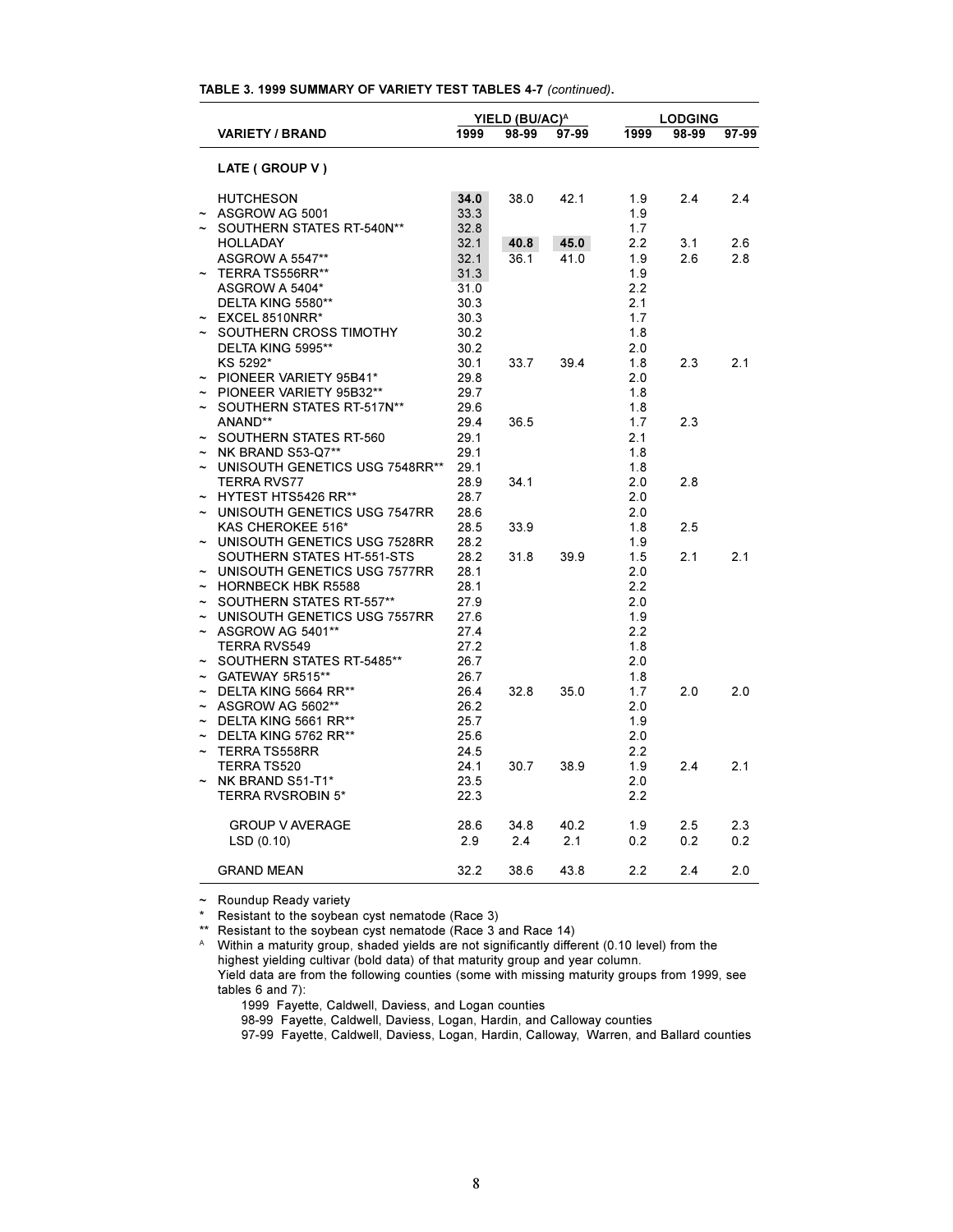| TABLE 3. 1999 SUMMARY OF VARIETY TEST TABLES 4-7 (continued). |  |
|---------------------------------------------------------------|--|
|---------------------------------------------------------------|--|

|                       |                                      | YIELD (BU/AC) <sup>A</sup> |       |       | <b>LODGING</b> |       |       |  |
|-----------------------|--------------------------------------|----------------------------|-------|-------|----------------|-------|-------|--|
|                       | <b>VARIETY / BRAND</b>               | 1999                       | 98-99 | 97-99 | 1999           | 98-99 | 97-99 |  |
|                       | LATE (GROUP V)                       |                            |       |       |                |       |       |  |
| $\tilde{ }$           | <b>HUTCHESON</b><br>ASGROW AG 5001   | 34.0<br>33.3               | 38.0  | 42.1  | 1.9<br>1.9     | 2.4   | 2.4   |  |
| $\tilde{\phantom{a}}$ | SOUTHERN STATES RT-540N**            | 32.8                       |       |       | 1.7            |       |       |  |
|                       | <b>HOLLADAY</b>                      | 32.1                       | 40.8  | 45.0  | 2.2            | 3.1   | 2.6   |  |
|                       | <b>ASGROW A 5547**</b>               | 32.1                       | 36.1  | 41.0  | 1.9            | 2.6   | 2.8   |  |
| $\tilde{ }$           | TERRA TS556RR**                      | 31.3                       |       |       | 1.9            |       |       |  |
|                       | ASGROW A 5404*                       | 31.0                       |       |       | 2.2            |       |       |  |
|                       | DELTA KING 5580**                    | 30.3                       |       |       | 2.1            |       |       |  |
|                       | EXCEL 8510NRR*                       | 30.3                       |       |       | 1.7            |       |       |  |
|                       | SOUTHERN CROSS TIMOTHY               | 30.2                       |       |       | 1.8            |       |       |  |
|                       | DELTA KING 5995**                    | 30.2                       |       |       | 2.0            |       |       |  |
|                       | KS 5292*                             | 30.1                       | 33.7  |       | 1.8            | 2.3   | 2.1   |  |
| $\tilde{\phantom{a}}$ | PIONEER VARIETY 95B41*               | 29.8                       |       | 39.4  | 2.0            |       |       |  |
|                       |                                      |                            |       |       |                |       |       |  |
| $\tilde{\phantom{a}}$ | PIONEER VARIETY 95B32**              | 29.7                       |       |       | 1.8            |       |       |  |
| $\tilde{}$            | SOUTHERN STATES RT-517N**<br>ANAND** | 29.6                       |       |       | 1.8            | 2.3   |       |  |
|                       |                                      | 29.4                       | 36.5  |       | 1.7            |       |       |  |
| $\tilde{}$            | SOUTHERN STATES RT-560               | 29.1<br>29.1               |       |       | 2.1<br>1.8     |       |       |  |
|                       | NK BRAND S53-Q7**                    |                            |       |       |                |       |       |  |
|                       | UNISOUTH GENETICS USG 7548RR**       | 29.1                       |       |       | 1.8            |       |       |  |
|                       | <b>TERRA RVS77</b>                   | 28.9                       | 34.1  |       | 2.0            | 2.8   |       |  |
|                       | HYTEST HTS5426 RR**                  | 28.7                       |       |       | 2.0            |       |       |  |
| $\tilde{\phantom{a}}$ | UNISOUTH GENETICS USG 7547RR         | 28.6                       |       |       | 2.0            |       |       |  |
|                       | KAS CHEROKEE 516*                    | 28.5                       | 33.9  |       | 1.8            | 2.5   |       |  |
|                       | UNISOUTH GENETICS USG 7528RR         | 28.2                       |       |       | 1.9            |       |       |  |
|                       | SOUTHERN STATES HT-551-STS           | 28.2                       | 31.8  | 39.9  | 1.5            | 2.1   | 2.1   |  |
|                       | UNISOUTH GENETICS USG 7577RR         | 28.1                       |       |       | 2.0            |       |       |  |
|                       | <b>HORNBECK HBK R5588</b>            | 28.1                       |       |       | 2.2            |       |       |  |
|                       | SOUTHERN STATES RT-557**             | 27.9                       |       |       | 2.0            |       |       |  |
| $\tilde{\phantom{a}}$ | UNISOUTH GENETICS USG 7557RR         | 27.6                       |       |       | 1.9            |       |       |  |
| $\tilde{\phantom{a}}$ | ASGROW AG 5401**                     | 27.4                       |       |       | 2.2            |       |       |  |
|                       | <b>TERRA RVS549</b>                  | 27.2                       |       |       | 1.8            |       |       |  |
| $\tilde{\phantom{a}}$ | SOUTHERN STATES RT-5485**            | 26.7                       |       |       | 2.0            |       |       |  |
| $\tilde{\phantom{a}}$ | GATEWAY 5R515**                      | 26.7                       |       |       | 1.8            |       |       |  |
| $\tilde{\phantom{a}}$ | DELTA KING 5664 RR**                 | 26.4                       | 32.8  | 35.0  | 1.7            | 2.0   | 2.0   |  |
|                       | ASGROW AG 5602**                     | 26.2                       |       |       | 2.0            |       |       |  |
| $\tilde{\phantom{a}}$ | DELTA KING 5661 RR**                 | 25.7                       |       |       | 1.9            |       |       |  |
| $\tilde{\phantom{a}}$ | DELTA KING 5762 RR**                 | 25.6                       |       |       | 2.0            |       |       |  |
|                       | <b>TERRA TS558RR</b>                 | 24.5                       |       |       | 2.2            |       |       |  |
|                       | <b>TERRA TS520</b>                   | 24.1                       | 30.7  | 38.9  | 1.9            | 2.4   | 2.1   |  |
| $\tilde{}$            | NK BRAND S51-T1*                     | 23.5                       |       |       | 2.0            |       |       |  |
|                       | <b>TERRA RVSROBIN 5*</b>             | 22.3                       |       |       | 2.2            |       |       |  |
|                       | <b>GROUP V AVERAGE</b>               | 28.6                       | 34.8  | 40.2  | 1.9            | 2.5   | 2.3   |  |
|                       | LSD(0.10)                            | 2.9                        | 2.4   | 2.1   | 0.2            | 0.2   | 0.2   |  |
|                       | <b>GRAND MEAN</b>                    | 32.2                       | 38.6  | 43.8  | 2.2            | 2.4   | 2.0   |  |

~ Roundup Ready variety

\* Resistant to the soybean cyst nematode (Race 3)

\*\* Resistant to the soybean cyst nematode (Race 3 and Race 14)

 $A$  Within a maturity group, shaded yields are not significantly different (0.10 level) from the highest yielding cultivar (bold data) of that maturity group and year column. Yield data are from the following counties (some with missing maturity groups from 1999, see tables 6 and 7):

1999 Fayette, Caldwell, Daviess, and Logan counties

98-99 Fayette, Caldwell, Daviess, Logan, Hardin, and Calloway counties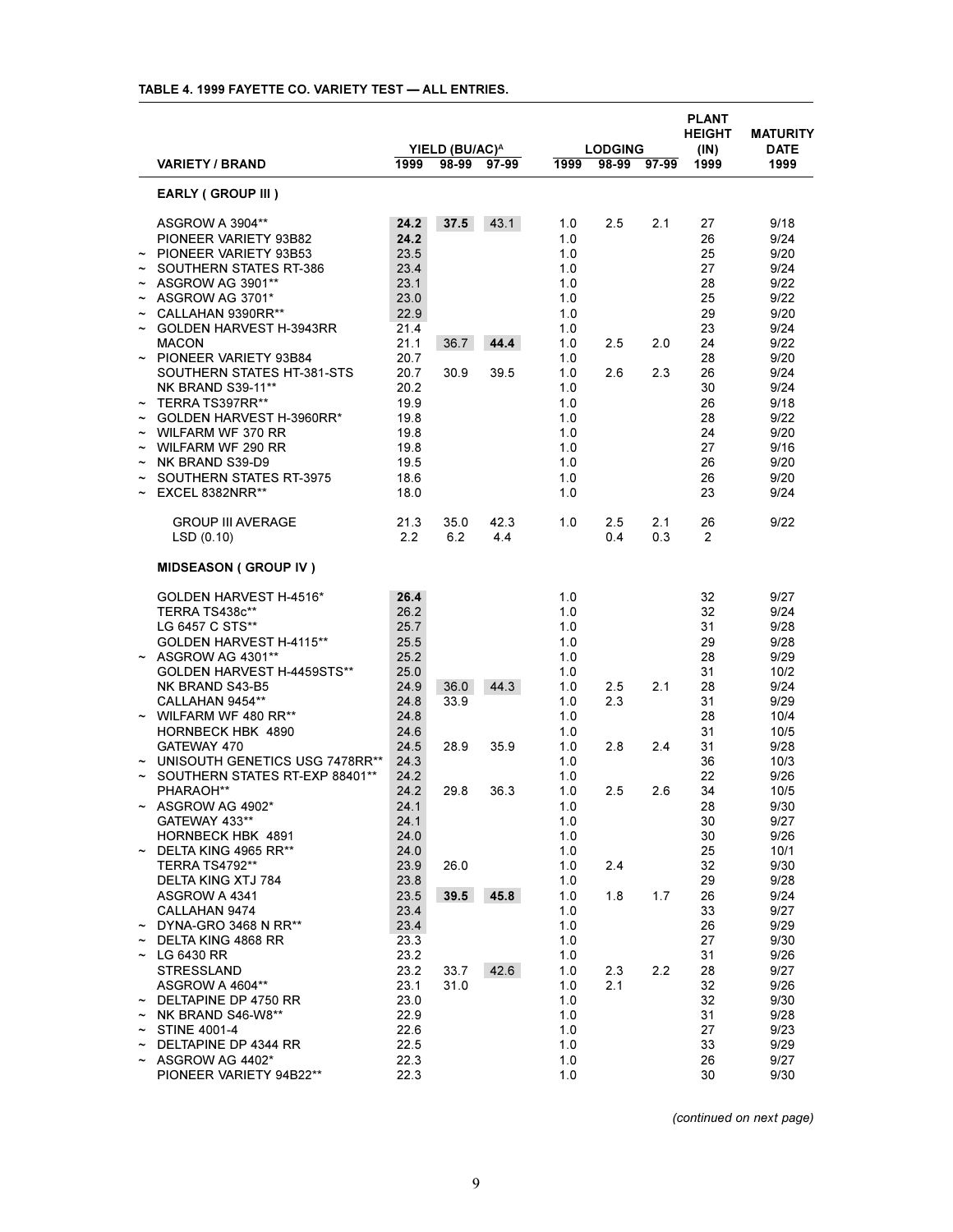|                       |                                                       |               | YIELD (BU/AC) <sup>A</sup> |             |            | <b>LODGING</b> |             | <b>PLANT</b><br><b>HEIGHT</b><br>(IN) | <b>MATURITY</b><br><b>DATE</b> |
|-----------------------|-------------------------------------------------------|---------------|----------------------------|-------------|------------|----------------|-------------|---------------------------------------|--------------------------------|
|                       | <b>VARIETY / BRAND</b>                                | 1999          |                            | 98-99 97-99 | 1999       |                | 98-99 97-99 | 1999                                  | 1999                           |
|                       | <b>EARLY (GROUP III)</b>                              |               |                            |             |            |                |             |                                       |                                |
|                       | ASGROW A 3904**                                       | 24.2          | 37.5                       | 43.1        | 1.0        | 2.5            | 2.1         | 27                                    | 9/18                           |
|                       | PIONEER VARIETY 93B82                                 | 24.2          |                            |             | 1.0        |                |             | 26                                    | 9/24                           |
|                       | $\sim$ PIONEER VARIETY 93B53                          | 23.5          |                            |             | 1.0        |                |             | 25                                    | 9/20                           |
|                       | SOUTHERN STATES RT-386                                | 23.4          |                            |             | 1.0        |                |             | 27                                    | 9/24                           |
|                       | ~ ASGROW AG 3901**                                    | 23.1          |                            |             | 1.0        |                |             | 28                                    | 9/22                           |
|                       | $\sim$ ASGROW AG 3701*                                | 23.0          |                            |             | 1.0        |                |             | 25                                    | 9/22                           |
|                       | CALLAHAN 9390RR**                                     | 22.9          |                            |             | 1.0        |                |             | 29                                    | 9/20                           |
|                       | <b>GOLDEN HARVEST H-3943RR</b>                        | 21.4          |                            |             | 1.0        |                |             | 23                                    | 9/24                           |
|                       | <b>MACON</b>                                          | 21.1          | 36.7                       | 44.4        | 1.0        | 2.5            | 2.0         | 24                                    | 9/22                           |
|                       | ~ PIONEER VARIETY 93B84                               | 20.7          |                            |             | 1.0        |                |             | 28                                    | 9/20                           |
|                       | SOUTHERN STATES HT-381-STS                            | 20.7          | 30.9                       | 39.5        | 1.0        | 2.6            | 2.3         | 26                                    | 9/24                           |
|                       | <b>NK BRAND S39-11**</b>                              | 20.2          |                            |             | 1.0        |                |             | 30                                    | 9/24                           |
|                       | $\sim$ TERRA TS397RR**                                | 19.9          |                            |             | 1.0        |                |             | 26                                    | 9/18                           |
|                       | GOLDEN HARVEST H-3960RR*                              | 19.8          |                            |             | 1.0        |                |             | 28                                    | 9/22                           |
|                       | $\sim$ WILFARM WF 370 RR                              | 19.8          |                            |             | 1.0        |                |             | 24                                    | 9/20                           |
|                       | $\sim$ WILFARM WF 290 RR                              | 19.8          |                            |             | 1.0        |                |             | 27                                    | 9/16                           |
|                       | NK BRAND S39-D9                                       | 19.5          |                            |             | 1.0        |                |             | 26                                    | 9/20                           |
| $\tilde{\phantom{a}}$ | <b>SOUTHERN STATES RT-3975</b>                        | 18.6          |                            |             | 1.0        |                |             | 26                                    | 9/20                           |
|                       | EXCEL 8382NRR**                                       | 18.0          |                            |             | 1.0        |                |             | 23                                    | 9/24                           |
|                       | <b>GROUP III AVERAGE</b>                              | 21.3          | 35.0                       | 42.3        | 1.0        | 2.5            | 2.1         | 26                                    | 9/22                           |
|                       | LSD(0.10)                                             | $2.2^{\circ}$ | 6.2                        | 4.4         |            | 0.4            | 0.3         | $\overline{2}$                        |                                |
|                       | <b>MIDSEASON (GROUP IV)</b>                           |               |                            |             |            |                |             |                                       |                                |
|                       | GOLDEN HARVEST H-4516*                                | 26.4          |                            |             | 1.0        |                |             | 32                                    | 9/27                           |
|                       | TERRA TS438c**                                        | 26.2          |                            |             | 1.0        |                |             | 32                                    | 9/24                           |
|                       | LG 6457 C STS**                                       | 25.7          |                            |             | 1.0        |                |             | 31                                    | 9/28                           |
|                       | GOLDEN HARVEST H-4115**                               | 25.5          |                            |             | 1.0        |                |             | 29                                    | 9/28                           |
|                       | $~\sim~$ ASGROW AG 4301**                             | 25.2          |                            |             | 1.0        |                |             | 28                                    | 9/29                           |
|                       | GOLDEN HARVEST H-4459STS**                            | 25.0          |                            |             | 1.0        |                |             | 31                                    | 10/2                           |
|                       | NK BRAND S43-B5                                       | 24.9          | 36.0                       | 44.3        | 1.0        | 2.5            | 2.1         | 28                                    | 9/24                           |
|                       | CALLAHAN 9454**                                       | 24.8          | 33.9                       |             | 1.0        | 2.3            |             | 31                                    | 9/29                           |
|                       | $\sim$ WILFARM WF 480 RR**                            | 24.8          |                            |             | 1.0        |                |             | 28                                    | 10/4                           |
|                       | HORNBECK HBK 4890                                     | 24.6          |                            |             | 1.0        |                |             | 31                                    | 10/5                           |
|                       | GATEWAY 470                                           | 24.5          | 28.9                       | 35.9        | 1.0        | 2.8            | 2.4         | 31                                    | 9/28                           |
|                       | UNISOUTH GENETICS USG 7478RR**                        | 24.3          |                            |             | 1.0        |                |             | 36                                    | 10/3                           |
|                       | SOUTHERN STATES RT-EXP 88401**                        | 24.2          |                            |             | 1.0        |                |             | 22                                    | 9/26                           |
|                       | PHARAOH**                                             | 24.2          | 29.8                       | 36.3        | 1.0        | 2.5            | 2.6         | 34                                    | 10/5                           |
|                       | ~ ASGROW AG 4902*                                     | 24.1          |                            |             | 1.0        |                |             | 28                                    | 9/30                           |
|                       | GATEWAY 433**                                         | 24.1          |                            |             | 1.0        |                |             | 30                                    | 9/27                           |
|                       | HORNBECK HBK 4891                                     | 24.0          |                            |             | 1.0        |                |             | 30                                    | 9/26                           |
|                       | $\sim$ DELTA KING 4965 RR**                           | 24.0          |                            |             | 1.0        |                |             | 25                                    | 10/1                           |
|                       | TERRA TS4792**                                        | 23.9          | 26.0                       |             | 1.0        | 2.4            |             | 32                                    | 9/30                           |
|                       | DELTA KING XTJ 784                                    | 23.8          |                            |             | 1.0        |                |             | 29                                    | 9/28                           |
|                       | ASGROW A 4341                                         | 23.5          | 39.5                       | 45.8        | 1.0        | 1.8            | 1.7         | 26                                    | 9/24                           |
|                       | CALLAHAN 9474                                         | 23.4          |                            |             | 1.0        |                |             | 33                                    | 9/27                           |
|                       | $\sim$ DYNA-GRO 3468 N RR**                           | 23.4          |                            |             | 1.0        |                |             | 26                                    | 9/29                           |
|                       | $\sim$ DELTA KING 4868 RR                             | 23.3          |                            |             | 1.0        |                |             | 27                                    | 9/30                           |
|                       | $\sim$ LG 6430 RR                                     | 23.2          |                            |             | 1.0        |                |             | 31                                    | 9/26                           |
|                       | <b>STRESSLAND</b>                                     | 23.2          | 33.7                       | 42.6        | 1.0        | 2.3            | 2.2         | 28                                    | 9/27                           |
|                       | ASGROW A 4604**                                       | 23.1          | 31.0                       |             | 1.0        | 2.1            |             | 32                                    | 9/26                           |
|                       | $\sim$ DELTAPINE DP 4750 RR                           | 23.0          |                            |             | 1.0        |                |             | 32                                    | 9/30                           |
|                       | $\sim$ NK BRAND S46-W8**                              | 22.9          |                            |             | 1.0        |                |             | 31<br>27                              | 9/28<br>9/23                   |
|                       | $\sim$ STINE 4001-4                                   | 22.6          |                            |             | 1.0<br>1.0 |                |             | 33                                    | 9/29                           |
|                       | $\sim$ DELTAPINE DP 4344 RR<br>$\sim$ ASGROW AG 4402* | 22.5<br>22.3  |                            |             | 1.0        |                |             | 26                                    | 9/27                           |
|                       | PIONEER VARIETY 94B22**                               | 22.3          |                            |             | 1.0        |                |             | 30                                    | 9/30                           |
|                       |                                                       |               |                            |             |            |                |             |                                       |                                |

# **TABLE 4. 1999 FAYETTE CO. VARIETY TEST ALL ENTRIES.**

*(continued on next page)*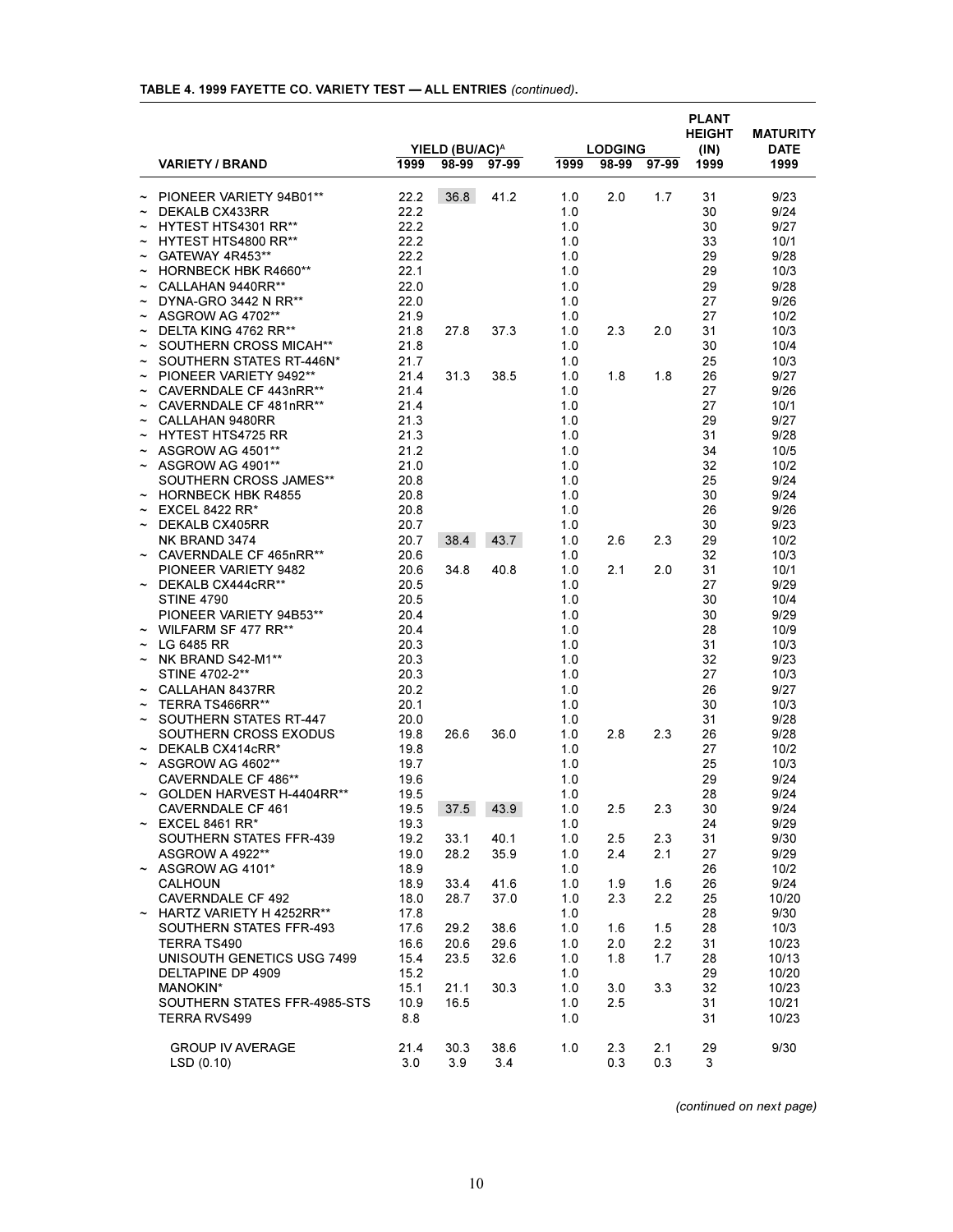|  |  |  |  | TABLE 4. 1999 FAYETTE CO. VARIETY TEST - ALL ENTRIES (continued). |  |
|--|--|--|--|-------------------------------------------------------------------|--|
|  |  |  |  |                                                                   |  |

|            |                                 |      | YIELD (BU/AC) <sup>A</sup> |       |       | <b>LODGING</b> |             | <b>PLANT</b><br><b>HEIGHT</b><br>(IN) | <b>MATURITY</b><br><b>DATE</b> |
|------------|---------------------------------|------|----------------------------|-------|-------|----------------|-------------|---------------------------------------|--------------------------------|
|            | <b>VARIETY / BRAND</b>          | 1999 | 98-99                      | 97-99 | 1999  |                | 98-99 97-99 | 1999                                  | 1999                           |
|            | $\sim$ PIONEER VARIETY 94B01**  | 22.2 | 36.8                       | 41.2  | 1.0   | 2.0            | 1.7         | 31                                    | 9/23                           |
|            | DEKALB CX433RR                  | 22.2 |                            |       | 1.0   |                |             | 30                                    | 9/24                           |
| $\sim$     | HYTEST HTS4301 RR**             | 22.2 |                            |       | 1.0   |                |             | 30                                    | 9/27                           |
|            | HYTEST HTS4800 RR**             | 22.2 |                            |       | 1.0   |                |             | 33                                    | 10/1                           |
| $\tilde{}$ | GATEWAY 4R453**                 | 22.2 |                            |       | 1.0   |                |             | 29                                    | 9/28                           |
|            | <b>HORNBECK HBK R4660**</b>     | 22.1 |                            |       | 1.0   |                |             | 29                                    | 10/3                           |
|            | CALLAHAN 9440RR**               | 22.0 |                            |       | 1.0   |                |             | 29                                    | 9/28                           |
| $\sim$     | DYNA-GRO 3442 N RR**            | 22.0 |                            |       | 1.0   |                |             | 27                                    | 9/26                           |
|            | $\sim$ ASGROW AG 4702**         | 21.9 |                            |       | 1.0   |                |             | 27                                    | 10/2                           |
| $\tilde{}$ | DELTA KING 4762 RR**            | 21.8 | 27.8                       |       | 1.0   | 2.3            | 2.0         | 31                                    | 10/3                           |
|            |                                 |      |                            | 37.3  |       |                |             | 30                                    |                                |
|            | SOUTHERN CROSS MICAH**          | 21.8 |                            |       | 1.0   |                |             |                                       | 10/4                           |
|            | SOUTHERN STATES RT-446N*        | 21.7 |                            |       | 1.0   |                |             | 25                                    | 10/3                           |
| $\sim$     | PIONEER VARIETY 9492**          | 21.4 | 31.3                       | 38.5  | 1.0   | 1.8            | 1.8         | 26                                    | 9/27                           |
|            | $\sim$ CAVERNDALE CF 443nRR**   | 21.4 |                            |       | 1.0   |                |             | 27                                    | 9/26                           |
| $\sim$     | CAVERNDALE CF 481nRR**          | 21.4 |                            |       | 1.0   |                |             | 27                                    | 10/1                           |
|            | CALLAHAN 9480RR                 | 21.3 |                            |       | 1.0   |                |             | 29                                    | 9/27                           |
|            | <b>HYTEST HTS4725 RR</b>        | 21.3 |                            |       | 1.0   |                |             | 31                                    | 9/28                           |
|            | $\sim$ ASGROW AG 4501**         | 21.2 |                            |       | 1.0   |                |             | 34                                    | 10/5                           |
|            | $\sim$ ASGROW AG 4901**         | 21.0 |                            |       | 1.0   |                |             | 32                                    | 10/2                           |
|            | SOUTHERN CROSS JAMES**          | 20.8 |                            |       | 1.0   |                |             | 25                                    | 9/24                           |
|            | $\sim$ HORNBECK HBK R4855       | 20.8 |                            |       | 1.0   |                |             | 30                                    | 9/24                           |
|            | <b>EXCEL 8422 RR*</b>           | 20.8 |                            |       | 1.0   |                |             | 26                                    | 9/26                           |
|            | DEKALB CX405RR                  | 20.7 |                            |       | 1.0   |                |             | 30                                    | 9/23                           |
|            | NK BRAND 3474                   | 20.7 | 38.4                       | 43.7  | 1.0   | 2.6            | 2.3         | 29                                    | 10/2                           |
|            | ~ CAVERNDALE CF 465nRR**        | 20.6 |                            |       | 1.0   |                |             | 32                                    | 10/3                           |
|            | PIONEER VARIETY 9482            | 20.6 | 34.8                       | 40.8  | 1.0   | 2.1            | 2.0         | 31                                    | 10/1                           |
|            | DEKALB CX444cRR**               | 20.5 |                            |       | 1.0   |                |             | 27                                    | 9/29                           |
|            | <b>STINE 4790</b>               | 20.5 |                            |       | 1.0   |                |             | 30                                    | 10/4                           |
|            | PIONEER VARIETY 94B53**         | 20.4 |                            |       | 1.0   |                |             | 30                                    | 9/29                           |
|            | $\sim$ WILFARM SF 477 RR**      | 20.4 |                            |       | 1.0   |                |             | 28                                    | 10/9                           |
|            | LG 6485 RR                      | 20.3 |                            |       | 1.0   |                |             | 31                                    | 10/3                           |
|            | NK BRAND S42-M1**               | 20.3 |                            |       | 1.0   |                |             | 32                                    | 9/23                           |
|            | STINE 4702-2**                  | 20.3 |                            |       | 1.0   |                |             | 27                                    |                                |
|            |                                 |      |                            |       |       |                |             |                                       | 10/3                           |
|            | $\sim$ CALLAHAN 8437RR          | 20.2 |                            |       | 1.0   |                |             | 26                                    | 9/27                           |
| $\tilde{}$ | TERRA TS466RR**                 | 20.1 |                            |       | 1.0   |                |             | 30                                    | 10/3                           |
|            | SOUTHERN STATES RT-447          | 20.0 |                            |       | 1.0   |                |             | 31                                    | 9/28                           |
|            | SOUTHERN CROSS EXODUS           | 19.8 | 26.6                       | 36.0  | 1.0   | 2.8            | 2.3         | 26                                    | 9/28                           |
|            | DEKALB CX414cRR*                | 19.8 |                            |       | 1.0   |                |             | 27                                    | 10/2                           |
|            | $\sim$ ASGROW AG 4602**         | 19.7 |                            |       | 1.0   |                |             | 25                                    | 10/3                           |
|            | CAVERNDALE CF 486**             | 19.6 |                            |       | 1.0   |                |             | 29                                    | 9/24                           |
|            | GOLDEN HARVEST H-4404RR**       | 19.5 |                            |       | 1.0   |                |             | 28                                    | 9/24                           |
|            | CAVERNDALE CF 461               | 19.5 | 37.5 43.9                  |       | $1.0$ | 2.5            | 2.3         | 30                                    | 9/24                           |
|            | $\sim$ EXCEL 8461 RR*           | 19.3 |                            |       | 1.0   |                |             | 24                                    | 9/29                           |
|            | SOUTHERN STATES FFR-439         | 19.2 | 33.1                       | 40.1  | 1.0   | 2.5            | 2.3         | 31                                    | 9/30                           |
|            | ASGROW A 4922**                 | 19.0 | 28.2                       | 35.9  | 1.0   | 2.4            | 2.1         | 27                                    | 9/29                           |
|            | $\sim$ ASGROW AG 4101*          | 18.9 |                            |       | 1.0   |                |             | 26                                    | 10/2                           |
|            | <b>CALHOUN</b>                  | 18.9 | 33.4                       | 41.6  | 1.0   | 1.9            | 1.6         | 26                                    | 9/24                           |
|            | CAVERNDALE CF 492               | 18.0 | 28.7                       | 37.0  | 1.0   | 2.3            | $2.2\,$     | 25                                    | 10/20                          |
|            | $\sim$ HARTZ VARIETY H 4252RR** | 17.8 |                            |       | 1.0   |                |             | 28                                    | 9/30                           |
|            | SOUTHERN STATES FFR-493         | 17.6 | 29.2                       | 38.6  | 1.0   | 1.6            | 1.5         | 28                                    | 10/3                           |
|            | TERRA TS490                     | 16.6 | 20.6                       | 29.6  | 1.0   | 2.0            | 2.2         | 31                                    | 10/23                          |
|            | UNISOUTH GENETICS USG 7499      | 15.4 | 23.5                       | 32.6  | 1.0   | 1.8            | 1.7         | 28                                    | 10/13                          |
|            | DELTAPINE DP 4909               | 15.2 |                            |       | 1.0   |                |             | 29                                    | 10/20                          |
|            | <b>MANOKIN*</b>                 | 15.1 | 21.1                       | 30.3  | 1.0   | 3.0            | 3.3         | 32                                    | 10/23                          |
|            | SOUTHERN STATES FFR-4985-STS    | 10.9 | 16.5                       |       | 1.0   | 2.5            |             | 31                                    | 10/21                          |
|            |                                 |      |                            |       |       |                |             |                                       |                                |
|            | TERRA RVS499                    | 8.8  |                            |       | 1.0   |                |             | 31                                    | 10/23                          |
|            |                                 |      |                            |       |       |                |             |                                       |                                |
|            | <b>GROUP IV AVERAGE</b>         | 21.4 | 30.3                       | 38.6  | 1.0   | 2.3            | 2.1         | 29                                    | 9/30                           |
|            | LSD(0.10)                       | 3.0  | 3.9                        | 3.4   |       | 0.3            | 0.3         | 3                                     |                                |

*(continued on next page)*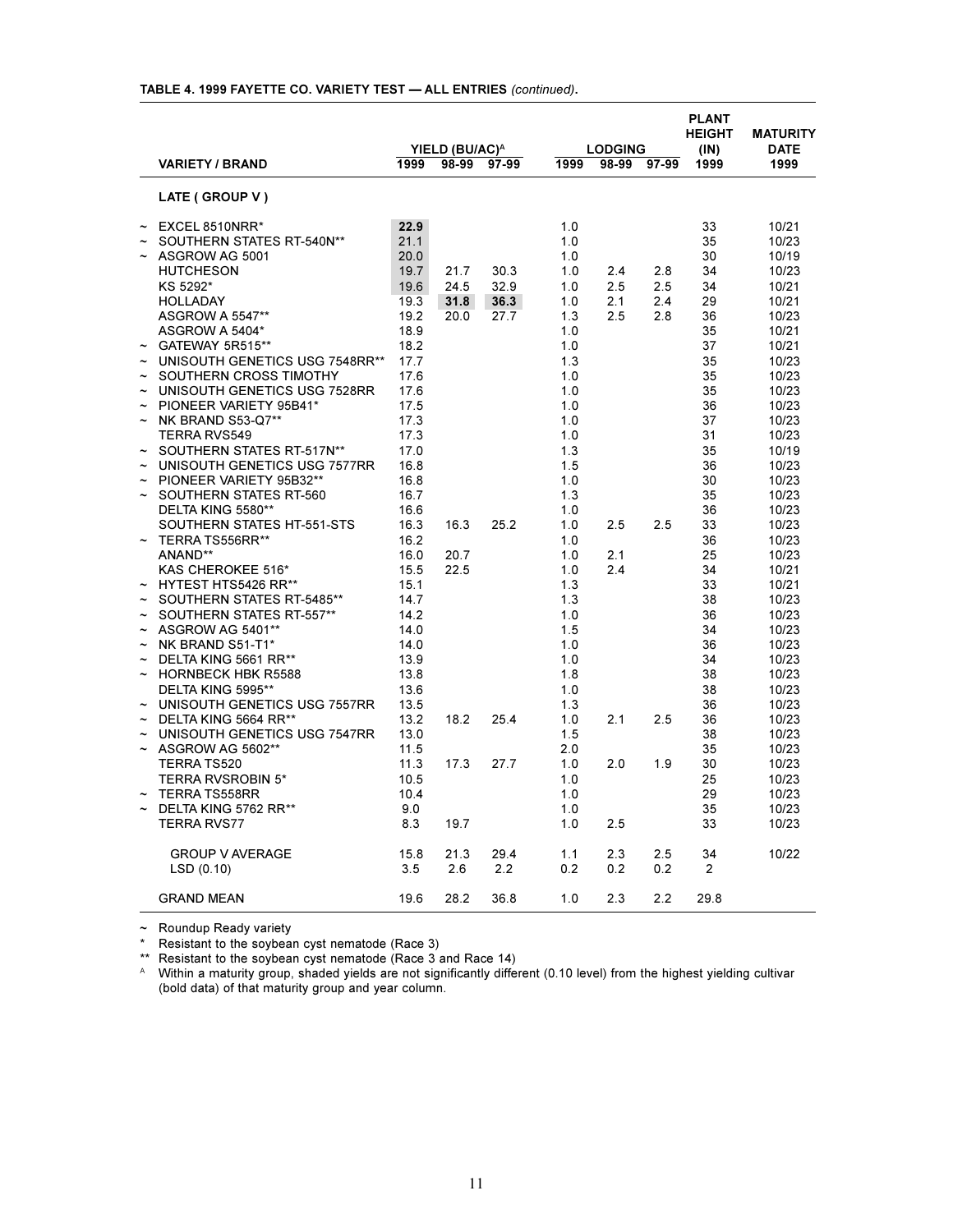| YIELD (BU/AC) <sup>A</sup> |                                |      |       |       |      | <b>LODGING</b> |             | <b>PLANT</b><br><b>HEIGHT</b> | <b>MATURITY</b>     |
|----------------------------|--------------------------------|------|-------|-------|------|----------------|-------------|-------------------------------|---------------------|
|                            | <b>VARIETY / BRAND</b>         | 1999 | 98-99 | 97-99 | 1999 |                | 98-99 97-99 | (IN)<br>1999                  | <b>DATE</b><br>1999 |
|                            | LATE (GROUP V)                 |      |       |       |      |                |             |                               |                     |
|                            | EXCEL 8510NRR*                 | 22.9 |       |       | 1.0  |                |             | 33                            | 10/21               |
|                            | SOUTHERN STATES RT-540N**      | 21.1 |       |       | 1.0  |                |             | 35                            | 10/23               |
|                            | ASGROW AG 5001                 | 20.0 |       |       | 1.0  |                |             | 30                            | 10/19               |
|                            | <b>HUTCHESON</b>               | 19.7 | 21.7  | 30.3  | 1.0  | 2.4            | 2.8         | 34                            | 10/23               |
|                            | KS 5292*                       | 19.6 | 24.5  | 32.9  | 1.0  | 2.5            | 2.5         | 34                            | 10/21               |
|                            | <b>HOLLADAY</b>                | 19.3 | 31.8  | 36.3  | 1.0  | 2.1            | 2.4         | 29                            | 10/21               |
|                            | ASGROW A 5547**                | 19.2 | 20.0  | 27.7  | 1.3  | 2.5            | 2.8         | 36                            | 10/23               |
|                            | ASGROW A 5404*                 | 18.9 |       |       | 1.0  |                |             | 35                            | 10/21               |
|                            | GATEWAY 5R515**                | 18.2 |       |       | 1.0  |                |             | 37                            | 10/21               |
|                            | UNISOUTH GENETICS USG 7548RR** | 17.7 |       |       | 1.3  |                |             | 35                            | 10/23               |
|                            | SOUTHERN CROSS TIMOTHY         | 17.6 |       |       | 1.0  |                |             | 35                            | 10/23               |
|                            | UNISOUTH GENETICS USG 7528RR   | 17.6 |       |       | 1.0  |                |             | 35                            | 10/23               |
|                            | PIONEER VARIETY 95B41*         | 17.5 |       |       | 1.0  |                |             | 36                            | 10/23               |
|                            | NK BRAND S53-Q7**              | 17.3 |       |       | 1.0  |                |             | 37                            | 10/23               |
|                            | <b>TERRA RVS549</b>            | 17.3 |       |       | 1.0  |                |             | 31                            | 10/23               |
|                            | SOUTHERN STATES RT-517N**      | 17.0 |       |       | 1.3  |                |             | 35                            | 10/19               |
|                            | UNISOUTH GENETICS USG 7577RR   | 16.8 |       |       | 1.5  |                |             | 36                            | 10/23               |
|                            | PIONEER VARIETY 95B32**        | 16.8 |       |       | 1.0  |                |             | 30                            | 10/23               |
|                            | SOUTHERN STATES RT-560         | 16.7 |       |       | 1.3  |                |             | 35                            | 10/23               |
|                            | DELTA KING 5580**              | 16.6 |       |       | 1.0  |                |             | 36                            | 10/23               |
|                            | SOUTHERN STATES HT-551-STS     | 16.3 | 16.3  | 25.2  | 1.0  | 2.5            | 2.5         | 33                            | 10/23               |
|                            | TERRA TS556RR**                | 16.2 |       |       | 1.0  |                |             | 36                            | 10/23               |
|                            | ANAND**                        | 16.0 | 20.7  |       | 1.0  | 2.1            |             | 25                            | 10/23               |
|                            | KAS CHEROKEE 516*              | 15.5 | 22.5  |       | 1.0  | 2.4            |             | 34                            | 10/21               |
|                            | <b>HYTEST HTS5426 RR**</b>     | 15.1 |       |       | 1.3  |                |             | 33                            | 10/21               |
|                            | SOUTHERN STATES RT-5485**      | 14.7 |       |       | 1.3  |                |             | 38                            | 10/23               |
|                            | SOUTHERN STATES RT-557**       | 14.2 |       |       | 1.0  |                |             | 36                            | 10/23               |
|                            | ASGROW AG 5401**               | 14.0 |       |       | 1.5  |                |             | 34                            | 10/23               |
|                            | NK BRAND S51-T1*               | 14.0 |       |       | 1.0  |                |             | 36                            | 10/23               |
|                            | DELTA KING 5661 RR**           | 13.9 |       |       | 1.0  |                |             | 34                            | 10/23               |
|                            | <b>HORNBECK HBK R5588</b>      | 13.8 |       |       | 1.8  |                |             | 38                            | 10/23               |
|                            | DELTA KING 5995**              | 13.6 |       |       | 1.0  |                |             | 38                            | 10/23               |
|                            | UNISOUTH GENETICS USG 7557RR   | 13.5 |       |       | 1.3  |                |             | 36                            | 10/23               |
|                            | DELTA KING 5664 RR**           | 13.2 | 18.2  | 25.4  | 1.0  | 2.1            | 2.5         | 36                            | 10/23               |
|                            | UNISOUTH GENETICS USG 7547RR   | 13.0 |       |       | 1.5  |                |             | 38                            | 10/23               |
|                            | ASGROW AG 5602**               | 11.5 |       |       | 2.0  |                |             | 35                            | 10/23               |
|                            | <b>TERRA TS520</b>             | 11.3 | 17.3  | 27.7  | 1.0  | 2.0            | 1.9         | 30                            | 10/23               |
|                            | <b>TERRA RVSROBIN 5*</b>       | 10.5 |       |       | 1.0  |                |             | 25                            | 10/23               |
|                            | <b>TERRA TS558RR</b>           | 10.4 |       |       | 1.0  |                |             | 29                            | 10/23               |
|                            | DELTA KING 5762 RR**           | 9.0  |       |       | 1.0  |                |             | 35                            | 10/23               |
|                            | TERRA RVS77                    | 8.3  | 19.7  |       | 1.0  | 2.5            |             | 33                            | 10/23               |
|                            | <b>GROUP V AVERAGE</b>         | 15.8 | 21.3  | 29.4  | 1.1  | 2.3            | 2.5         | 34                            | 10/22               |
|                            | LSD(0.10)                      | 3.5  | 2.6   | 2.2   | 0.2  | 0.2            | 0.2         | $\overline{2}$                |                     |
|                            | <b>GRAND MEAN</b>              | 19.6 | 28.2  | 36.8  | 1.0  | 2.3            | 2.2         | 29.8                          |                     |

# **TABLE 4. 1999 FAYETTE CO. VARIETY TEST ALL ENTRIES** *(continued)***.**

 $\sim$  Roundup Ready variety

\* Resistant to the soybean cyst nematode (Race 3)

\*\* Resistant to the soybean cyst nematode (Race 3 and Race 14)

 $\textsuperscript{A}$  Within a maturity group, shaded yields are not significantly different (0.10 level) from the highest yielding cultivar (bold data) of that maturity group and year column.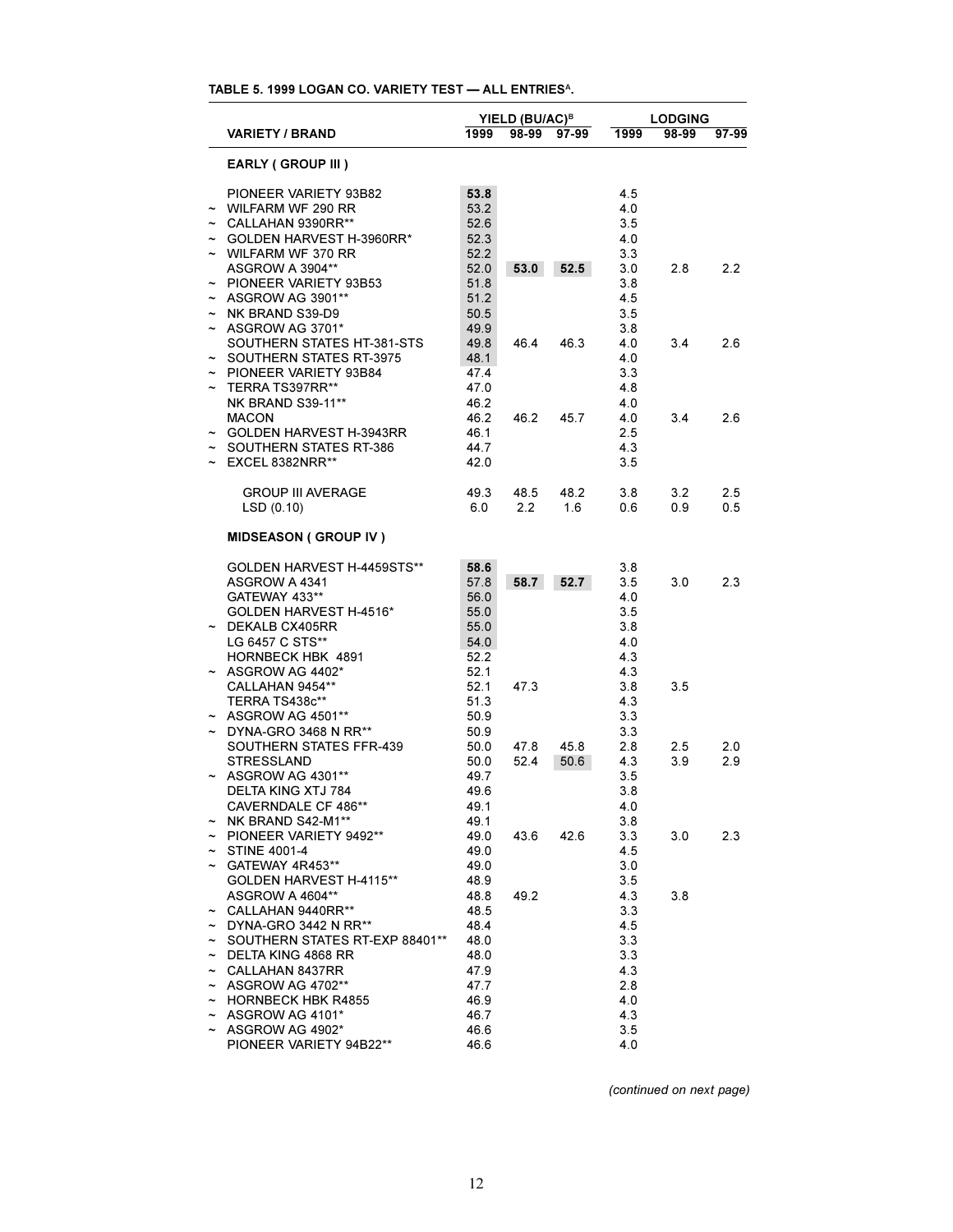# **TABLE 5. 1999 LOGAN CO. VARIETY TEST ALL ENTRIES<sup>A</sup>.**

|                           |                                            |              | YIELD (BU/AC) <sup>B</sup> |       | <b>LODGING</b> |       |       |  |
|---------------------------|--------------------------------------------|--------------|----------------------------|-------|----------------|-------|-------|--|
|                           | <b>VARIETY / BRAND</b>                     | 1999         | 98-99                      | 97-99 | 1999           | 98-99 | 97-99 |  |
|                           | <b>EARLY (GROUP III)</b>                   |              |                            |       |                |       |       |  |
|                           | PIONEER VARIETY 93B82                      | 53.8         |                            |       | 4.5            |       |       |  |
|                           | WILFARM WF 290 RR                          | 53.2         |                            |       | 4.0            |       |       |  |
|                           | $\sim$ CALLAHAN 9390RR**                   | 52.6         |                            |       | 3.5            |       |       |  |
|                           | $\sim$ GOLDEN HARVEST H-3960RR*            | 52.3         |                            |       | 4.0            |       |       |  |
|                           | $\sim$ WILFARM WF 370 RR                   | 52.2         |                            |       | 3.3            |       |       |  |
|                           | <b>ASGROW A 3904**</b>                     | 52.0         | 53.0                       | 52.5  | 3.0            | 2.8   | 2.2   |  |
|                           | ~ PIONEER VARIETY 93B53                    | 51.8         |                            |       | 3.8            |       |       |  |
|                           | $\sim$ ASGROW AG 3901**                    | 51.2         |                            |       | 4.5            |       |       |  |
|                           | $\sim$ NK BRAND S39-D9                     | 50.5         |                            |       | 3.5            |       |       |  |
|                           | $\sim$ ASGROW AG 3701*                     | 49.9         |                            |       | 3.8            |       |       |  |
|                           | SOUTHERN STATES HT-381-STS                 | 49.8         | 46.4                       | 46.3  | 4.0            | 3.4   | 2.6   |  |
|                           | $\sim$ SOUTHERN STATES RT-3975             | 48.1         |                            |       | 4.0            |       |       |  |
|                           | $\sim$ PIONEER VARIETY 93B84               | 47.4         |                            |       | 3.3            |       |       |  |
| $\widetilde{\phantom{m}}$ | TERRA TS397RR**                            | 47.0         |                            |       | 4.8            |       |       |  |
|                           | <b>NK BRAND S39-11**</b>                   | 46.2         |                            |       | 4.0            |       |       |  |
|                           | <b>MACON</b>                               | 46.2         | 46.2                       | 45.7  | 4.0            | 3.4   | 2.6   |  |
|                           | ~ GOLDEN HARVEST H-3943RR                  | 46.1         |                            |       | 2.5            |       |       |  |
|                           | $\sim$ SOUTHERN STATES RT-386              | 44.7         |                            |       | 4.3            |       |       |  |
|                           | $\sim$ EXCEL 8382NRR**                     | 42.0         |                            |       | 3.5            |       |       |  |
|                           | <b>GROUP III AVERAGE</b>                   | 49.3         | 48.5                       | 48.2  | 3.8            | 3.2   | 2.5   |  |
|                           | LSD(0.10)                                  | 6.0          | $2.2^{\circ}$              | 1.6   | 0.6            | 0.9   | 0.5   |  |
|                           | <b>MIDSEASON (GROUP IV)</b>                |              |                            |       |                |       |       |  |
|                           | GOLDEN HARVEST H-4459STS**                 | 58.6         |                            |       | 3.8            |       |       |  |
|                           | ASGROW A 4341                              | 57.8         | 58.7                       | 52.7  | 3.5            | 3.0   | 2.3   |  |
|                           | GATEWAY 433**                              | 56.0         |                            |       | 4.0            |       |       |  |
|                           | GOLDEN HARVEST H-4516*                     | 55.0         |                            |       | 3.5            |       |       |  |
|                           | $\sim$ DEKALB CX405RR                      | 55.0         |                            |       | 3.8            |       |       |  |
|                           | LG 6457 C STS**                            | 54.0         |                            |       | 4.0            |       |       |  |
|                           | HORNBECK HBK 4891                          | 52.2         |                            |       | 4.3            |       |       |  |
|                           | $\sim$ ASGROW AG 4402*                     | 52.1         |                            |       | 4.3            |       |       |  |
|                           | CALLAHAN 9454**                            | 52.1         | 47.3                       |       | 3.8            | 3.5   |       |  |
|                           | TERRA TS438c**                             | 51.3         |                            |       | 4.3            |       |       |  |
|                           | $\sim$ ASGROW AG 4501**                    | 50.9         |                            |       | 3.3            |       |       |  |
|                           | $\sim$ DYNA-GRO 3468 N RR**                | 50.9         |                            |       | 3.3            |       |       |  |
|                           | SOUTHERN STATES FFR-439                    | 50.0         | 47.8                       | 45.8  | 2.8            | 2.5   | 2.0   |  |
|                           | <b>STRESSLAND</b>                          | 50.0         | 52.4                       | 50.6  | 4.3            | 3.9   | 2.9   |  |
|                           | ~ ASGROW AG 4301**                         | 49.7         |                            |       | 3.5            |       |       |  |
|                           | DELTA KING XTJ 784                         | 49.6         |                            |       | 3.8            |       |       |  |
|                           | CAVERNDALE CF 486**                        | 49.1         |                            |       | 4.0            |       |       |  |
|                           | NK BRAND S42-M1**                          | 49.1         |                            |       | 3.8            |       |       |  |
|                           | $\sim$ PIONEER VARIETY 9492**              | 49.0         | 43.6                       | 42.6  | 3.3            | 3.0   | 2.3   |  |
|                           | $\sim$ STINE 4001-4                        | 49.0         |                            |       | 4.5            |       |       |  |
|                           | $\sim$ GATEWAY 4R453**                     | 49.0         |                            |       | 3.0            |       |       |  |
|                           | GOLDEN HARVEST H-4115**                    | 48.9         |                            |       | 3.5            |       |       |  |
|                           | ASGROW A 4604**                            | 48.8         | 49.2                       |       | 4.3            | 3.8   |       |  |
|                           | $\sim$ CALLAHAN 9440RR**                   | 48.5         |                            |       | 3.3            |       |       |  |
|                           | $\sim$ DYNA-GRO 3442 N RR**                | 48.4         |                            |       | 4.5            |       |       |  |
|                           | ~ SOUTHERN STATES RT-EXP 88401**           | 48.0         |                            |       | 3.3            |       |       |  |
|                           | $\sim$ DELTA KING 4868 RR                  | 48.0         |                            |       | 3.3            |       |       |  |
|                           | $\sim$ CALLAHAN 8437RR                     | 47.9         |                            |       | 4.3            |       |       |  |
|                           | $\sim$ ASGROW AG 4702**                    | 47.7         |                            |       | 2.8            |       |       |  |
|                           | $\sim$ HORNBECK HBK R4855                  | 46.9         |                            |       | 4.0            |       |       |  |
| $\tilde{\phantom{a}}$     | ASGROW AG 4101*                            | 46.7         |                            |       | 4.3<br>3.5     |       |       |  |
| $\tilde{}$                | ASGROW AG 4902*<br>PIONEER VARIETY 94B22** | 46.6<br>46.6 |                            |       | 4.0            |       |       |  |
|                           |                                            |              |                            |       |                |       |       |  |

*(continued on next page)*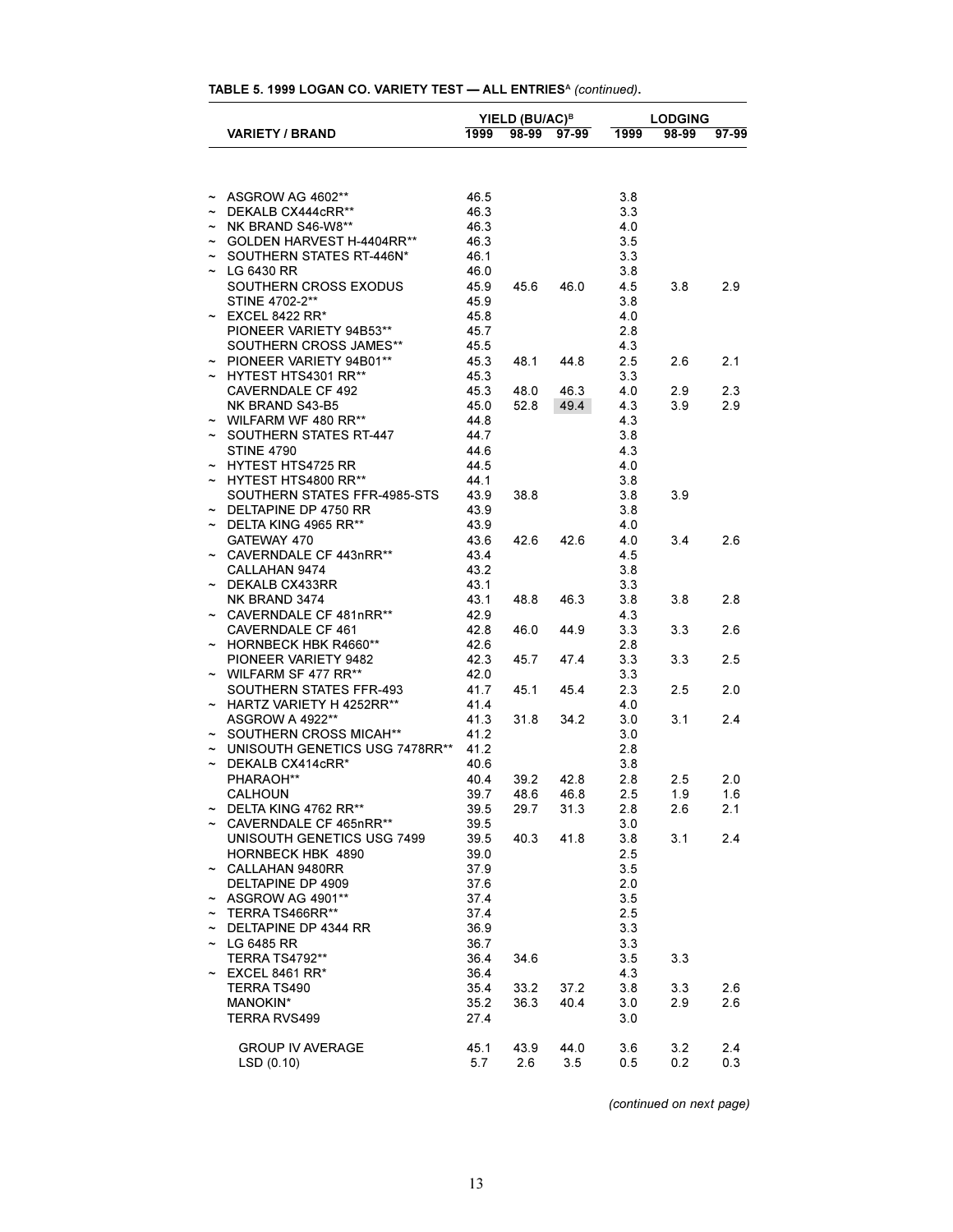| $\sim$ ASGROW AG 4602**             | 46.5         |      |      | 3.8        |     |     |
|-------------------------------------|--------------|------|------|------------|-----|-----|
| $\sim$ DEKALB CX444cRR**            | 46.3         |      |      | 3.3        |     |     |
| $\sim$ NK BRAND S46-W8**            | 46.3         |      |      | 4.0        |     |     |
| ~ GOLDEN HARVEST H-4404RR**         | 46.3         |      |      | 3.5        |     |     |
| $\sim$ SOUTHERN STATES RT-446N*     | 46.1         |      |      | 3.3        |     |     |
|                                     | 46.0         |      |      |            |     |     |
| $\sim$ LG 6430 RR                   |              |      |      | 3.8        |     |     |
| SOUTHERN CROSS EXODUS               | 45.9         | 45.6 | 46.0 | 4.5        | 3.8 | 2.9 |
| STINE 4702-2**                      | 45.9         |      |      | 3.8        |     |     |
| $\sim$ EXCEL 8422 RR*               | 45.8         |      |      | 4.0        |     |     |
| PIONEER VARIETY 94B53**             | 45.7         |      |      | 2.8        |     |     |
| SOUTHERN CROSS JAMES**              | 45.5         |      |      | 4.3        |     |     |
| $\sim$ PIONEER VARIETY 94B01**      | 45.3         | 48.1 | 44.8 | 2.5        | 2.6 | 2.1 |
| $\sim$ HYTEST HTS4301 RR**          | 45.3         |      |      | 3.3        |     |     |
| <b>CAVERNDALE CF 492</b>            | 45.3         | 48.0 | 46.3 | 4.0        | 2.9 | 2.3 |
| NK BRAND S43-B5                     | 45.0         | 52.8 | 49.4 | 4.3        | 3.9 | 2.9 |
| $\sim$ WILFARM WF 480 RR**          | 44.8         |      |      | 4.3        |     |     |
| ~ SOUTHERN STATES RT-447            | 44.7         |      |      | 3.8        |     |     |
| <b>STINE 4790</b>                   | 44.6         |      |      | 4.3        |     |     |
| $\sim$ HYTEST HTS4725 RR            | 44.5         |      |      | 4.0        |     |     |
| $\sim$ HYTEST HTS4800 RR**          | 44.1         |      |      | 3.8        |     |     |
| SOUTHERN STATES FFR-4985-STS        | 43.9         | 38.8 |      | 3.8        | 3.9 |     |
| $\sim$ DELTAPINE DP 4750 RR         | 43.9         |      |      | 3.8        |     |     |
| $\sim$ DELTA KING 4965 RR**         | 43.9         |      |      | 4.0        |     |     |
| GATEWAY 470                         | 43.6         | 42.6 | 42.6 | 4.0        | 3.4 | 2.6 |
| ~ CAVERNDALE CF 443nRR**            | 43.4         |      |      | 4.5        |     |     |
| CALLAHAN 9474                       | 43.2         |      |      | 3.8        |     |     |
| $~\sim~$ DEKALB CX433RR             | 43.1         |      |      | 3.3        |     |     |
| NK BRAND 3474                       | 43.1         | 48.8 | 46.3 | 3.8        | 3.8 | 2.8 |
| $\sim$ CAVERNDALE CF 481nRR**       | 42.9         |      |      | 4.3        |     |     |
| CAVERNDALE CF 461                   | 42.8         | 46.0 | 44.9 | 3.3        | 3.3 | 2.6 |
| ~ HORNBECK HBK R4660**              | 42.6         |      |      | 2.8        |     |     |
| PIONEER VARIETY 9482                | 42.3         | 45.7 | 47.4 | 3.3        | 3.3 | 2.5 |
| $\sim$ WILFARM SF 477 RR**          | 42.0         |      |      | 3.3        |     |     |
| SOUTHERN STATES FFR-493             | 41.7         | 45.1 | 45.4 | 2.3        | 2.5 | 2.0 |
| $\sim$ HARTZ VARIETY H 4252RR**     | 41.4         |      |      | 4.0        |     |     |
| <b>ASGROW A 4922**</b>              | 41.3         | 31.8 | 34.2 | 3.0        | 3.1 | 2.4 |
| ~ SOUTHERN CROSS MICAH**            | 41.2         |      |      | 3.0        |     |     |
| ~ UNISOUTH GENETICS USG 7478RR**    | 41.2         |      |      | 2.8        |     |     |
| $\sim$ DEKALB CX414cRR*             | 40.6         |      |      | 3.8        |     |     |
| PHARAOH**                           | 40.4         | 39.2 | 42.8 | 2.8        | 2.5 | 2.0 |
| <b>CALHOUN</b>                      | 39.7         | 48.6 | 46.8 | 2.5        | 1.9 | 1.6 |
| $\sim$ DELTA KING 4762 RR**         | 39.5         | 29.7 | 31.3 | 2.8        | 2.6 | 2.1 |
| ~ CAVERNDALE CF 465nRR**            | 39.5         |      |      | 3.0        |     |     |
| UNISOUTH GENETICS USG 7499          | 39.5         | 40.3 | 41.8 | 3.8        | 3.1 | 2.4 |
| HORNBECK HBK 4890                   | 39.0         |      |      | 2.5        |     |     |
| $\sim$ CALLAHAN 9480RR              | 37.9         |      |      | 3.5        |     |     |
| DELTAPINE DP 4909                   | 37.6         |      |      | 2.0        |     |     |
| $\sim$ ASGROW AG 4901**             | 37.4         |      |      | 3.5        |     |     |
| $~\sim~$ TERRA TS466RR**            |              |      |      |            |     |     |
| $\sim$ DELTAPINE DP 4344 RR         | 37.4<br>36.9 |      |      | 2.5<br>3.3 |     |     |
|                                     |              |      |      |            |     |     |
| $\sim$ LG 6485 RR<br>TERRA TS4792** | 36.7         |      |      | 3.3        |     |     |
|                                     | 36.4         | 34.6 |      | 3.5        | 3.3 |     |
| $\sim$ EXCEL 8461 RR*               | 36.4         |      |      | 4.3        |     |     |
| TERRA TS490                         | 35.4         | 33.2 | 37.2 | 3.8        | 3.3 | 2.6 |
| MANOKIN*                            | 35.2         | 36.3 | 40.4 | 3.0        | 2.9 | 2.6 |
| TERRA RVS499                        | 27.4         |      |      | 3.0        |     |     |
|                                     |              |      |      |            |     |     |
| <b>GROUP IV AVERAGE</b>             | 45.1         | 43.9 | 44.0 | 3.6        | 3.2 | 2.4 |
| LSD(0.10)                           | 5.7          | 2.6  | 3.5  | 0.5        | 0.2 | 0.3 |

**TABLE 5. 1999 LOGAN CO. VARIETY TEST ALL ENTRIES<sup>A</sup>** *(continued)***.**

**VARIETY / BRAND 1999 98-99 97-99 1999 98-99 97-99**

**YIELD (BU/AC)<sup>B</sup> LODGING**

*(continued on next page)*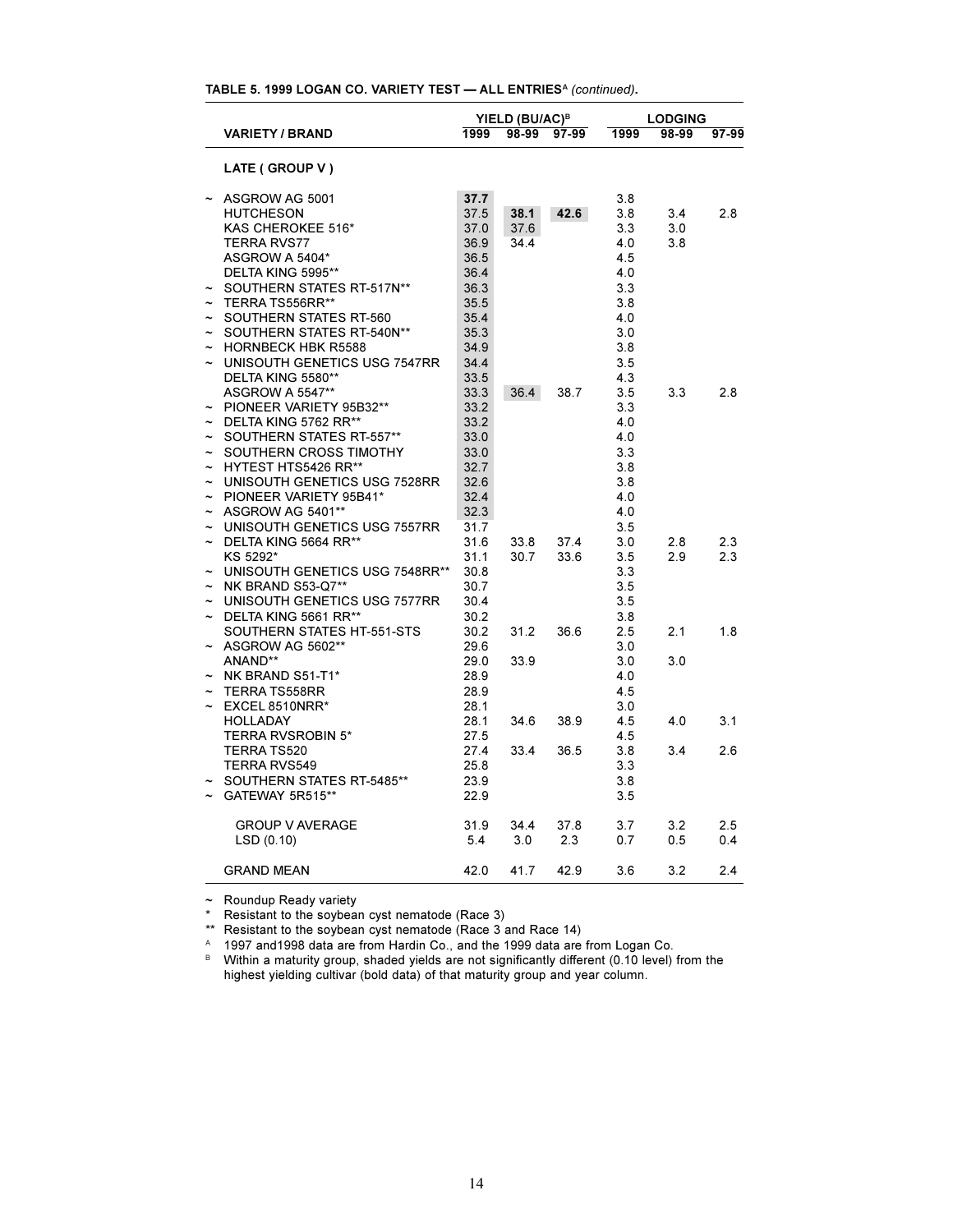| TABLE 5. 1999 LOGAN CO. VARIETY TEST - ALL ENTRIES <sup>A</sup> (continued). |  |  |  |
|------------------------------------------------------------------------------|--|--|--|
|------------------------------------------------------------------------------|--|--|--|

|                       |                                        |              | YIELD (BU/AC) <sup>B</sup> |       | <b>LODGING</b> |       |       |  |
|-----------------------|----------------------------------------|--------------|----------------------------|-------|----------------|-------|-------|--|
|                       | <b>VARIETY / BRAND</b>                 | 1999         | 98-99                      | 97-99 | 1999           | 98-99 | 97-99 |  |
|                       | LATE (GROUP V)                         |              |                            |       |                |       |       |  |
|                       | ASGROW AG 5001                         | 37.7         |                            |       | 3.8            |       |       |  |
|                       | <b>HUTCHESON</b>                       | 37.5         | 38.1                       | 42.6  | 3.8            | 3.4   | 2.8   |  |
|                       | KAS CHEROKEE 516*                      | 37.0         | 37.6                       |       | 3.3            | 3.0   |       |  |
|                       | <b>TERRA RVS77</b>                     | 36.9         | 34.4                       |       | 4.0            | 3.8   |       |  |
|                       | ASGROW A 5404*                         | 36.5         |                            |       | 4.5            |       |       |  |
|                       | DELTA KING 5995**                      | 36.4         |                            |       | 4.0            |       |       |  |
|                       | SOUTHERN STATES RT-517N**              | 36.3         |                            |       | 3.3            |       |       |  |
|                       | TERRA TS556RR**                        | 35.5         |                            |       | 3.8            |       |       |  |
|                       | SOUTHERN STATES RT-560                 | 35.4         |                            |       | 4.0            |       |       |  |
|                       | SOUTHERN STATES RT-540N**              | 35.3         |                            |       | 3.0            |       |       |  |
| $\tilde{\phantom{a}}$ | <b>HORNBECK HBK R5588</b>              | 34.9         |                            |       | 3.8            |       |       |  |
|                       | UNISOUTH GENETICS USG 7547RR           | 34.4         |                            |       | 3.5            |       |       |  |
|                       | DELTA KING 5580**                      | 33.5         |                            |       | 4.3            |       |       |  |
|                       | ASGROW A 5547**                        | 33.3         | 36.4                       | 38.7  | 3.5            | 3.3   | 2.8   |  |
|                       | PIONEER VARIETY 95B32**                | 33.2         |                            |       | 3.3            |       |       |  |
|                       | DELTA KING 5762 RR**                   | 33.2         |                            |       | 4.0            |       |       |  |
|                       | SOUTHERN STATES RT-557**               | 33.0         |                            |       | 4.0            |       |       |  |
|                       | ~ SOUTHERN CROSS TIMOTHY               | 33.0         |                            |       | 3.3            |       |       |  |
|                       | $\sim$ HYTEST HTS5426 RR**             | 32.7         |                            |       | 3.8            |       |       |  |
|                       | ~ UNISOUTH GENETICS USG 7528RR         | 32.6         |                            |       | 3.8            |       |       |  |
|                       | ~ PIONEER VARIETY 95B41*               | 32.4         |                            |       | 4.0            |       |       |  |
|                       | $\sim$ ASGROW AG 5401**                | 32.3         |                            |       | 4.0            |       |       |  |
|                       | UNISOUTH GENETICS USG 7557RR           | 31.7         |                            |       | 3.5            |       |       |  |
|                       | DELTA KING 5664 RR**                   | 31.6         | 33.8                       | 37.4  | 3.0            | 2.8   | 2.3   |  |
|                       | KS 5292*                               | 31.1         | 30.7                       | 33.6  | 3.5            | 2.9   | 2.3   |  |
|                       | ~ UNISOUTH GENETICS USG 7548RR**       | 30.8         |                            |       | 3.3            |       |       |  |
|                       | $\sim$ NK BRAND S53-Q7**               | 30.7         |                            |       | 3.5            |       |       |  |
|                       | ~ UNISOUTH GENETICS USG 7577RR         | 30.4         |                            |       | 3.5            |       |       |  |
|                       | $\sim$ DELTA KING 5661 RR**            | 30.2         |                            |       | 3.8            |       |       |  |
|                       | SOUTHERN STATES HT-551-STS             | 30.2         | 31.2                       | 36.6  | 2.5            | 2.1   | 1.8   |  |
|                       | ASGROW AG 5602**                       | 29.6         |                            |       | 3.0            |       |       |  |
|                       | ANAND**                                | 29.0         | 33.9                       |       | 3.0            | 3.0   |       |  |
|                       | NK BRAND S51-T1*                       | 28.9         |                            |       | 4.0            |       |       |  |
| $\tilde{}$            |                                        |              |                            |       | 4.5            |       |       |  |
|                       | <b>TERRA TS558RR</b><br>EXCEL 8510NRR* | 28.9<br>28.1 |                            |       | 3.0            |       |       |  |
|                       |                                        |              |                            |       |                |       |       |  |
|                       | <b>HOLLADAY</b>                        | 28.1         | 34.6                       | 38.9  | 4.5            | 4.0   | 3.1   |  |
|                       | <b>TERRA RVSROBIN 5*</b>               | 27.5         |                            |       | 4.5            |       |       |  |
|                       | <b>TERRA TS520</b>                     | 27.4         | 33.4                       | 36.5  | 3.8            | 3.4   | 2.6   |  |
|                       | <b>TERRA RVS549</b>                    | 25.8         |                            |       | 3.3            |       |       |  |
|                       | SOUTHERN STATES RT-5485**              | 23.9         |                            |       | 3.8            |       |       |  |
|                       | GATEWAY 5R515**                        | 22.9         |                            |       | 3.5            |       |       |  |
|                       | <b>GROUP V AVERAGE</b>                 | 31.9         | 34.4                       | 37.8  | 3.7            | 3.2   | 2.5   |  |
|                       | LSD(0.10)                              | 5.4          | 3.0                        | 2.3   | 0.7            | 0.5   | 0.4   |  |
|                       | <b>GRAND MEAN</b>                      | 42.0         | 41.7                       | 42.9  | 3.6            | 3.2   | 2.4   |  |

 $\sim$  Roundup Ready variety

\* Resistant to the soybean cyst nematode (Race 3)

\*\* Resistant to the soybean cyst nematode (Race 3 and Race 14)

A 1997 and 1998 data are from Hardin Co., and the 1999 data are from Logan Co.

B Within a maturity group, shaded yields are not significantly different (0.10 level) from the highest yielding cultivar (bold data) of that maturity group and year column.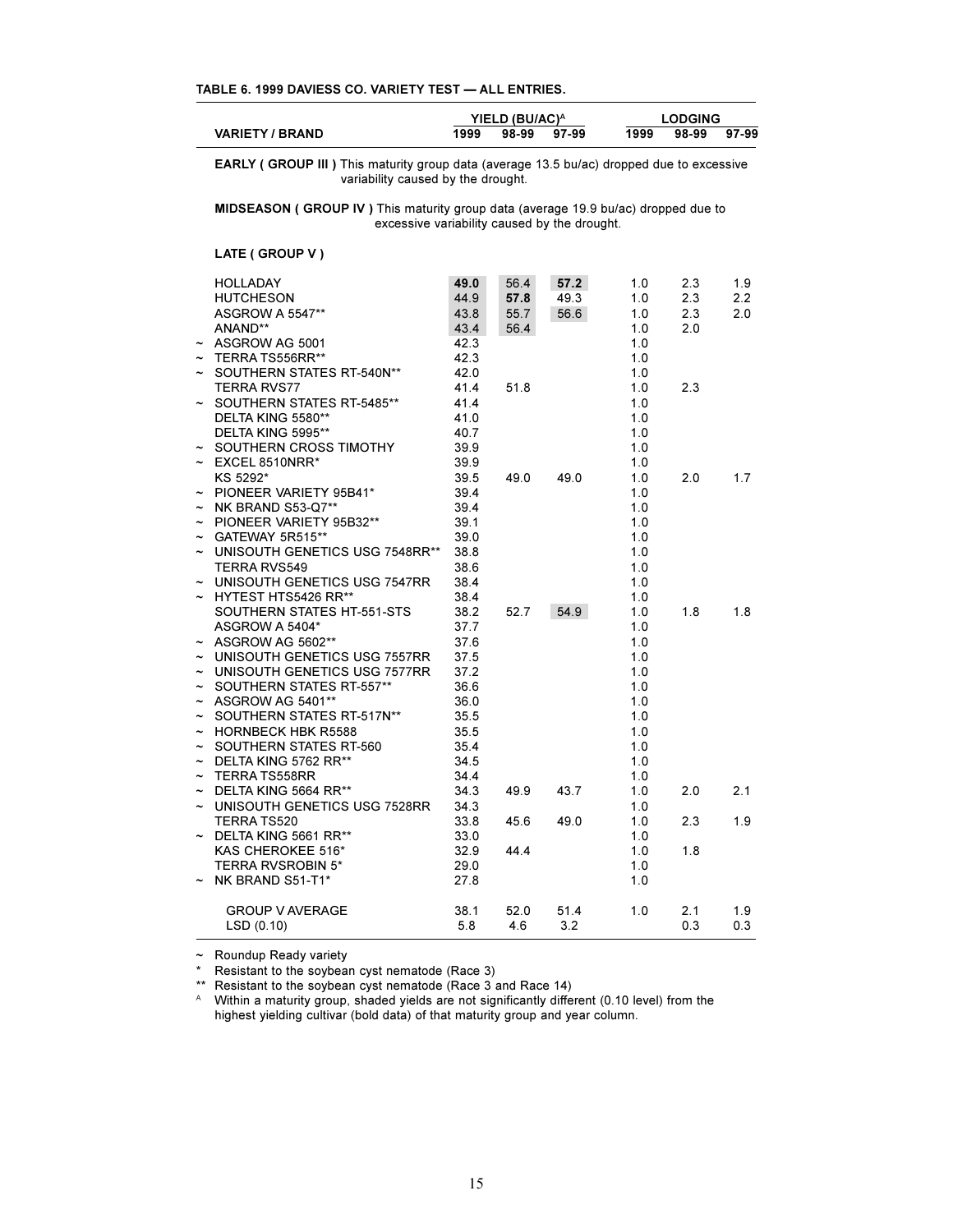|  |  | TABLE 6, 1999 DAVIESS CO. VARIETY TEST - ALL ENTRIES. |  |
|--|--|-------------------------------------------------------|--|
|--|--|-------------------------------------------------------|--|

|                           |                                                                                                                                          |      | YIELD (BU/AC) <sup>A</sup> |       |      | <b>LODGING</b> |       |  |  |  |
|---------------------------|------------------------------------------------------------------------------------------------------------------------------------------|------|----------------------------|-------|------|----------------|-------|--|--|--|
|                           | <b>VARIETY / BRAND</b>                                                                                                                   | 1999 | 98-99                      | 97-99 | 1999 | 98-99          | 97-99 |  |  |  |
|                           | <b>EARLY (GROUP III)</b> This maturity group data (average 13.5 bu/ac) dropped due to excessive<br>variability caused by the drought.    |      |                            |       |      |                |       |  |  |  |
|                           | <b>MIDSEASON (GROUP IV)</b> This maturity group data (average 19.9 bu/ac) dropped due to<br>excessive variability caused by the drought. |      |                            |       |      |                |       |  |  |  |
|                           | LATE (GROUP V)                                                                                                                           |      |                            |       |      |                |       |  |  |  |
|                           | HOLLADAY                                                                                                                                 | 49.0 | 56.4                       | 57.2  | 1.0  | 2.3            | 1.9   |  |  |  |
|                           | <b>HUTCHESON</b>                                                                                                                         | 44.9 | 57.8                       | 49.3  | 1.0  | 2.3            | 2.2   |  |  |  |
|                           | <b>ASGROW A 5547**</b>                                                                                                                   | 43.8 | 55.7                       | 56.6  | 1.0  | 2.3            | 2.0   |  |  |  |
|                           | ANAND**                                                                                                                                  | 43.4 | 56.4                       |       | 1.0  | 2.0            |       |  |  |  |
|                           | ASGROW AG 5001                                                                                                                           | 42.3 |                            |       | 1.0  |                |       |  |  |  |
|                           | TERRA TS556RR**                                                                                                                          | 42.3 |                            |       | 1.0  |                |       |  |  |  |
|                           | SOUTHERN STATES RT-540N**                                                                                                                | 42.0 |                            |       | 1.0  |                |       |  |  |  |
|                           | <b>TERRA RVS77</b>                                                                                                                       | 41.4 | 51.8                       |       | 1.0  | 2.3            |       |  |  |  |
|                           | SOUTHERN STATES RT-5485**                                                                                                                | 41.4 |                            |       | 1.0  |                |       |  |  |  |
|                           | DELTA KING 5580**                                                                                                                        | 41.0 |                            |       | 1.0  |                |       |  |  |  |
|                           | DELTA KING 5995**                                                                                                                        | 40.7 |                            |       | 1.0  |                |       |  |  |  |
|                           | SOUTHERN CROSS TIMOTHY                                                                                                                   | 39.9 |                            |       | 1.0  |                |       |  |  |  |
|                           | EXCEL 8510NRR*                                                                                                                           | 39.9 |                            |       | 1.0  |                |       |  |  |  |
|                           | KS 5292*                                                                                                                                 | 39.5 | 49.0                       | 49.0  | 1.0  | 2.0            | 1.7   |  |  |  |
|                           | PIONEER VARIETY 95B41*                                                                                                                   | 39.4 |                            |       | 1.0  |                |       |  |  |  |
| $\tilde{\phantom{a}}$     | NK BRAND S53-Q7**                                                                                                                        | 39.4 |                            |       | 1.0  |                |       |  |  |  |
|                           | PIONEER VARIETY 95B32**                                                                                                                  | 39.1 |                            |       | 1.0  |                |       |  |  |  |
|                           | GATEWAY 5R515**                                                                                                                          | 39.0 |                            |       | 1.0  |                |       |  |  |  |
| $\tilde{}$                | UNISOUTH GENETICS USG 7548RR**                                                                                                           | 38.8 |                            |       | 1.0  |                |       |  |  |  |
|                           | <b>TERRA RVS549</b>                                                                                                                      | 38.6 |                            |       | 1.0  |                |       |  |  |  |
|                           | UNISOUTH GENETICS USG 7547RR                                                                                                             | 38.4 |                            |       | 1.0  |                |       |  |  |  |
|                           | HYTEST HTS5426 RR**                                                                                                                      | 38.4 |                            |       | 1.0  |                |       |  |  |  |
|                           | SOUTHERN STATES HT-551-STS                                                                                                               | 38.2 | 52.7                       | 54.9  | 1.0  | 1.8            | 1.8   |  |  |  |
|                           | ASGROW A 5404*                                                                                                                           | 37.7 |                            |       | 1.0  |                |       |  |  |  |
|                           | ASGROW AG 5602**                                                                                                                         | 37.6 |                            |       | 1.0  |                |       |  |  |  |
| $\tilde{\phantom{a}}$     | UNISOUTH GENETICS USG 7557RR                                                                                                             | 37.5 |                            |       | 1.0  |                |       |  |  |  |
|                           | UNISOUTH GENETICS USG 7577RR                                                                                                             | 37.2 |                            |       | 1.0  |                |       |  |  |  |
|                           | SOUTHERN STATES RT-557**                                                                                                                 | 36.6 |                            |       | 1.0  |                |       |  |  |  |
| $\tilde{\phantom{a}}$     | ASGROW AG 5401**                                                                                                                         | 36.0 |                            |       | 1.0  |                |       |  |  |  |
|                           | SOUTHERN STATES RT-517N**                                                                                                                | 35.5 |                            |       | 1.0  |                |       |  |  |  |
| $\tilde{\phantom{a}}$     | <b>HORNBECK HBK R5588</b>                                                                                                                | 35.5 |                            |       | 1.0  |                |       |  |  |  |
| $\tilde{\phantom{a}}$     | SOUTHERN STATES RT-560                                                                                                                   | 35.4 |                            |       | 1.0  |                |       |  |  |  |
|                           | DELTA KING 5762 RR**                                                                                                                     | 34.5 |                            |       | 1.0  |                |       |  |  |  |
| $\tilde{}$                | <b>TERRA TS558RR</b>                                                                                                                     | 34.4 |                            |       | 1.0  |                |       |  |  |  |
| $\tilde{\phantom{a}}$     | DELTA KING 5664 RR**                                                                                                                     | 34.3 | 49.9                       | 43.7  | 1.0  | 2.0            | 2.1   |  |  |  |
|                           | ~ UNISOUTH GENETICS USG 7528RR                                                                                                           | 34.3 |                            |       | 1.0  |                |       |  |  |  |
|                           | TERRA TS520                                                                                                                              | 33.8 | 45.6                       | 49.0  | 1.0  | 2.3            | 1.9   |  |  |  |
|                           | $\sim$ DELTA KING 5661 RR**                                                                                                              | 33.0 |                            |       | 1.0  |                |       |  |  |  |
|                           | KAS CHEROKEE 516*                                                                                                                        | 32.9 | 44.4                       |       | 1.0  | 1.8            |       |  |  |  |
|                           | <b>TERRA RVSROBIN 5*</b>                                                                                                                 | 29.0 |                            |       | 1.0  |                |       |  |  |  |
| $\widetilde{\phantom{m}}$ | NK BRAND S51-T1*                                                                                                                         | 27.8 |                            |       | 1.0  |                |       |  |  |  |
|                           |                                                                                                                                          |      |                            |       |      |                |       |  |  |  |
|                           | <b>GROUP V AVERAGE</b>                                                                                                                   | 38.1 | 52.0                       | 51.4  | 1.0  | 2.1            | 1.9   |  |  |  |
|                           | LSD(0.10)                                                                                                                                | 5.8  | 4.6                        | 3.2   |      | 0.3            | 0.3   |  |  |  |
|                           |                                                                                                                                          |      |                            |       |      |                |       |  |  |  |

 $\sim$  Roundup Ready variety

\* Resistant to the soybean cyst nematode (Race 3)

\*\* Resistant to the soybean cyst nematode (Race 3 and Race 14)

<sup>A</sup> Within a maturity group, shaded yields are not significantly different (0.10 level) from the highest yielding cultivar (bold data) of that maturity group and year column.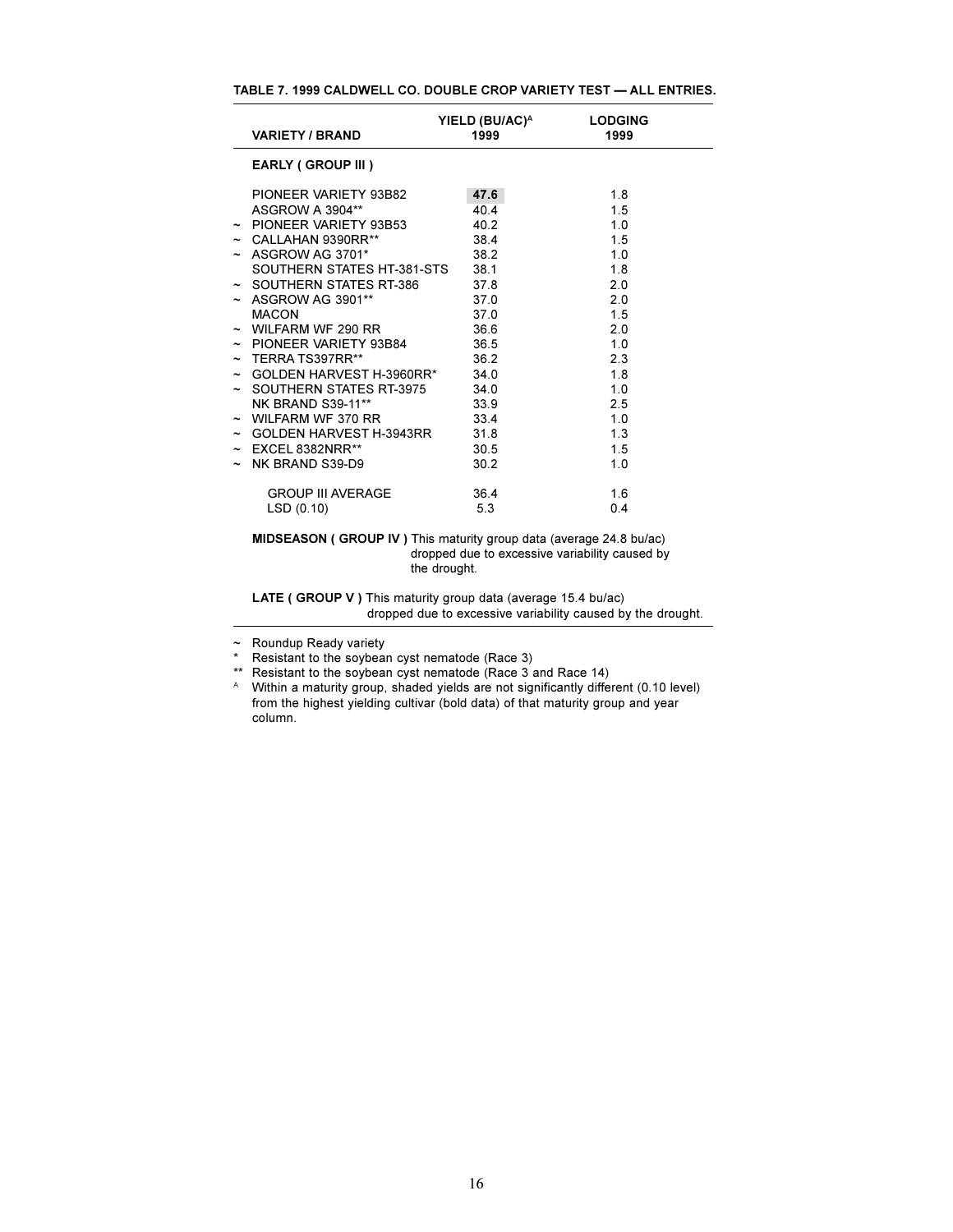| TABLE 7. 1999 CALDWELL CO. DOUBLE CROP VARIETY TEST — ALL ENTRIES. |  |  |
|--------------------------------------------------------------------|--|--|
|--------------------------------------------------------------------|--|--|

| <b>VARIETY / BRAND</b>               | YIELD (BU/AC) <sup>A</sup><br>1999 | <b>LODGING</b><br>1999 |
|--------------------------------------|------------------------------------|------------------------|
| <b>EARLY (GROUP III)</b>             |                                    |                        |
| PIONEER VARIETY 93B82                | 47.6                               | 1.8                    |
| ASGROW A 3904**                      | 404                                | 1.5                    |
| $\sim$ PIONEER VARIETY 93B53         | 40.2                               | 1.0                    |
| $\sim$ CALLAHAN 9390RR**             | 38.4                               | 1.5                    |
| $\sim$ ASGROW AG 3701*               | 38.2                               | 1.0                    |
| SOUTHERN STATES HT-381-STS           | 38.1                               | 1.8                    |
| $\sim$ SOUTHERN STATES RT-386        | 37.8                               | 2.0                    |
| $\sim$ ASGROW AG 3901**              | 37.0                               | 2.0                    |
| <b>MACON</b>                         | 37.0                               | 1.5                    |
| $\sim$ WILFARM WF 290 RR             | 36.6                               | 2.0                    |
| $\sim$ PIONEER VARIETY 93B84         | 36.5                               | 1 <sub>0</sub>         |
| $\sim$ TERRA TS397RR**               | 362                                | 2.3                    |
| $\sim$ GOLDEN HARVEST H-3960RR* 34.0 |                                    | 1.8                    |
| $\sim$ SOUTHERN STATES RT-3975 34.0  |                                    | 1.0                    |
| <b>NK BRAND S39-11**</b>             | 33.9                               | 2.5                    |
| $\sim$ WILFARM WF 370 RR 33.4        |                                    | 1.0                    |
| $\sim$ GOLDEN HARVEST H-3943RR       | 31.8                               | 1.3                    |
| $\sim$ FXCFI 8382NRR**               | 30.5                               | 1.5                    |
| $\sim$ NK BRAND S39-D9               | 30.2                               | 1.0                    |
| GROUP III AVERAGE                    | 36.4                               | 1.6                    |
| LSD(0.10)                            | 5.3                                | 0.4                    |

**MIDSEASON ( GROUP IV )** This maturity group data (average 24.8 bu/ac) dropped due to excessive variability caused by the drought.

**LATE ( GROUP V )** This maturity group data (average 15.4 bu/ac) dropped due to excessive variability caused by the drought.

 $\sim$  Roundup Ready variety

\* Resistant to the soybean cyst nematode (Race 3)

\*\* Resistant to the soybean cyst nematode (Race 3 and Race 14)

A Within a maturity group, shaded yields are not significantly different (0.10 level) from the highest yielding cultivar (bold data) of that maturity group and year column.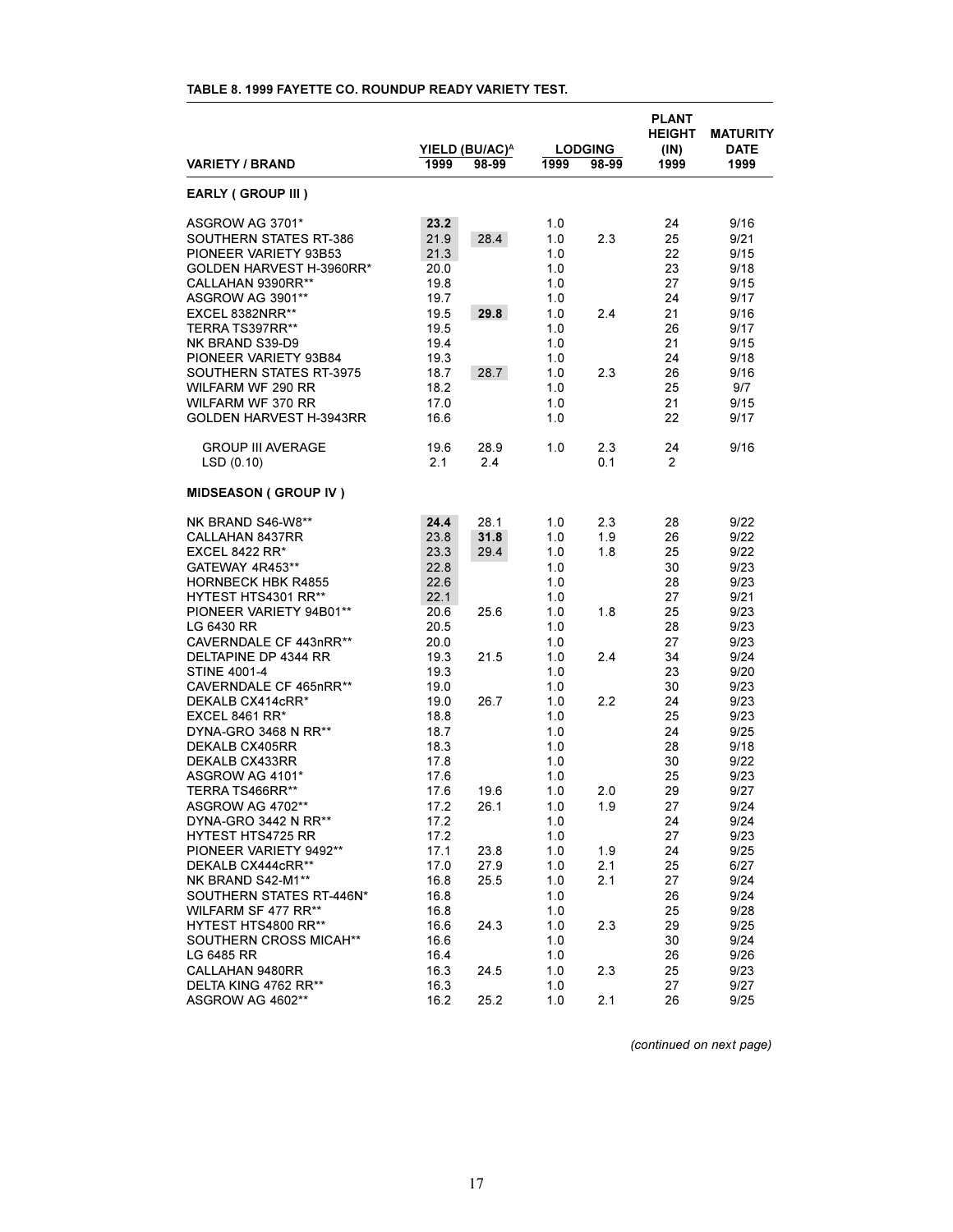| <b>VARIETY / BRAND</b>         | 1999 | YIELD (BU/AC) <sup>A</sup><br>98-99 | 1999 | <b>LODGING</b><br>98-99 | <b>PLANT</b><br><b>HEIGHT</b><br>(IN)<br>1999 | <b>MATURITY</b><br><b>DATE</b><br>1999 |
|--------------------------------|------|-------------------------------------|------|-------------------------|-----------------------------------------------|----------------------------------------|
| EARLY (GROUP III)              |      |                                     |      |                         |                                               |                                        |
| ASGROW AG 3701*                | 23.2 |                                     | 1.0  |                         | 24                                            | 9/16                                   |
| SOUTHERN STATES RT-386         | 21.9 | 28.4                                | 1.0  | 2.3                     | 25                                            | 9/21                                   |
| PIONEER VARIETY 93B53          | 21.3 |                                     | 1.0  |                         | 22                                            | 9/15                                   |
| GOLDEN HARVEST H-3960RR*       | 20.0 |                                     | 1.0  |                         | 23                                            | 9/18                                   |
| CALLAHAN 9390RR**              | 19.8 |                                     | 1.0  |                         | 27                                            | 9/15                                   |
| ASGROW AG 3901**               | 19.7 |                                     | 1.0  |                         | 24                                            | 9/17                                   |
| EXCEL 8382NRR**                | 19.5 | 29.8                                | 1.0  | 2.4                     | 21                                            | 9/16                                   |
| TERRA TS397RR**                | 19.5 |                                     | 1.0  |                         | 26                                            | 9/17                                   |
| NK BRAND S39-D9                | 19.4 |                                     | 1.0  |                         | 21                                            | 9/15                                   |
| PIONEER VARIETY 93B84          | 19.3 |                                     | 1.0  |                         | 24                                            | 9/18                                   |
| SOUTHERN STATES RT-3975        | 18.7 | 28.7                                | 1.0  | 2.3                     | 26                                            | 9/16                                   |
| WILFARM WF 290 RR              | 18.2 |                                     | 1.0  |                         | 25                                            | 9/7                                    |
| <b>WILFARM WF 370 RR</b>       | 17.0 |                                     | 1.0  |                         | 21                                            | 9/15                                   |
| <b>GOLDEN HARVEST H-3943RR</b> | 16.6 |                                     | 1.0  |                         | 22                                            | 9/17                                   |
| <b>GROUP III AVERAGE</b>       | 19.6 | 28.9                                | 1.0  | 2.3                     | 24                                            | 9/16                                   |
| LSD(0.10)                      | 2.1  | 2.4                                 |      | 0.1                     | $\overline{2}$                                |                                        |
| <b>MIDSEASON (GROUP IV)</b>    |      |                                     |      |                         |                                               |                                        |
| NK BRAND S46-W8**              | 24.4 | 28.1                                | 1.0  | 2.3                     | 28                                            | 9/22                                   |
| CALLAHAN 8437RR                | 23.8 | 31.8                                | 1.0  | 1.9                     | 26                                            | 9/22                                   |
| EXCEL 8422 RR $*$              | 23.3 | 29.4                                | 1.0  | 1.8                     | 25                                            | 9/22                                   |
| GATEWAY 4R453**                | 22.8 |                                     | 1.0  |                         | 30                                            | 9/23                                   |
| <b>HORNBECK HBK R4855</b>      | 22.6 |                                     | 1.0  |                         | 28                                            | 9/23                                   |
| <b>HYTEST HTS4301 RR**</b>     | 22.1 |                                     | 1.0  |                         | 27                                            | 9/21                                   |
| PIONEER VARIETY 94B01**        | 20.6 | 25.6                                | 1.0  | 1.8                     | 25                                            | 9/23                                   |
| LG 6430 RR                     | 20.5 |                                     | 1.0  |                         | 28                                            | 9/23                                   |
| CAVERNDALE CF 443nRR**         | 20.0 |                                     | 1.0  |                         | 27                                            | 9/23                                   |
| DELTAPINE DP 4344 RR           | 19.3 | 21.5                                | 1.0  | 2.4                     | 34                                            | 9/24                                   |
| <b>STINE 4001-4</b>            | 19.3 |                                     | 1.0  |                         | 23                                            | 9/20                                   |
| CAVERNDALE CF 465nRR**         | 19.0 |                                     | 1.0  |                         | 30                                            | 9/23                                   |
| DEKALB CX414cRR*               | 19.0 | 26.7                                | 1.0  | 2.2                     | 24                                            | 9/23                                   |
| EXCEL 8461 RR $*$              | 18.8 |                                     | 1.0  |                         | 25                                            | 9/23                                   |
| DYNA-GRO 3468 N RR**           | 18.7 |                                     | 1.0  |                         | 24                                            | 9/25                                   |
| DEKALB CX405RR                 | 18.3 |                                     | 1.0  |                         | 28                                            | 9/18                                   |
| DEKALB CX433RR                 | 17.8 |                                     | 1.0  |                         | 30                                            | 9/22                                   |
| ASGROW AG 4101*                | 17.6 |                                     | 1.0  |                         | 25                                            | 9/23                                   |
| TERRA TS466RR**                | 17.6 | 19.6                                | 1.0  | 2.0                     | 29                                            | 9/27                                   |
| ASGROW AG 4702**               | 17.2 | 26.1                                | 1.0  | 1.9                     | 27                                            | 9/24                                   |
| DYNA-GRO 3442 N RR**           | 17.2 |                                     | 1.0  |                         | 24                                            | 9/24                                   |
| <b>HYTEST HTS4725 RR</b>       | 17.2 |                                     | 1.0  |                         | 27                                            | 9/23                                   |
| PIONEER VARIETY 9492**         | 17.1 | 23.8                                | 1.0  | 1.9                     | 24                                            | 9/25                                   |
| DEKALB CX444cRR**              | 17.0 | 27.9                                | 1.0  | 2.1                     | 25                                            | 6/27                                   |
| NK BRAND S42-M1**              | 16.8 | 25.5                                | 1.0  | 2.1                     | 27                                            | 9/24                                   |
| SOUTHERN STATES RT-446N*       | 16.8 |                                     | 1.0  |                         | 26                                            | 9/24                                   |
| <b>WILFARM SF 477 RR**</b>     | 16.8 |                                     | 1.0  |                         | 25                                            | 9/28                                   |
| HYTEST HTS4800 RR**            | 16.6 | 24.3                                | 1.0  | 2.3                     | 29                                            | 9/25                                   |
| SOUTHERN CROSS MICAH**         | 16.6 |                                     | 1.0  |                         | 30                                            | 9/24                                   |
| LG 6485 RR                     | 16.4 |                                     | 1.0  |                         | 26                                            | 9/26                                   |
| CALLAHAN 9480RR                | 16.3 | 24.5                                | 1.0  | 2.3                     | 25                                            | 9/23                                   |
| DELTA KING 4762 RR**           | 16.3 |                                     | 1.0  |                         | 27                                            | 9/27                                   |
| ASGROW AG 4602**               | 16.2 | 25.2                                | 1.0  | 2.1                     | 26                                            | 9/25                                   |

# **TABLE 8. 1999 FAYETTE CO. ROUNDUP READY VARIETY TEST.**

*(continued on next page)*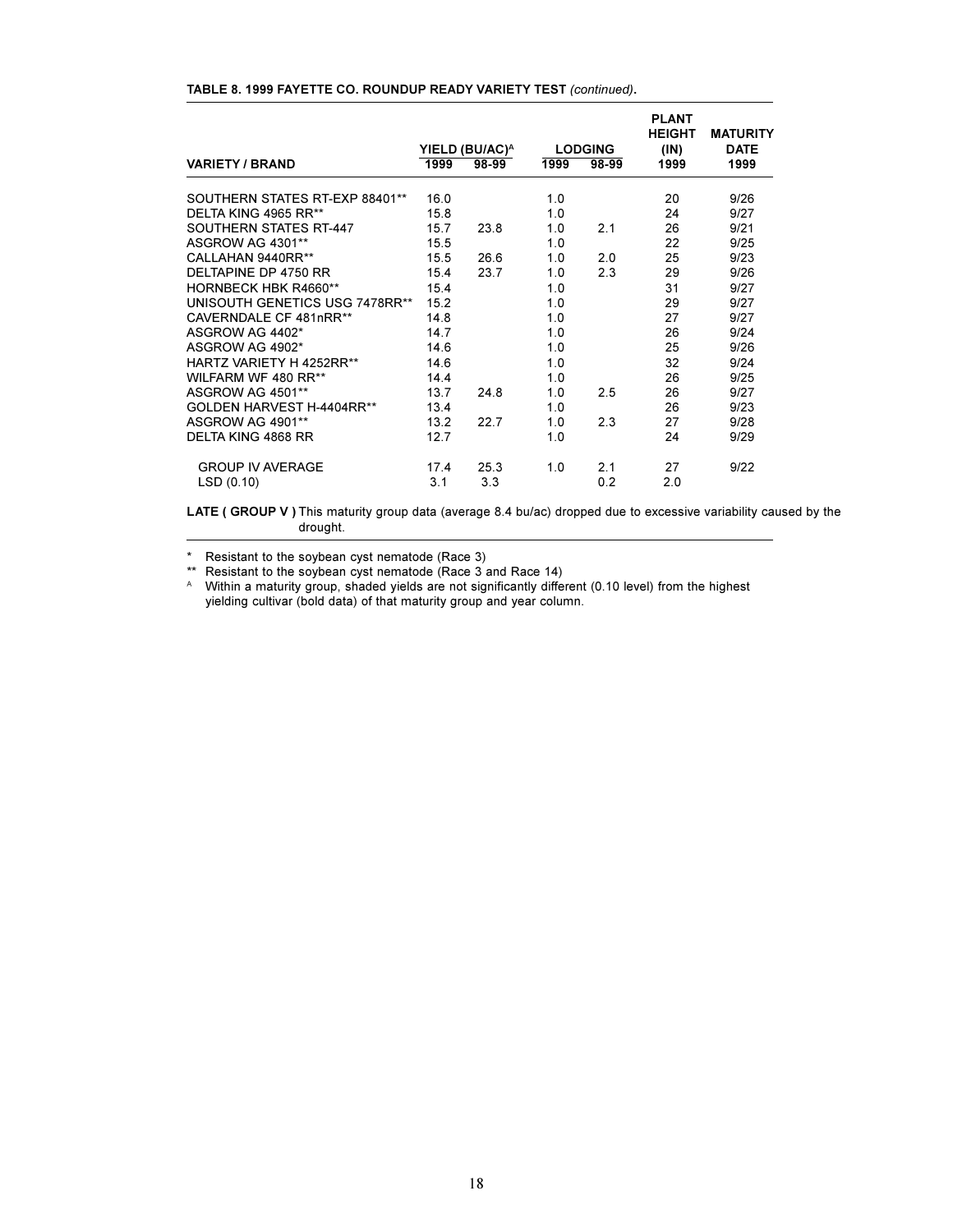|                                |      | YIELD (BU/AC) <sup>A</sup> |      | <b>LODGING</b> | <b>PLANT</b><br>HEIGHT<br>(IN) | <b>MATURITY</b><br><b>DATE</b> |
|--------------------------------|------|----------------------------|------|----------------|--------------------------------|--------------------------------|
| <b>VARIETY / BRAND</b>         | 1999 | 98-99                      | 1999 | 98-99          | 1999                           | 1999                           |
| SOUTHERN STATES RT-EXP 88401** | 16.0 |                            | 1.0  |                | 20                             | 9/26                           |
| DELTA KING 4965 RR**           | 15.8 |                            | 1.0  |                | 24                             | 9/27                           |
| SOUTHERN STATES RT-447         | 15.7 | 23.8                       | 1.0  | 2.1            | 26                             | 9/21                           |
| ASGROW AG 4301**               | 15.5 |                            | 1.0  |                | 22                             | 9/25                           |
| CALLAHAN 9440RR**              | 15.5 | 26.6                       | 1.0  | 2.0            | 25                             | 9/23                           |
| DELTAPINE DP 4750 RR           | 15.4 | 23.7                       | 1.0  | 2.3            | 29                             | 9/26                           |
| HORNBECK HBK R4660**           | 15.4 |                            | 1.0  |                | 31                             | 9/27                           |
| UNISOUTH GENETICS USG 7478RR** | 15.2 |                            | 1.0  |                | 29                             | 9/27                           |
| CAVERNDALE CF 481nRR**         | 14.8 |                            | 1.0  |                | 27                             | 9/27                           |
| ASGROW AG 4402*                | 14.7 |                            | 1.0  |                | 26                             | 9/24                           |
| ASGROW AG 4902*                | 14.6 |                            | 1.0  |                | 25                             | 9/26                           |
| HARTZ VARIETY H 4252RR**       | 14.6 |                            | 1.0  |                | 32                             | 9/24                           |
| WILFARM WF 480 RR**            | 14.4 |                            | 1.0  |                | 26                             | 9/25                           |
| ASGROW AG 4501**               | 13.7 | 24.8                       | 1.0  | 2.5            | 26                             | 9/27                           |
| GOLDEN HARVEST H-4404RR**      | 13.4 |                            | 1.0  |                | 26                             | 9/23                           |
| ASGROW AG 4901**               | 13.2 | 22.7                       | 1.0  | 2.3            | 27                             | 9/28                           |
| <b>DELTA KING 4868 RR</b>      | 12.7 |                            | 1.0  |                | 24                             | 9/29                           |
| <b>GROUP IV AVERAGE</b>        | 17.4 | 25.3                       | 1.0  | 2.1            | 27                             | 9/22                           |
| LSD(0.10)                      | 3.1  | 3.3                        |      | 0.2            | 2.0                            |                                |

#### **TABLE 8. 1999 FAYETTE CO. ROUNDUP READY VARIETY TEST** *(continued)***.**

**LATE ( GROUP V )** This maturity group data (average 8.4 bu/ac) dropped due to excessive variability caused by the drought.

\* Resistant to the soybean cyst nematode (Race 3)

\*\* Resistant to the soybean cyst nematode (Race 3 and Race 14)

A Within a maturity group, shaded yields are not significantly different (0.10 level) from the highest yielding cultivar (bold data) of that maturity group and year column.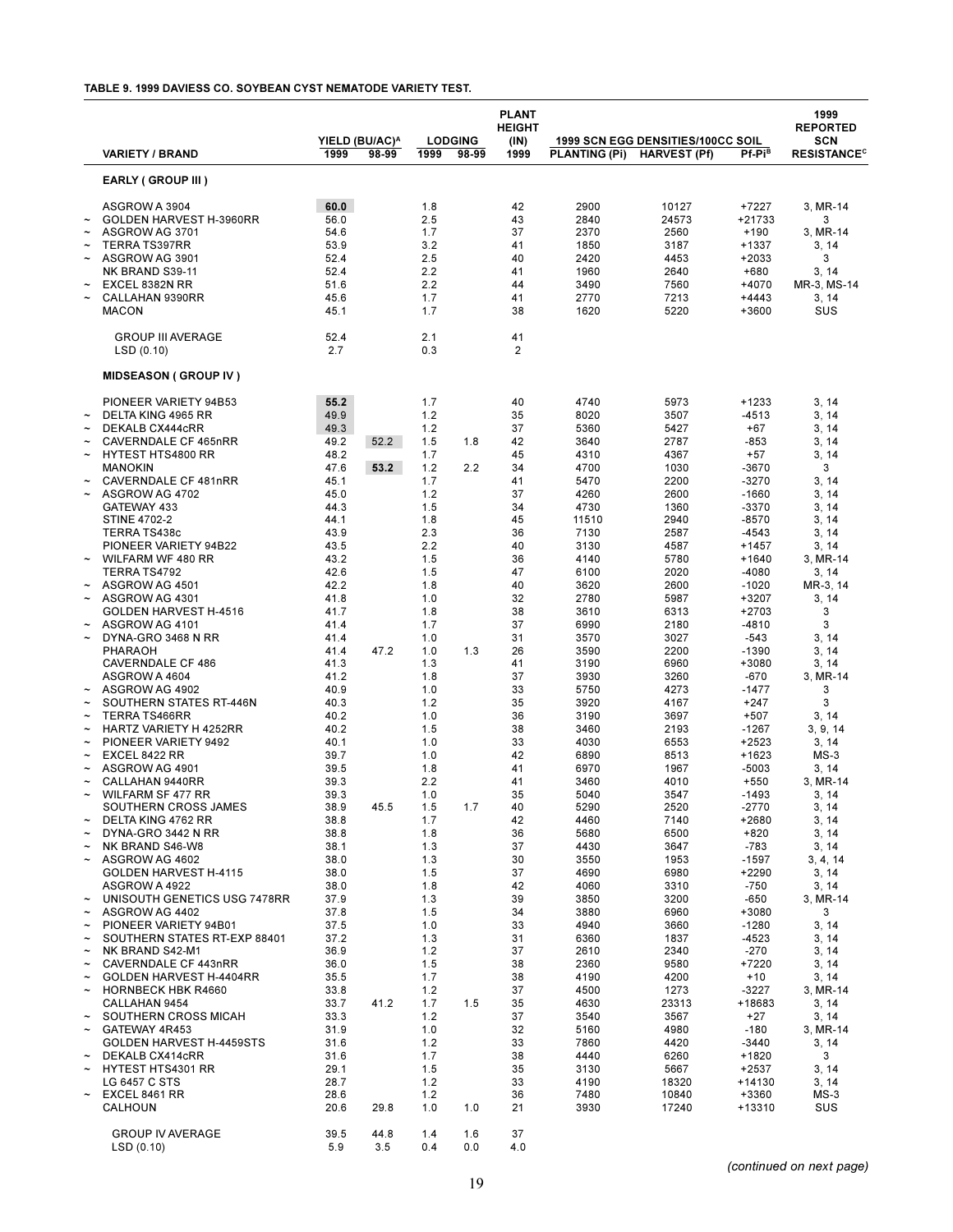#### **TABLE 9. 1999 DAVIESS CO. SOYBEAN CYST NEMATODE VARIETY TEST.**

|                                                                                                                                                                                                          |                                                                                                                                                                                                                                                                                                                                                                                                                                                                                                                                                                                                                                                                                                                                                                                                                                                                                                                                                                                                                                                            |                                                                                                                                                                                                                                                                                                                                                                                      | YIELD (BU/AC) <sup>A</sup>           |                                                                                                                                                                                                                                                                                                                                       | <b>LODGING</b>                  | <b>PLANT</b><br><b>HEIGHT</b><br>(IN)                                                                                                                                                                                                                                                  |                                                                                                                                                                                                                                                                                                                                                                                       | 1999 SCN EGG DENSITIES/100CC SOIL                                                                                                                                                                                                                                                                                                                                                     |                                                                                                                                                                                                                                                                                                                                                                                                                                                                                                 | 1999<br><b>REPORTED</b><br>SCN                                                                                                                                                                                                                                                                                                                                                                                                       |
|----------------------------------------------------------------------------------------------------------------------------------------------------------------------------------------------------------|------------------------------------------------------------------------------------------------------------------------------------------------------------------------------------------------------------------------------------------------------------------------------------------------------------------------------------------------------------------------------------------------------------------------------------------------------------------------------------------------------------------------------------------------------------------------------------------------------------------------------------------------------------------------------------------------------------------------------------------------------------------------------------------------------------------------------------------------------------------------------------------------------------------------------------------------------------------------------------------------------------------------------------------------------------|--------------------------------------------------------------------------------------------------------------------------------------------------------------------------------------------------------------------------------------------------------------------------------------------------------------------------------------------------------------------------------------|--------------------------------------|---------------------------------------------------------------------------------------------------------------------------------------------------------------------------------------------------------------------------------------------------------------------------------------------------------------------------------------|---------------------------------|----------------------------------------------------------------------------------------------------------------------------------------------------------------------------------------------------------------------------------------------------------------------------------------|---------------------------------------------------------------------------------------------------------------------------------------------------------------------------------------------------------------------------------------------------------------------------------------------------------------------------------------------------------------------------------------|---------------------------------------------------------------------------------------------------------------------------------------------------------------------------------------------------------------------------------------------------------------------------------------------------------------------------------------------------------------------------------------|-------------------------------------------------------------------------------------------------------------------------------------------------------------------------------------------------------------------------------------------------------------------------------------------------------------------------------------------------------------------------------------------------------------------------------------------------------------------------------------------------|--------------------------------------------------------------------------------------------------------------------------------------------------------------------------------------------------------------------------------------------------------------------------------------------------------------------------------------------------------------------------------------------------------------------------------------|
|                                                                                                                                                                                                          | <b>VARIETY / BRAND</b>                                                                                                                                                                                                                                                                                                                                                                                                                                                                                                                                                                                                                                                                                                                                                                                                                                                                                                                                                                                                                                     | 1999                                                                                                                                                                                                                                                                                                                                                                                 | 98-99                                | 1999                                                                                                                                                                                                                                                                                                                                  | 98-99                           | 1999                                                                                                                                                                                                                                                                                   | <b>PLANTING (Pi)</b>                                                                                                                                                                                                                                                                                                                                                                  | <b>HARVEST (Pf)</b>                                                                                                                                                                                                                                                                                                                                                                   | Pf-Pi <sup>B</sup>                                                                                                                                                                                                                                                                                                                                                                                                                                                                              | <b>RESISTANCE<sup>c</sup></b>                                                                                                                                                                                                                                                                                                                                                                                                        |
|                                                                                                                                                                                                          | EARLY (GROUP III)                                                                                                                                                                                                                                                                                                                                                                                                                                                                                                                                                                                                                                                                                                                                                                                                                                                                                                                                                                                                                                          |                                                                                                                                                                                                                                                                                                                                                                                      |                                      |                                                                                                                                                                                                                                                                                                                                       |                                 |                                                                                                                                                                                                                                                                                        |                                                                                                                                                                                                                                                                                                                                                                                       |                                                                                                                                                                                                                                                                                                                                                                                       |                                                                                                                                                                                                                                                                                                                                                                                                                                                                                                 |                                                                                                                                                                                                                                                                                                                                                                                                                                      |
|                                                                                                                                                                                                          | ASGROW A 3904<br>GOLDEN HARVEST H-3960RR<br>ASGROW AG 3701<br><b>TERRA TS397RR</b><br>ASGROW AG 3901<br>NK BRAND S39-11<br>EXCEL 8382N RR<br>CALLAHAN 9390RR<br><b>MACON</b>                                                                                                                                                                                                                                                                                                                                                                                                                                                                                                                                                                                                                                                                                                                                                                                                                                                                               | 60.0<br>56.0<br>54.6<br>53.9<br>52.4<br>52.4<br>51.6<br>45.6<br>45.1                                                                                                                                                                                                                                                                                                                 |                                      | 1.8<br>2.5<br>1.7<br>3.2<br>2.5<br>2.2<br>2.2<br>1.7<br>1.7                                                                                                                                                                                                                                                                           |                                 | 42<br>43<br>37<br>41<br>40<br>41<br>44<br>41<br>38                                                                                                                                                                                                                                     | 2900<br>2840<br>2370<br>1850<br>2420<br>1960<br>3490<br>2770<br>1620                                                                                                                                                                                                                                                                                                                  | 10127<br>24573<br>2560<br>3187<br>4453<br>2640<br>7560<br>7213<br>5220                                                                                                                                                                                                                                                                                                                | +7227<br>+21733<br>$+190$<br>+1337<br>$+2033$<br>$+680$<br>+4070<br>$+4443$<br>+3600                                                                                                                                                                                                                                                                                                                                                                                                            | 3, MR-14<br>3<br>3, MR-14<br>3, 14<br>3<br>3, 14<br>MR-3, MS-14<br>3, 14<br>SUS                                                                                                                                                                                                                                                                                                                                                      |
|                                                                                                                                                                                                          | <b>GROUP III AVERAGE</b><br>LSD(0.10)                                                                                                                                                                                                                                                                                                                                                                                                                                                                                                                                                                                                                                                                                                                                                                                                                                                                                                                                                                                                                      | 52.4<br>2.7                                                                                                                                                                                                                                                                                                                                                                          |                                      | 2.1<br>0.3                                                                                                                                                                                                                                                                                                                            |                                 | 41<br>2                                                                                                                                                                                                                                                                                |                                                                                                                                                                                                                                                                                                                                                                                       |                                                                                                                                                                                                                                                                                                                                                                                       |                                                                                                                                                                                                                                                                                                                                                                                                                                                                                                 |                                                                                                                                                                                                                                                                                                                                                                                                                                      |
|                                                                                                                                                                                                          | <b>MIDSEASON (GROUP IV)</b>                                                                                                                                                                                                                                                                                                                                                                                                                                                                                                                                                                                                                                                                                                                                                                                                                                                                                                                                                                                                                                |                                                                                                                                                                                                                                                                                                                                                                                      |                                      |                                                                                                                                                                                                                                                                                                                                       |                                 |                                                                                                                                                                                                                                                                                        |                                                                                                                                                                                                                                                                                                                                                                                       |                                                                                                                                                                                                                                                                                                                                                                                       |                                                                                                                                                                                                                                                                                                                                                                                                                                                                                                 |                                                                                                                                                                                                                                                                                                                                                                                                                                      |
| $\tilde{\phantom{a}}$<br>$\tilde{}$<br>∼<br>$\tilde{ }$<br>∼<br>∼<br>∼<br>∼<br>∼<br>$\tilde{\phantom{a}}$<br>$\tilde{\phantom{a}}$<br>∼<br>∼<br>∼<br>$\tilde{\phantom{a}}$<br>∼<br>$\tilde{\phantom{a}}$ | PIONEER VARIETY 94B53<br>DELTA KING 4965 RR<br>DEKALB CX444cRR<br>CAVERNDALE CF 465nRR<br><b>HYTEST HTS4800 RR</b><br><b>MANOKIN</b><br>CAVERNDALE CF 481nRR<br>ASGROW AG 4702<br>GATEWAY 433<br><b>STINE 4702-2</b><br>TERRA TS438c<br>PIONEER VARIETY 94B22<br>WILFARM WF 480 RR<br>TERRA TS4792<br>ASGROW AG 4501<br>ASGROW AG 4301<br>GOLDEN HARVEST H-4516<br>ASGROW AG 4101<br>DYNA-GRO 3468 N RR<br>PHARAOH<br><b>CAVERNDALE CF 486</b><br>ASGROW A 4604<br>ASGROW AG 4902<br>SOUTHERN STATES RT-446N<br>TERRA TS466RR<br>HARTZ VARIETY H 4252RR<br>PIONEER VARIETY 9492<br>EXCEL 8422 RR<br>ASGROW AG 4901<br>CALLAHAN 9440RR<br><b>WILFARM SF 477 RR</b><br>SOUTHERN CROSS JAMES<br>DELTA KING 4762 RR<br>DYNA-GRO 3442 N RR<br>NK BRAND S46-W8<br>ASGROW AG 4602<br>GOLDEN HARVEST H-4115<br>ASGROW A 4922<br>UNISOUTH GENETICS USG 7478RR<br>ASGROW AG 4402<br>PIONEER VARIETY 94B01<br>SOUTHERN STATES RT-EXP 88401<br>NK BRAND S42-M1<br>CAVERNDALE CF 443nRR<br><b>GOLDEN HARVEST H-4404RR</b><br><b>HORNBECK HBK R4660</b><br>CALLAHAN 9454 | 55.2<br>49.9<br>49.3<br>49.2<br>48.2<br>47.6<br>45.1<br>45.0<br>44.3<br>44.1<br>43.9<br>43.5<br>43.2<br>42.6<br>42.2<br>41.8<br>41.7<br>41.4<br>41.4<br>41.4<br>41.3<br>41.2<br>40.9<br>40.3<br>40.2<br>40.2<br>40.1<br>39.7<br>39.5<br>39.3<br>39.3<br>38.9<br>38.8<br>38.8<br>38.1<br>38.0<br>38.0<br>38.0<br>37.9<br>37.8<br>37.5<br>37.2<br>36.9<br>36.0<br>35.5<br>33.8<br>33.7 | 52.2<br>53.2<br>47.2<br>45.5<br>41.2 | 1.7<br>1.2<br>1.2<br>1.5<br>1.7<br>1.2<br>1.7<br>1.2<br>1.5<br>1.8<br>2.3<br>2.2<br>1.5<br>1.5<br>1.8<br>1.0<br>1.8<br>1.7<br>1.0<br>1.0<br>1.3<br>1.8<br>1.0<br>1.2<br>1.0<br>1.5<br>1.0<br>1.0<br>1.8<br>2.2<br>1.0<br>1.5<br>1.7<br>1.8<br>1.3<br>1.3<br>1.5<br>1.8<br>1.3<br>1.5<br>1.0<br>1.3<br>1.2<br>1.5<br>1.7<br>1.2<br>1.7 | 1.8<br>2.2<br>1.3<br>1.7<br>1.5 | 40<br>35<br>37<br>42<br>45<br>34<br>41<br>37<br>34<br>45<br>36<br>40<br>36<br>47<br>40<br>32<br>38<br>37<br>31<br>26<br>41<br>37<br>33<br>35<br>36<br>38<br>33<br>42<br>41<br>41<br>35<br>40<br>42<br>36<br>37<br>30<br>37<br>42<br>39<br>34<br>33<br>31<br>37<br>38<br>38<br>37<br>35 | 4740<br>8020<br>5360<br>3640<br>4310<br>4700<br>5470<br>4260<br>4730<br>11510<br>7130<br>3130<br>4140<br>6100<br>3620<br>2780<br>3610<br>6990<br>3570<br>3590<br>3190<br>3930<br>5750<br>3920<br>3190<br>3460<br>4030<br>6890<br>6970<br>3460<br>5040<br>5290<br>4460<br>5680<br>4430<br>3550<br>4690<br>4060<br>3850<br>3880<br>4940<br>6360<br>2610<br>2360<br>4190<br>4500<br>4630 | 5973<br>3507<br>5427<br>2787<br>4367<br>1030<br>2200<br>2600<br>1360<br>2940<br>2587<br>4587<br>5780<br>2020<br>2600<br>5987<br>6313<br>2180<br>3027<br>2200<br>6960<br>3260<br>4273<br>4167<br>3697<br>2193<br>6553<br>8513<br>1967<br>4010<br>3547<br>2520<br>7140<br>6500<br>3647<br>1953<br>6980<br>3310<br>3200<br>6960<br>3660<br>1837<br>2340<br>9580<br>4200<br>1273<br>23313 | $+1233$<br>$-4513$<br>$+67$<br>$-853$<br>$+57$<br>$-3670$<br>$-3270$<br>$-1660$<br>$-3370$<br>$-8570$<br>$-4543$<br>$+1457$<br>$+1640$<br>$-4080$<br>$-1020$<br>+3207<br>$+2703$<br>$-4810$<br>$-543$<br>$-1390$<br>+3080<br>$-670$<br>$-1477$<br>$+247$<br>$+507$<br>$-1267$<br>$+2523$<br>+1623<br>$-5003$<br>$+550$<br>-1493<br>$-2770$<br>+2680<br>$+820$<br>$-783$<br>$-1597$<br>+2290<br>$-750$<br>$-650$<br>+3080<br>$-1280$<br>$-4523$<br>$-270$<br>+7220<br>$+10$<br>$-3227$<br>+18683 | 3, 14<br>3, 14<br>3, 14<br>3, 14<br>3, 14<br>3<br>3, 14<br>3, 14<br>3, 14<br>3, 14<br>3, 14<br>3, 14<br>3, MR-14<br>3, 14<br>MR-3, 14<br>3, 14<br>3<br>3<br>3, 14<br>3, 14<br>3, 14<br>3, MR-14<br>3<br>3<br>3, 14<br>3, 9, 14<br>3, 14<br>$MS-3$<br>3, 14<br>3, MR-14<br>3, 14<br>3, 14<br>3, 14<br>3, 14<br>3, 14<br>3, 4, 14<br>3, 14<br>3, 14<br>3, MR-14<br>3<br>3, 14<br>3, 14<br>3, 14<br>3, 14<br>3, 14<br>3, MR-14<br>3, 14 |
| ∼<br>$\tilde{\phantom{a}}$<br>∼<br>∼<br>$\tilde{\phantom{a}}$                                                                                                                                            | SOUTHERN CROSS MICAH<br>GATEWAY 4R453<br><b>GOLDEN HARVEST H-4459STS</b><br>DEKALB CX414cRR<br>HYTEST HTS4301 RR<br>LG 6457 C STS<br>EXCEL 8461 RR<br>CALHOUN<br><b>GROUP IV AVERAGE</b>                                                                                                                                                                                                                                                                                                                                                                                                                                                                                                                                                                                                                                                                                                                                                                                                                                                                   | 33.3<br>31.9<br>31.6<br>31.6<br>29.1<br>28.7<br>28.6<br>20.6<br>39.5                                                                                                                                                                                                                                                                                                                 | 29.8<br>44.8                         | 1.2<br>1.0<br>1.2<br>1.7<br>1.5<br>1.2<br>1.2<br>1.0<br>1.4                                                                                                                                                                                                                                                                           | 1.0<br>1.6                      | 37<br>32<br>33<br>38<br>35<br>33<br>36<br>21<br>37                                                                                                                                                                                                                                     | 3540<br>5160<br>7860<br>4440<br>3130<br>4190<br>7480<br>3930                                                                                                                                                                                                                                                                                                                          | 3567<br>4980<br>4420<br>6260<br>5667<br>18320<br>10840<br>17240                                                                                                                                                                                                                                                                                                                       | $+27$<br>$-180$<br>$-3440$<br>+1820<br>$+2537$<br>+14130<br>+3360<br>+13310                                                                                                                                                                                                                                                                                                                                                                                                                     | 3, 14<br>3, MR-14<br>3, 14<br>3<br>3, 14<br>3, 14<br>$MS-3$<br>SUS                                                                                                                                                                                                                                                                                                                                                                   |
|                                                                                                                                                                                                          | LSD (0.10)                                                                                                                                                                                                                                                                                                                                                                                                                                                                                                                                                                                                                                                                                                                                                                                                                                                                                                                                                                                                                                                 | 5.9                                                                                                                                                                                                                                                                                                                                                                                  | 3.5                                  | 0.4                                                                                                                                                                                                                                                                                                                                   | 0.0                             | 4.0                                                                                                                                                                                                                                                                                    |                                                                                                                                                                                                                                                                                                                                                                                       |                                                                                                                                                                                                                                                                                                                                                                                       |                                                                                                                                                                                                                                                                                                                                                                                                                                                                                                 |                                                                                                                                                                                                                                                                                                                                                                                                                                      |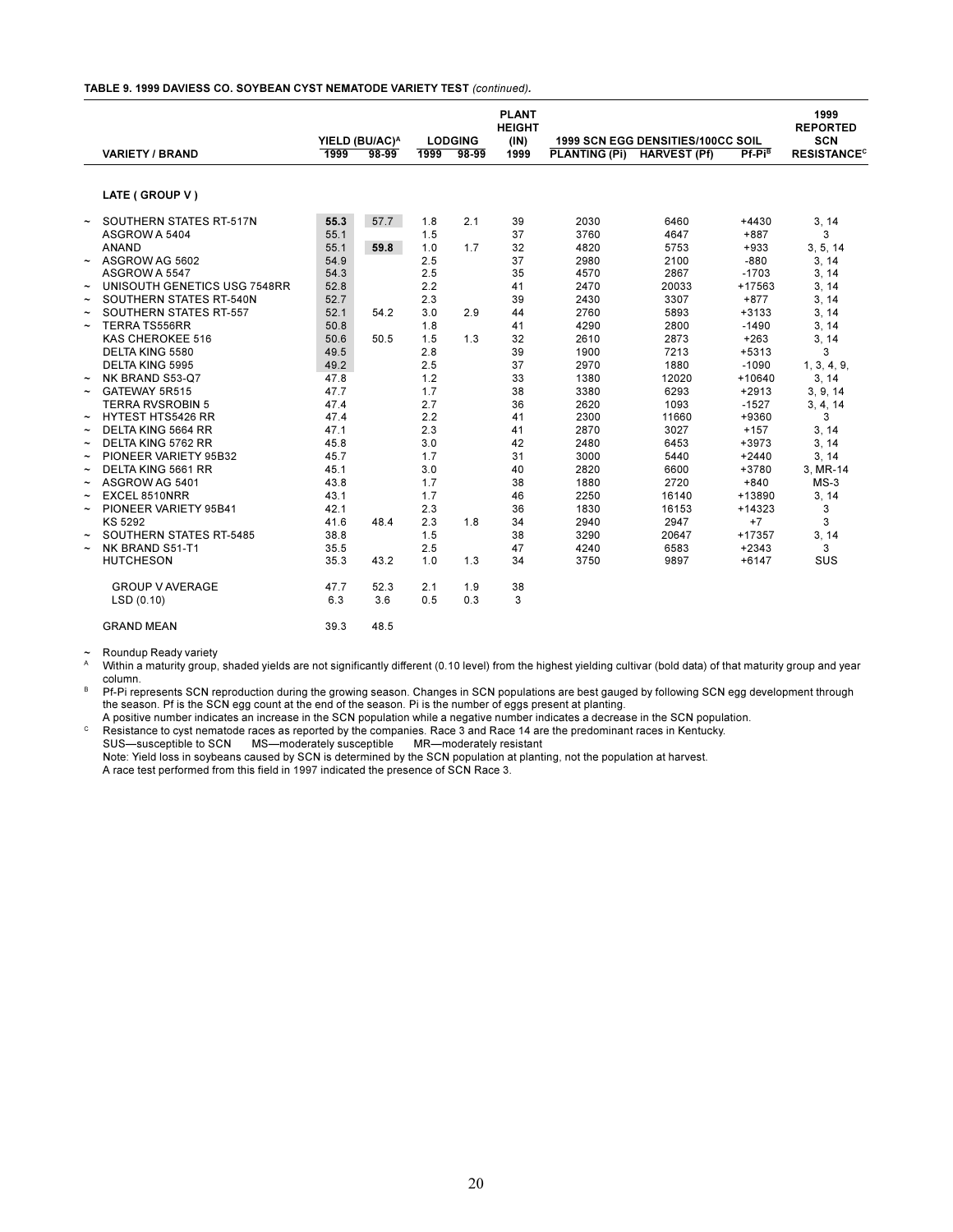#### **TABLE 9. 1999 DAVIESS CO. SOYBEAN CYST NEMATODE VARIETY TEST** *(continued).*

|                       | <b>VARIETY / BRAND</b>         | 1999 | YIELD (BU/AC) <sup>A</sup><br>$98-99$ | 1999 | <b>LODGING</b><br>$98-99$ | <b>PLANT</b><br><b>HEIGHT</b><br>(IN)<br>1999 | <b>PLANTING (Pi)</b> | <b>1999 SCN EGG DENSITIES/100CC SOIL</b><br><b>HARVEST (Pf)</b> | $Pf-Pi^B$ | 1999<br><b>REPORTED</b><br><b>SCN</b><br><b>RESISTANCE<sup>C</sup></b> |
|-----------------------|--------------------------------|------|---------------------------------------|------|---------------------------|-----------------------------------------------|----------------------|-----------------------------------------------------------------|-----------|------------------------------------------------------------------------|
|                       |                                |      |                                       |      |                           |                                               |                      |                                                                 |           |                                                                        |
|                       | LATE (GROUP V)                 |      |                                       |      |                           |                                               |                      |                                                                 |           |                                                                        |
|                       |                                |      |                                       |      |                           |                                               |                      |                                                                 |           |                                                                        |
| $\tilde{}$            | SOUTHERN STATES RT-517N        | 55.3 | 57.7                                  | 1.8  | 2.1                       | 39                                            | 2030                 | 6460                                                            | $+4430$   | 3, 14                                                                  |
|                       | ASGROW A 5404                  | 55.1 |                                       | 1.5  |                           | 37                                            | 3760                 | 4647                                                            | $+887$    | 3                                                                      |
|                       | <b>ANAND</b>                   | 55.1 | 59.8                                  | 1.0  | 1.7                       | 32                                            | 4820                 | 5753                                                            | $+933$    | 3, 5, 14                                                               |
| $\tilde{}$            | ASGROW AG 5602                 | 54.9 |                                       | 2.5  |                           | 37                                            | 2980                 | 2100                                                            | $-880$    | 3, 14                                                                  |
|                       | ASGROW A 5547                  | 54.3 |                                       | 2.5  |                           | 35                                            | 4570                 | 2867                                                            | $-1703$   | 3, 14                                                                  |
| $\tilde{}$            | UNISOUTH GENETICS USG 7548RR   | 52.8 |                                       | 2.2  |                           | 41                                            | 2470                 | 20033                                                           | +17563    | 3, 14                                                                  |
| $\tilde{\phantom{a}}$ | SOUTHERN STATES RT-540N        | 52.7 |                                       | 2.3  |                           | 39                                            | 2430                 | 3307                                                            | $+877$    | 3, 14                                                                  |
| $\tilde{\phantom{a}}$ | SOUTHERN STATES RT-557         | 52.1 | 54.2                                  | 3.0  | 2.9                       | 44                                            | 2760                 | 5893                                                            | $+3133$   | 3, 14                                                                  |
| $\tilde{\phantom{a}}$ | <b>TERRA TS556RR</b>           | 50.8 |                                       | 1.8  |                           | 41                                            | 4290                 | 2800                                                            | $-1490$   | 3, 14                                                                  |
|                       | KAS CHEROKEE 516               | 50.6 | 50.5                                  | 1.5  | 1.3                       | 32                                            | 2610                 | 2873                                                            | $+263$    | 3, 14                                                                  |
|                       | DELTA KING 5580                | 49.5 |                                       | 2.8  |                           | 39                                            | 1900                 | 7213                                                            | $+5313$   | 3                                                                      |
|                       | <b>DELTA KING 5995</b>         | 49.2 |                                       | 2.5  |                           | 37                                            | 2970                 | 1880                                                            | $-1090$   | 1, 3, 4, 9,                                                            |
| $\tilde{\phantom{a}}$ | NK BRAND S53-Q7                | 47.8 |                                       | 1.2  |                           | 33                                            | 1380                 | 12020                                                           | $+10640$  | 3.14                                                                   |
| $\tilde{\phantom{a}}$ | GATEWAY 5R515                  | 47.7 |                                       | 1.7  |                           | 38                                            | 3380                 | 6293                                                            | $+2913$   | 3, 9, 14                                                               |
|                       | <b>TERRA RVSROBIN 5</b>        | 47.4 |                                       | 2.7  |                           | 36                                            | 2620                 | 1093                                                            | $-1527$   | 3, 4, 14                                                               |
| $\tilde{\phantom{a}}$ | <b>HYTEST HTS5426 RR</b>       | 47.4 |                                       | 2.2  |                           | 41                                            | 2300                 | 11660                                                           | +9360     | 3                                                                      |
| $\tilde{\phantom{a}}$ | <b>DELTA KING 5664 RR</b>      | 47.1 |                                       | 2.3  |                           | 41                                            | 2870                 | 3027                                                            | $+157$    | 3, 14                                                                  |
| $\tilde{}$            | DELTA KING 5762 RR             | 45.8 |                                       | 3.0  |                           | 42                                            | 2480                 | 6453                                                            | $+3973$   | 3, 14                                                                  |
| $\tilde{}$            | PIONEER VARIETY 95B32          | 45.7 |                                       | 1.7  |                           | 31                                            | 3000                 | 5440                                                            | $+2440$   | 3, 14                                                                  |
| $\tilde{\phantom{a}}$ | DELTA KING 5661 RR             | 45.1 |                                       | 3.0  |                           | 40                                            | 2820                 | 6600                                                            | $+3780$   | 3, MR-14                                                               |
| $\tilde{\phantom{a}}$ | ASGROW AG 5401                 | 43.8 |                                       | 1.7  |                           | 38                                            | 1880                 | 2720                                                            | $+840$    | $MS-3$                                                                 |
| $\tilde{\phantom{a}}$ | EXCEL 8510NRR                  | 43.1 |                                       | 1.7  |                           | 46                                            | 2250                 | 16140                                                           | +13890    | 3, 14                                                                  |
| $\tilde{\phantom{a}}$ | PIONEER VARIETY 95B41          | 42.1 |                                       | 2.3  |                           | 36                                            | 1830                 | 16153                                                           | $+14323$  | 3                                                                      |
|                       | KS 5292                        | 41.6 | 48.4                                  | 2.3  | 1.8                       | 34                                            | 2940                 | 2947                                                            | $+7$      | 3                                                                      |
|                       | <b>SOUTHERN STATES RT-5485</b> | 38.8 |                                       | 1.5  |                           | 38                                            | 3290                 | 20647                                                           | +17357    | 3, 14                                                                  |
| $\tilde{\phantom{a}}$ | NK BRAND S51-T1                | 35.5 |                                       | 2.5  |                           | 47                                            | 4240                 | 6583                                                            | $+2343$   | 3                                                                      |
|                       | <b>HUTCHESON</b>               | 35.3 | 43.2                                  | 1.0  | 1.3                       | 34                                            | 3750                 | 9897                                                            | $+6147$   | SUS                                                                    |
|                       | <b>GROUP V AVERAGE</b>         | 47.7 | 52.3                                  | 2.1  | 1.9                       | 38                                            |                      |                                                                 |           |                                                                        |
|                       | LSD(0.10)                      | 6.3  | 3.6                                   | 0.5  | 0.3                       | 3                                             |                      |                                                                 |           |                                                                        |
|                       | <b>GRAND MEAN</b>              | 39.3 | 48.5                                  |      |                           |                                               |                      |                                                                 |           |                                                                        |

~ Roundup Ready variety

Within a maturity group, shaded yields are not significantly different (0.10 level) from the highest yielding cultivar (bold data) of that maturity group and year column.

B Pf-Pi represents SCN reproduction during the growing season. Changes in SCN populations are best gauged by following SCN egg development through the season. Pf is the SCN egg count at the end of the season. Pi is the number of eggs present at planting.

A positive number indicates an increase in the SCN population while a negative number indicates a decrease in the SCN population.  $\circ$  Resistance to cyst nematode races as reported by the companies. Race 3 and Race 14 are the predominant races in Kentucky.

SUS-susceptible to SCN MS-moderately susceptible MR-moderately resistant Note: Yield loss in soybeans caused by SCN is determined by the SCN population at planting, not the population at harvest. A race test performed from this field in 1997 indicated the presence of SCN Race 3.

20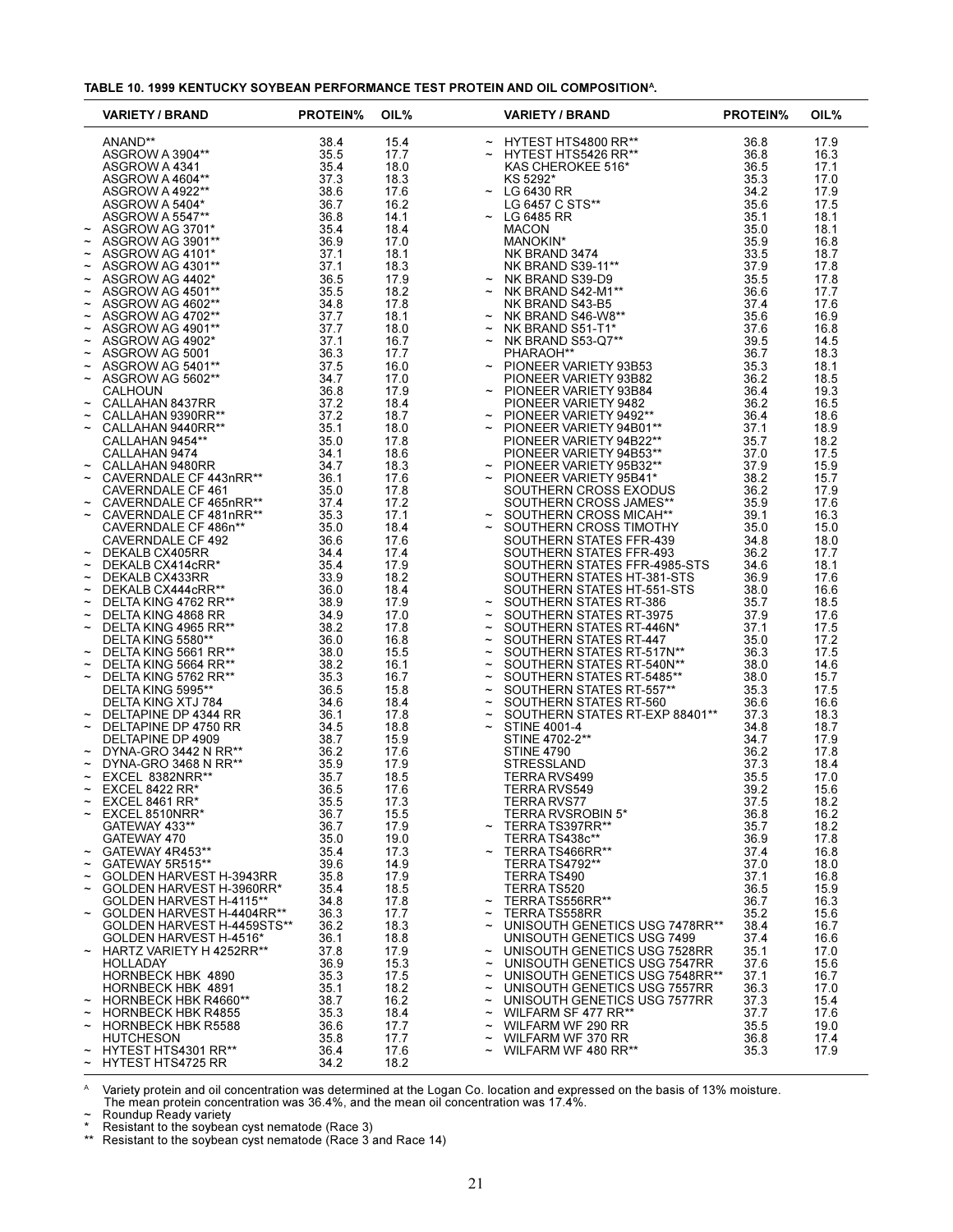|  |  | TABLE 10. 1999 KENTUCKY SOYBEAN PERFORMANCE TEST PROTEIN AND OIL COMPOSITION <sup>A</sup> . |
|--|--|---------------------------------------------------------------------------------------------|
|--|--|---------------------------------------------------------------------------------------------|

|                                                    | <b>VARIETY / BRAND</b>                                                            | <b>PROTEIN%</b> | OIL%         | <b>VARIETY / BRAND</b>                                                                                                                                                                                                                                                                                                                                                                                                         | <b>PROTEIN%</b> | OIL%         |
|----------------------------------------------------|-----------------------------------------------------------------------------------|-----------------|--------------|--------------------------------------------------------------------------------------------------------------------------------------------------------------------------------------------------------------------------------------------------------------------------------------------------------------------------------------------------------------------------------------------------------------------------------|-----------------|--------------|
|                                                    | ANAND**<br>ASGROW A 3904**<br>ASGROW A 4341<br>ASGROW A 4604**<br>ASGROW A 4922** | 38.4            | 15.4         | $\begin{array}{l} \thicksim \hspace{0.3cm} \begin{array}{l} \thicksim \hspace{0.3cm} \text{HYTEST HTS4800 RR}^{\thicksim} \\\thicksim \hspace{0.3cm} \text{HTTEST HTS5426 RR}^{\thicksim} \\\thicksim \hspace{0.3cm} \text{KAS CHEROKEE 516*} \\\thicksim \hspace{0.3cm} \text{KS 5292*} \\\thicksim \hspace{0.3cm} \text{LG 6430 RR} \\\thicksim \hspace{0.3cm} \text{LG 6435 RC STS}^{\thicksim} \\\thicksim \hspace{0.3cm}$ | 36.8            | 17.9         |
|                                                    |                                                                                   | 35.5            | 17.7         |                                                                                                                                                                                                                                                                                                                                                                                                                                | 36.8            | 16.3         |
|                                                    |                                                                                   | 35.4            | 18.0         |                                                                                                                                                                                                                                                                                                                                                                                                                                | 36.5            | 17.1         |
|                                                    |                                                                                   | 37.3            | 18.3         |                                                                                                                                                                                                                                                                                                                                                                                                                                | 35.3            | 17.0         |
|                                                    |                                                                                   | 38.6            | 17.6         |                                                                                                                                                                                                                                                                                                                                                                                                                                | 34.2            | 17.9         |
|                                                    | ASGROW A 5404*<br>ASGROW A 5547**                                                 | 36.7<br>36.8    | 16.2<br>14.1 |                                                                                                                                                                                                                                                                                                                                                                                                                                | 35.6<br>35.1    | 17.5<br>18.1 |
| $\tilde{}$                                         | ASGROW AG 3701*                                                                   | 35.4            | 18.4         |                                                                                                                                                                                                                                                                                                                                                                                                                                | 35.0            | 18.1         |
| $\tilde{}$                                         | ASGROW AG 3901**                                                                  | 36.9            | 17.0         |                                                                                                                                                                                                                                                                                                                                                                                                                                | 35.9            | 16.8         |
| $\tilde{}$                                         | ASGROW AG 4101*                                                                   | 37.1            | 18.1         |                                                                                                                                                                                                                                                                                                                                                                                                                                | 33.5            | 18.7         |
| $\tilde{}$                                         | ASGROW AG 4301**                                                                  | 37.1            | 18.3         |                                                                                                                                                                                                                                                                                                                                                                                                                                | 37.9            | 17.8         |
| $\tilde{}$<br>$\tilde{}$                           | ASGROW AG 4402*<br>ASGROW AG 4501**                                               | 36.5<br>35.5    | 17.9<br>18.2 |                                                                                                                                                                                                                                                                                                                                                                                                                                | 35.5<br>36.6    | 17.8<br>17.7 |
| $\tilde{}$                                         | ASGROW AG 4602**                                                                  | 34.8            | 17.8         |                                                                                                                                                                                                                                                                                                                                                                                                                                | 37.4            | 17.6         |
| $\widetilde{\phantom{m}}$                          | ASGROW AG 4702**                                                                  | 37.7            | 18.1         |                                                                                                                                                                                                                                                                                                                                                                                                                                | 35.6            | 16.9         |
| $\tilde{}$                                         | ASGROW AG 4901**                                                                  | 37.7            | 18.0         |                                                                                                                                                                                                                                                                                                                                                                                                                                | 37.6            | 16.8         |
| $\tilde{}$                                         | ASGROW AG 4902*                                                                   | 37.1            | 16.7         |                                                                                                                                                                                                                                                                                                                                                                                                                                | 39.5            | 14.5         |
| $\widetilde{\phantom{m}}$                          | ASGROW AG 5001                                                                    | 36.3            | 17.7         |                                                                                                                                                                                                                                                                                                                                                                                                                                | 36.7            | 18.3         |
| $\tilde{}$<br>$\tilde{}$                           | ASGROW AG 5401**<br>ASGROW AG 5602**                                              | 37.5<br>34.7    | 16.0<br>17.0 | ~ PIONEER VARIETY 93B53<br>PIONEER VARIETY 93B82                                                                                                                                                                                                                                                                                                                                                                               | 35.3<br>36.2    | 18.1<br>18.5 |
|                                                    | <b>CALHOUN</b>                                                                    | 36.8            | 17.9         | $\sim$ PIONEER VARIETY 93B84                                                                                                                                                                                                                                                                                                                                                                                                   | 36.4            | 19.3         |
| $\tilde{}$                                         | CALLAHAN 8437RR                                                                   | 37.2            | 18.4         | PIONEER VARIETY 9482                                                                                                                                                                                                                                                                                                                                                                                                           | 36.2            | 16.5         |
|                                                    | CALLAHAN 9390RR**                                                                 | 37.2            | 18.7         | $\sim$ PIONEER VARIETY 9492**                                                                                                                                                                                                                                                                                                                                                                                                  | 36.4            | 18.6         |
|                                                    | CALLAHAN 9440RR**                                                                 | 35.1            | 18.0         | ~ PIONEER VARIETY 94B01**<br>PIONEER VARIETY 94B22**                                                                                                                                                                                                                                                                                                                                                                           | 37.1            | 18.9         |
|                                                    | CALLAHAN 9454**                                                                   | 35.0            | 17.8         |                                                                                                                                                                                                                                                                                                                                                                                                                                | 35.7            | 18.2         |
|                                                    | CALLAHAN 9474<br>CALLAHAN 9480RR                                                  | 34.1<br>34.7    | 18.6<br>18.3 | PIONEER VARIETY 94B53**<br>$\sim$ PIONEER VARIETY 95B32**                                                                                                                                                                                                                                                                                                                                                                      | 37.0<br>37.9    | 17.5<br>15.9 |
| $\tilde{\phantom{a}}$                              | CAVERNDALE CF 443nRR**                                                            | 36.1            | 17.6         | PIONEER VARIETY 95B41*                                                                                                                                                                                                                                                                                                                                                                                                         | 38.2            | 15.7         |
|                                                    |                                                                                   | 35.0            | 17.8         | PIONEER VARIE IT 3JJJ- .<br>SOUTHERN CROSS EXODUS<br>THERN CROSS .IAMES**                                                                                                                                                                                                                                                                                                                                                      | 36.2            | 17.9         |
|                                                    | CAVERNDALE UF 401<br>CAVERNDALE CF 465nRR**<br>CAVERNICALE CF 481nRR**            | 37.4            | 17.2         |                                                                                                                                                                                                                                                                                                                                                                                                                                | 35.9            | 17.6         |
| $\tilde{\phantom{a}}$                              |                                                                                   | 35.3            | 17.1         | ~ SOUTHERN CROSS MICAH**                                                                                                                                                                                                                                                                                                                                                                                                       | 39.1            | 16.3         |
|                                                    | CAVERNDALE CF 486n**                                                              | 35.0            | 18.4         | $\sim$ SOUTHERN CROSS TIMOTHY                                                                                                                                                                                                                                                                                                                                                                                                  | 35.0            | 15.0         |
| $\tilde{}$                                         | CAVERNDALE CF 492<br>DEKALB CX405RR                                               | 36.6<br>34.4    | 17.6<br>17.4 | SOUTHERN STATES FFR-439<br>SOUTHERN STATES FFR-493                                                                                                                                                                                                                                                                                                                                                                             | 34.8<br>36.2    | 18.0<br>17.7 |
| $\tilde{}$                                         | DEKALB CX414cRR*                                                                  | 35.4            | 17.9         | SOUTHERN STATES FFR-4985-STS                                                                                                                                                                                                                                                                                                                                                                                                   | 34.6            | 18.1         |
|                                                    | DEKALB CX433RR                                                                    | 33.9            | 18.2         | SOUTHERN STATES HT-381-STS                                                                                                                                                                                                                                                                                                                                                                                                     | 36.9            | 17.6         |
| $\tilde{}$                                         | DEKALB CX444cRR**                                                                 | 36.0            | 18.4         | SOUTHERN STATES HT-551-STS                                                                                                                                                                                                                                                                                                                                                                                                     | 38.0            | 16.6         |
| $\tilde{}$                                         | DELTA KING 4762 RR**                                                              | 38.9            | 17.9         | $\sim$ SOUTHERN STATES RT-386                                                                                                                                                                                                                                                                                                                                                                                                  | 35.7            | 18.5         |
| $\widetilde{\phantom{m}}$<br>$\tilde{\phantom{a}}$ | DELTA KING 4868 RR<br>DELTA KING 4965 RR**                                        | 34.9<br>38.2    | 17.0<br>17.8 | SOUTHERN STATES RT-3975<br>SOUTHERN STATES RT-446N*                                                                                                                                                                                                                                                                                                                                                                            | 37.9<br>37.1    | 17.6<br>17.5 |
|                                                    | DELTA KING 5580**                                                                 | 36.0            | 16.8         | $\sim$ SOUTHERN STATES RT-447                                                                                                                                                                                                                                                                                                                                                                                                  | 35.0            | 17.2         |
|                                                    | DELTA KING 5661 RR**                                                              | 38.0            | 15.5         | SOUTHERN STATES RT-517N**                                                                                                                                                                                                                                                                                                                                                                                                      | 36.3            | 17.5         |
| $\tilde{}$                                         | DELTA KING 5664 RR**                                                              | 38.2            | 16.1         | SOUTHERN STATES RT-540N**<br>$\thicksim$                                                                                                                                                                                                                                                                                                                                                                                       | 38.0            | 14.6         |
| $\tilde{}$                                         | DELTA KING 5762 RR**                                                              | 35.3            | 16.7         | SOUTHERN STATES RT-5485**<br>$\tilde{}$                                                                                                                                                                                                                                                                                                                                                                                        | 38.0            | 15.7         |
|                                                    | DELTA KING 5995**<br>DELTA KING XTJ 784                                           | 36.5<br>34.6    | 15.8<br>18.4 | SOUTHERN STATES RT-557**<br>SOUTHERN STATES RT-560<br>$\thicksim$                                                                                                                                                                                                                                                                                                                                                              | 35.3<br>36.6    | 17.5<br>16.6 |
|                                                    | DELTAPINE DP 4344 RR                                                              | 36.1            | 17.8         | ~ SOUTHERN STATES RT-EXP 88401**                                                                                                                                                                                                                                                                                                                                                                                               | 37.3            | 18.3         |
|                                                    | DELTAPINE DP 4750 RR                                                              | 34.5            | 18.8         | <b>STINE 4001-4</b>                                                                                                                                                                                                                                                                                                                                                                                                            | 34.8            | 18.7         |
|                                                    | DELTAPINE DP 4909                                                                 | 38.7            | 15.9         | STINE 4702-2**                                                                                                                                                                                                                                                                                                                                                                                                                 | 34.7            | 17.9         |
|                                                    | DYNA-GRO 3442 N RR**                                                              | 36.2            | 17.6         | <b>STINE 4790</b>                                                                                                                                                                                                                                                                                                                                                                                                              | 36.2            | 17.8         |
| $\widetilde{\phantom{m}}$<br>$\tilde{}$            | DYNA-GRO 3468 N RR**<br>EXCEL 8382NRR**                                           | 35.9<br>35.7    | 17.9<br>18.5 | <b>STRESSLAND</b><br>TERRA RVS499                                                                                                                                                                                                                                                                                                                                                                                              | 37.3<br>35.5    | 18.4<br>17.0 |
| $\tilde{}$                                         | <b>EXCEL 8422 RR*</b>                                                             | 36.5            | 17.6         | <b>TERRA RVS549</b>                                                                                                                                                                                                                                                                                                                                                                                                            | 39.2            | 15.6         |
|                                                    | EXCEL 8461 RR <sup>*</sup>                                                        | 35.5            | 17.3         | TERRA RVS77                                                                                                                                                                                                                                                                                                                                                                                                                    | 37.5            | 18.2         |
| $\tilde{}$                                         | EXCEL 8510NRR*                                                                    | 36.7            | 15.5         | TERRA RVSROBIN 5*                                                                                                                                                                                                                                                                                                                                                                                                              | 36.8            | 16.2         |
|                                                    | GATEWAY 433**                                                                     | 36.7            | 17.9         | TERRA TS397RR**                                                                                                                                                                                                                                                                                                                                                                                                                | 35.7            | 18.2         |
|                                                    | GATEWAY 470                                                                       | 35.0            | 19.0         | TERRA TS438c**                                                                                                                                                                                                                                                                                                                                                                                                                 | 36.9            | 17.8         |
| $\tilde{}$                                         | GATEWAY 4R453**<br>GATEWAY 5R515**                                                | 35.4<br>39.6    | 17.3<br>14.9 | TERRA TS466RR**<br>TERRA TS4792**                                                                                                                                                                                                                                                                                                                                                                                              | 37.4<br>37.0    | 16.8<br>18.0 |
|                                                    | GOLDEN HARVEST H-3943RR                                                           | 35.8            | 17.9         | TERRA TS490                                                                                                                                                                                                                                                                                                                                                                                                                    | 37.1            | 16.8         |
| $\tilde{}$                                         | GOLDEN HARVEST H-3960RR*                                                          | 35.4            | 18.5         | TERRA TS520                                                                                                                                                                                                                                                                                                                                                                                                                    | 36.5            | 15.9         |
|                                                    | GOLDEN HARVEST H-4115**                                                           | 34.8            | 17.8         | TERRATS556RR**<br>$\tilde{}$                                                                                                                                                                                                                                                                                                                                                                                                   | 36.7            | 16.3         |
|                                                    | GOLDEN HARVEST H-4404RR**                                                         | 36.3            | 17.7         | TERRA TS558RR<br>$\tilde{}$                                                                                                                                                                                                                                                                                                                                                                                                    | 35.2            | 15.6         |
|                                                    | GOLDEN HARVEST H-4459STS**<br>GOLDEN HARVEST H-4516*                              | 36.2<br>36.1    | 18.3<br>18.8 | UNISOUTH GENETICS USG 7478RR**<br>$\thicksim$<br>UNISOUTH GENETICS USG 7499                                                                                                                                                                                                                                                                                                                                                    | 38.4<br>37.4    | 16.7<br>16.6 |
|                                                    | HARTZ VARIETY H 4252RR**                                                          | 37.8            | 17.9         | UNISOUTH GENETICS USG 7528RR                                                                                                                                                                                                                                                                                                                                                                                                   | 35.1            | 17.0         |
|                                                    | HOLLADAY                                                                          | 36.9            | 15.3         | UNISOUTH GENETICS USG 7547RR<br>$\widetilde{\phantom{m}}$                                                                                                                                                                                                                                                                                                                                                                      | 37.6            | 15.6         |
|                                                    | <b>HORNBECK HBK 4890</b>                                                          | 35.3            | 17.5         | UNISOUTH GENETICS USG 7548RR**<br>$\widetilde{\phantom{m}}$                                                                                                                                                                                                                                                                                                                                                                    | 37.1            | 16.7         |
|                                                    | <b>HORNBECK HBK 4891</b>                                                          | 35.1            | 18.2         | UNISOUTH GENETICS USG 7557RR                                                                                                                                                                                                                                                                                                                                                                                                   | 36.3            | 17.0         |
| $\widetilde{\phantom{m}}$                          | HORNBECK HBK R4660**                                                              | 38.7            | 16.2         | UNISOUTH GENETICS USG 7577RR<br>$\widetilde{\phantom{m}}$                                                                                                                                                                                                                                                                                                                                                                      | 37.3            | 15.4         |
|                                                    | <b>HORNBECK HBK R4855</b><br><b>HORNBECK HBK R5588</b>                            | 35.3<br>36.6    | 18.4<br>17.7 | WILFARM SF 477 RR**<br>$\tilde{\phantom{a}}$<br>WILFARM WF 290 RR                                                                                                                                                                                                                                                                                                                                                              | 37.7<br>35.5    | 17.6<br>19.0 |
|                                                    | <b>HUTCHESON</b>                                                                  | 35.8            | 17.7         | WILFARM WF 370 RR<br>$\widetilde{\phantom{m}}$                                                                                                                                                                                                                                                                                                                                                                                 | 36.8            | 17.4         |
|                                                    | HYTEST HTS4301 RR**                                                               | 36.4            | 17.6         | WILFARM WF 480 RR**                                                                                                                                                                                                                                                                                                                                                                                                            | 35.3            | 17.9         |
|                                                    | $\sim$ HYTEST HTS4725 RR                                                          | 34.2            | 18.2         |                                                                                                                                                                                                                                                                                                                                                                                                                                |                 |              |

A Variety protein and oil concentration was determined at the Logan Co. location and expressed on the basis of 13% moisture. The mean protein concentration was 36.4%, and the mean oil concentration was 17.4%. ~ Roundup Ready variety

\* Resistant to the soybean cyst nematode (Race 3)

\*\* Resistant to the soybean cyst nematode (Race 3 and Race 14)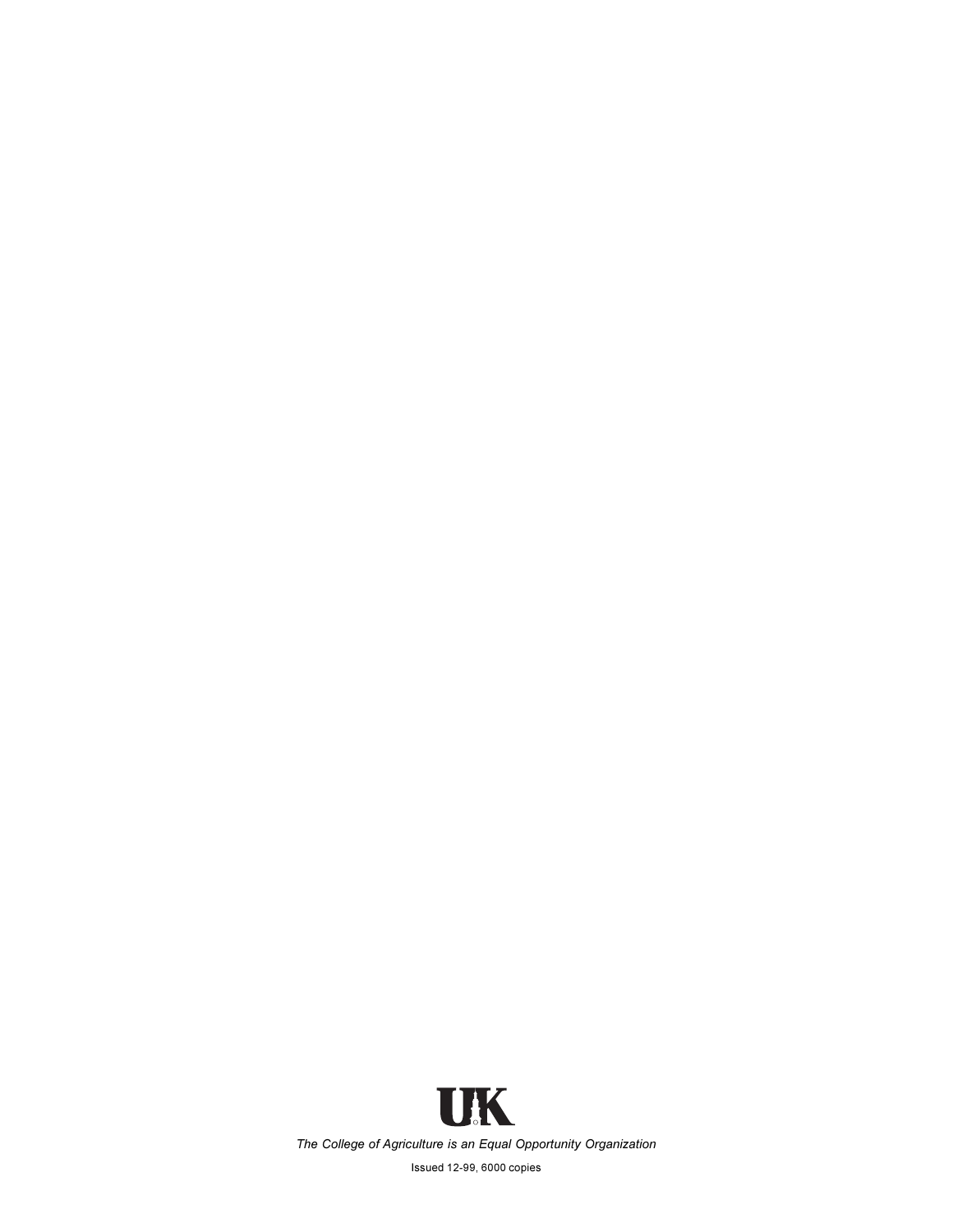

Issued 12-99, 6000 copies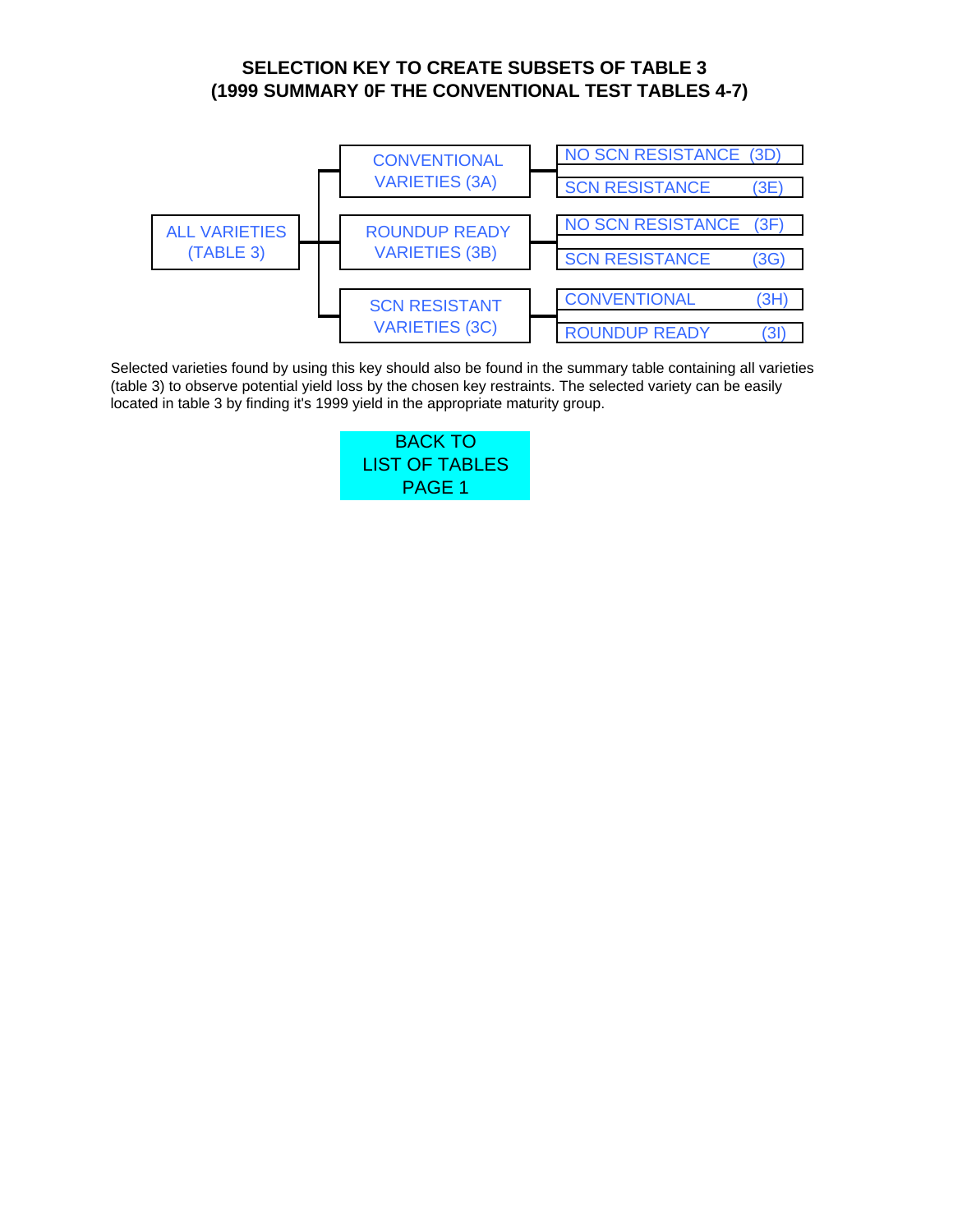# **(1999 SUMMARY 0F THE CONVENTIONAL TEST TABLES 4-7) SELECTION KEY TO CREATE SUBSETS OF TABLE 3**

<span id="page-22-2"></span><span id="page-22-1"></span><span id="page-22-0"></span>

Selected varieties found by using this key should also be found in the summary table containing all varieties (table 3) to observe potential yield loss by the chosen key restraints. The selected variety can be easily located in table 3 by finding it's 1999 yield in the appropriate maturity group.

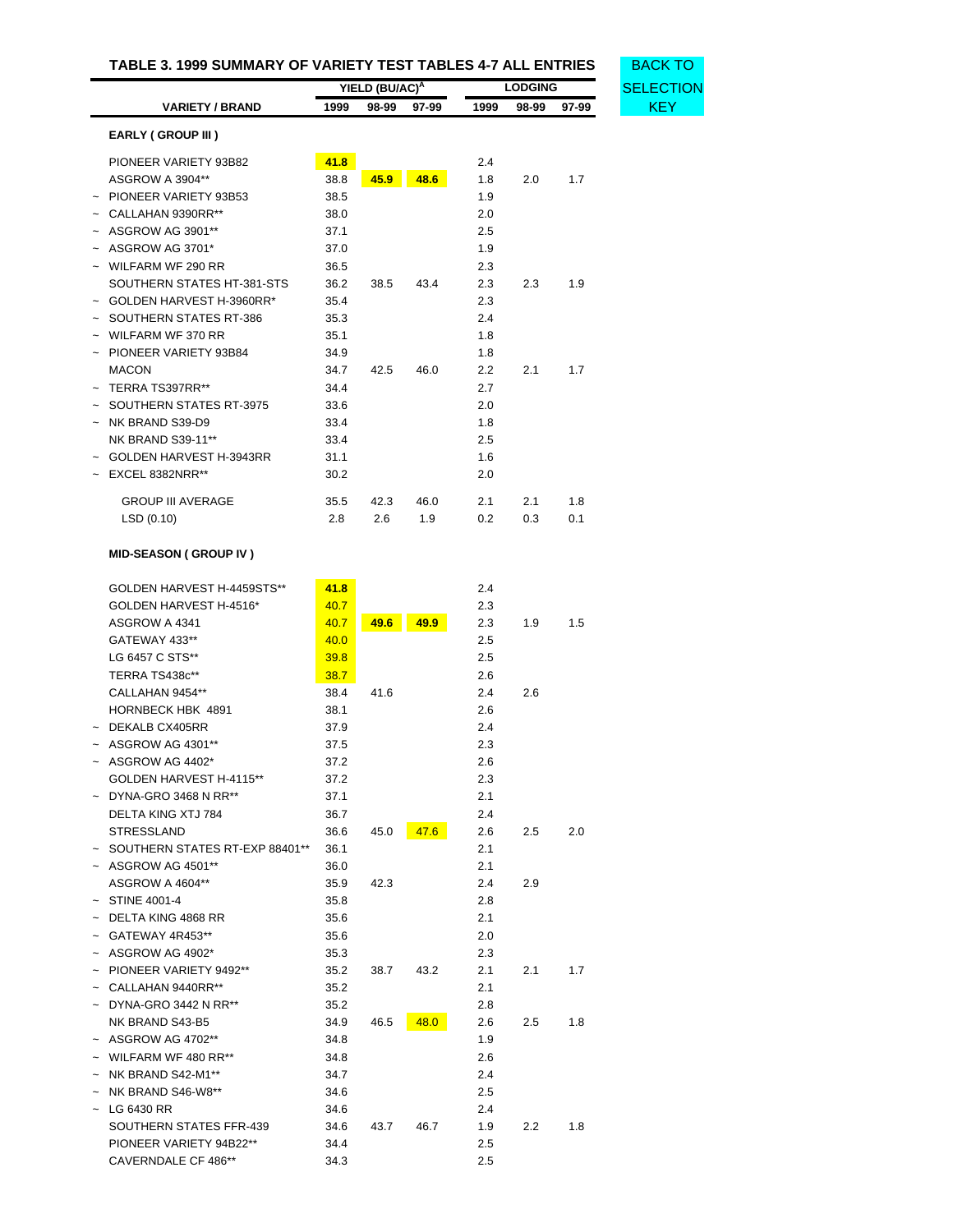<span id="page-23-0"></span>

| TABLE 3. 1999 SUMMARY OF VARIETY TEST TABLES 4-7 ALL ENTRIES |                            |                            |       |       |      |                | <b>BACK TO</b>   |            |
|--------------------------------------------------------------|----------------------------|----------------------------|-------|-------|------|----------------|------------------|------------|
|                                                              |                            | YIELD (BU/AC) <sup>A</sup> |       |       |      | <b>LODGING</b> | <b>SELECTION</b> |            |
|                                                              | <b>VARIETY / BRAND</b>     | 1999                       | 98-99 | 97-99 | 1999 | 98-99          | 97-99            | <b>KEY</b> |
|                                                              | <b>EARLY (GROUP III)</b>   |                            |       |       |      |                |                  |            |
|                                                              | PIONEER VARIETY 93B82      | 41.8                       |       |       | 2.4  |                |                  |            |
|                                                              | ASGROW A 3904**            | 38.8                       | 45.9  | 48.6  | 1.8  | 2.0            | 1.7              |            |
|                                                              | PIONEER VARIETY 93B53      | 38.5                       |       |       | 1.9  |                |                  |            |
|                                                              | CALLAHAN 9390RR**          | 38.0                       |       |       | 2.0  |                |                  |            |
|                                                              | ASGROW AG 3901**           | 37.1                       |       |       | 2.5  |                |                  |            |
|                                                              | ASGROW AG 3701*            | 37.0                       |       |       | 1.9  |                |                  |            |
|                                                              | WILFARM WF 290 RR          | 36.5                       |       |       | 2.3  |                |                  |            |
|                                                              | SOUTHERN STATES HT-381-STS | 36.2                       | 38.5  | 43.4  | 2.3  | 2.3            | 1.9              |            |
|                                                              | GOLDEN HARVEST H-3960RR*   | 35.4                       |       |       | 2.3  |                |                  |            |
|                                                              | SOUTHERN STATES RT-386     | 35.3                       |       |       | 2.4  |                |                  |            |
|                                                              | WILFARM WF 370 RR          | 35.1                       |       |       | 1.8  |                |                  |            |
|                                                              | PIONEER VARIETY 93B84      | 34.9                       |       |       | 1.8  |                |                  |            |
|                                                              | <b>MACON</b>               | 34.7                       | 42.5  | 46.0  | 2.2  | 2.1            | 1.7              |            |
|                                                              | TERRA TS397RR**            | 34.4                       |       |       | 2.7  |                |                  |            |
|                                                              | SOUTHERN STATES RT-3975    | 33.6                       |       |       | 2.0  |                |                  |            |
| $\tilde{}$                                                   | NK BRAND S39-D9            | 33.4                       |       |       | 1.8  |                |                  |            |
|                                                              | <b>NK BRAND S39-11**</b>   | 33.4                       |       |       | 2.5  |                |                  |            |
|                                                              | GOLDEN HARVEST H-3943RR    | 31.1                       |       |       | 1.6  |                |                  |            |
|                                                              | $~\sim~$ EXCEL 8382NRR**   | 30.2                       |       |       | 2.0  |                |                  |            |
|                                                              | <b>GROUP III AVERAGE</b>   | 35.5                       | 42.3  | 46.0  | 2.1  | 2.1            | 1.8              |            |
|                                                              | LSD(0.10)                  | 2.8                        | 2.6   | 1.9   | 0.2  | 0.3            | 0.1              |            |

# **MID-SEASON ( GROUP IV )**

| GOLDEN HARVEST H-4459STS**       | 41.8 |      |      | 2.4 |     |     |
|----------------------------------|------|------|------|-----|-----|-----|
| GOLDEN HARVEST H-4516*           | 40.7 |      |      | 2.3 |     |     |
| ASGROW A 4341                    | 40.7 | 49.6 | 49.9 | 2.3 | 1.9 | 1.5 |
| GATEWAY 433**                    | 40.0 |      |      | 2.5 |     |     |
| LG 6457 C STS**                  | 39.8 |      |      | 2.5 |     |     |
| TERRA TS438c**                   | 38.7 |      |      | 2.6 |     |     |
| CALLAHAN 9454**                  | 38.4 | 41.6 |      | 2.4 | 2.6 |     |
| <b>HORNBECK HBK 4891</b>         | 38.1 |      |      | 2.6 |     |     |
| DEKALB CX405RR                   | 37.9 |      |      | 2.4 |     |     |
| $~\sim~$ ASGROW AG 4301**        | 37.5 |      |      | 2.3 |     |     |
| ASGROW AG 4402*                  | 37.2 |      |      | 2.6 |     |     |
| GOLDEN HARVEST H-4115**          | 37.2 |      |      | 2.3 |     |     |
| DYNA-GRO 3468 N RR**             | 37.1 |      |      | 2.1 |     |     |
| DELTA KING XTJ 784               | 36.7 |      |      | 2.4 |     |     |
| <b>STRESSLAND</b>                | 36.6 | 45.0 | 47.6 | 2.6 | 2.5 | 2.0 |
| ~ SOUTHERN STATES RT-EXP 88401** | 36.1 |      |      | 2.1 |     |     |
| $\sim$ ASGROW AG 4501**          | 36.0 |      |      | 2.1 |     |     |
| <b>ASGROW A 4604**</b>           | 35.9 | 42.3 |      | 2.4 | 2.9 |     |
| $\sim$ STINE 4001-4              | 35.8 |      |      | 2.8 |     |     |
| DELTA KING 4868 RR               | 35.6 |      |      | 2.1 |     |     |
| GATEWAY 4R453**                  | 35.6 |      |      | 2.0 |     |     |
| ASGROW AG 4902*                  | 35.3 |      |      | 2.3 |     |     |
| PIONEER VARIETY 9492**           | 35.2 | 38.7 | 43.2 | 2.1 | 2.1 | 1.7 |
| CALLAHAN 9440RR**                | 35.2 |      |      | 2.1 |     |     |
| DYNA-GRO 3442 N RR**             | 35.2 |      |      | 2.8 |     |     |
| NK BRAND S43-B5                  | 34.9 | 46.5 | 48.0 | 2.6 | 2.5 | 1.8 |
| ASGROW AG 4702**                 | 34.8 |      |      | 1.9 |     |     |
| WILFARM WF 480 RR**              | 34.8 |      |      | 2.6 |     |     |
| NK BRAND S42-M1**                | 34.7 |      |      | 2.4 |     |     |
| NK BRAND S46-W8**                | 34.6 |      |      | 2.5 |     |     |
| LG 6430 RR                       | 34.6 |      |      | 2.4 |     |     |
| SOUTHERN STATES FFR-439          | 34.6 | 43.7 | 46.7 | 1.9 | 2.2 | 1.8 |
| PIONEER VARIETY 94B22**          | 34.4 |      |      | 2.5 |     |     |
| <b>CAVERNDALE CF 486**</b>       | 34.3 |      |      | 2.5 |     |     |
|                                  |      |      |      |     |     |     |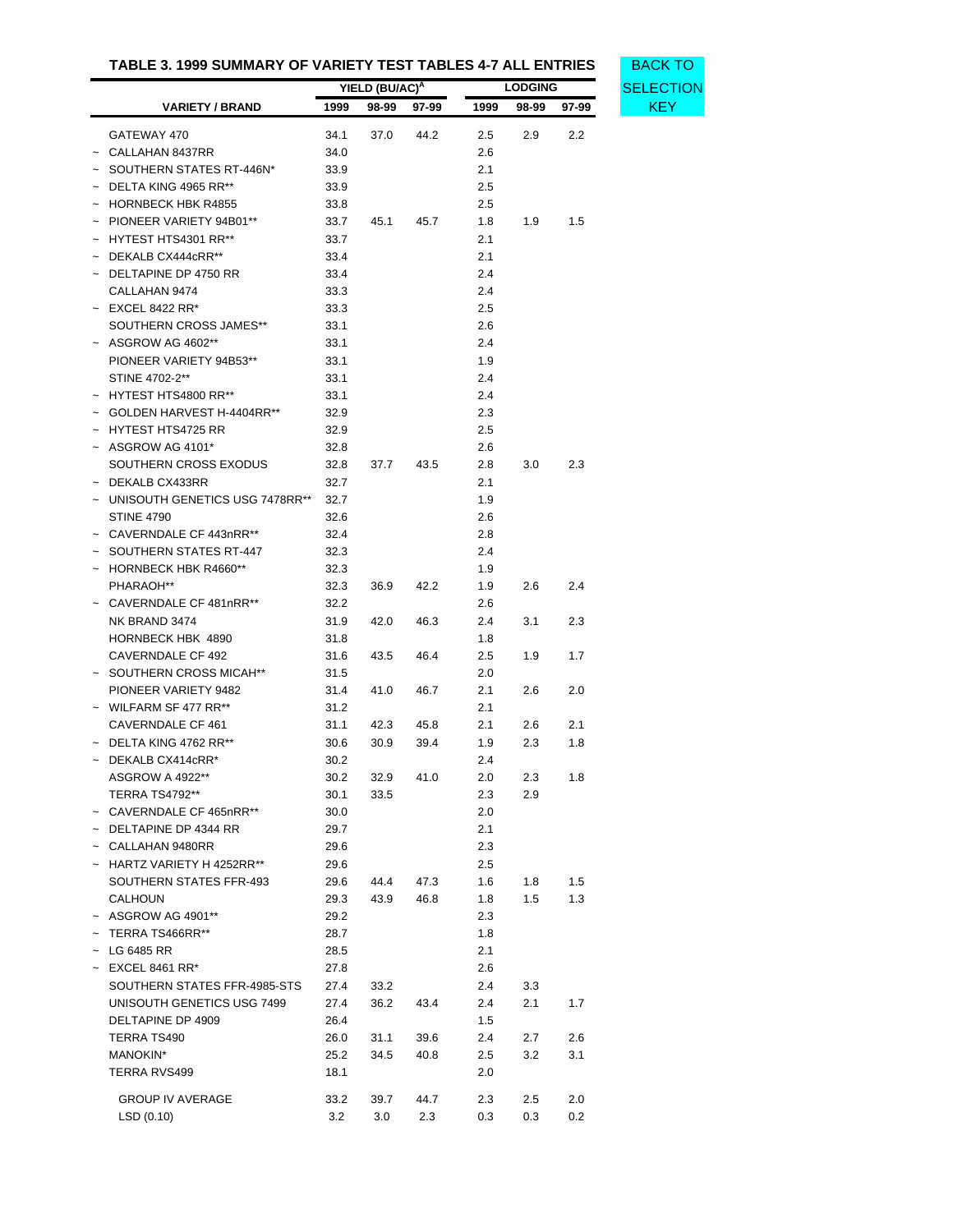|                       | TABLE 3. 1999 SUMMARY OF VARIETY TEST TABLES 4-7 ALL ENTRIES |                        |                            |              |            |                |                  |            |
|-----------------------|--------------------------------------------------------------|------------------------|----------------------------|--------------|------------|----------------|------------------|------------|
|                       |                                                              |                        | YIELD (BU/AC) <sup>A</sup> |              |            | <b>LODGING</b> | <b>SELECTION</b> |            |
|                       | <b>VARIETY / BRAND</b>                                       | 1999<br>98-99<br>97-99 |                            |              | 1999       | 98-99          | 97-99            | <b>KEY</b> |
|                       |                                                              |                        |                            |              |            |                |                  |            |
|                       | GATEWAY 470                                                  | 34.1                   | 37.0                       | 44.2         | 2.5        | 2.9            | 2.2              |            |
|                       | CALLAHAN 8437RR                                              | 34.0                   |                            |              | 2.6        |                |                  |            |
|                       | $\sim$ SOUTHERN STATES RT-446N*                              | 33.9                   |                            |              | 2.1        |                |                  |            |
|                       | $\sim$ DELTA KING 4965 RR**                                  | 33.9                   |                            |              | 2.5        |                |                  |            |
|                       | $~\sim~$ HORNBECK HBK R4855                                  | 33.8                   |                            |              | 2.5        |                |                  |            |
|                       | PIONEER VARIETY 94B01**                                      | 33.7                   | 45.1                       | 45.7         | 1.8        | 1.9            | 1.5              |            |
|                       | $~\sim~$ HYTEST HTS4301 RR**                                 | 33.7                   |                            |              | 2.1        |                |                  |            |
|                       | DEKALB CX444cRR**                                            | 33.4                   |                            |              | 2.1        |                |                  |            |
|                       | $\sim$ DELTAPINE DP 4750 RR                                  | 33.4                   |                            |              | 2.4        |                |                  |            |
|                       | CALLAHAN 9474                                                | 33.3                   |                            |              | 2.4        |                |                  |            |
|                       | $\sim$ EXCEL 8422 RR*                                        | 33.3                   |                            |              | 2.5        |                |                  |            |
|                       | SOUTHERN CROSS JAMES**                                       | 33.1                   |                            |              | 2.6        |                |                  |            |
|                       | $~\sim~$ ASGROW AG 4602**                                    | 33.1                   |                            |              | 2.4        |                |                  |            |
|                       | PIONEER VARIETY 94B53**                                      | 33.1                   |                            |              | 1.9        |                |                  |            |
|                       | STINE 4702-2**                                               | 33.1                   |                            |              | 2.4        |                |                  |            |
|                       | $~\sim~$ HYTEST HTS4800 RR**                                 | 33.1                   |                            |              | 2.4        |                |                  |            |
|                       | $\sim$ GOLDEN HARVEST H-4404RR**                             | 32.9                   |                            |              | 2.3        |                |                  |            |
|                       | ~ HYTEST HTS4725 RR                                          | 32.9                   |                            |              | 2.5        |                |                  |            |
|                       | $~\sim~$ ASGROW AG 4101*                                     | 32.8                   |                            |              | 2.6        |                |                  |            |
|                       | SOUTHERN CROSS EXODUS                                        | 32.8                   | 37.7                       | 43.5         | 2.8        | 3.0            | 2.3              |            |
|                       | $~\sim~$ DEKALB CX433RR                                      | 32.7                   |                            |              | 2.1        |                |                  |            |
|                       | ~ UNISOUTH GENETICS USG 7478RR**                             | 32.7                   |                            |              | 1.9        |                |                  |            |
|                       | <b>STINE 4790</b>                                            | 32.6                   |                            |              | 2.6        |                |                  |            |
|                       | ~ CAVERNDALE CF 443nRR**                                     | 32.4                   |                            |              | 2.8        |                |                  |            |
|                       | - SOUTHERN STATES RT-447                                     | 32.3                   |                            |              | 2.4        |                |                  |            |
|                       | <b>HORNBECK HBK R4660**</b>                                  | 32.3                   |                            |              | 1.9        |                |                  |            |
|                       | PHARAOH**                                                    | 32.3                   | 36.9                       | 42.2         | 1.9        | 2.6            | 2.4              |            |
|                       | $\sim$ CAVERNDALE CF 481nRR**                                | 32.2                   |                            |              | 2.6        |                |                  |            |
|                       | NK BRAND 3474                                                | 31.9                   | 42.0                       | 46.3         | 2.4        | 3.1            | 2.3              |            |
|                       | HORNBECK HBK 4890                                            | 31.8                   |                            |              | 1.8        |                |                  |            |
|                       | CAVERNDALE CF 492<br>~ SOUTHERN CROSS MICAH**                | 31.6                   | 43.5                       | 46.4         | 2.5        | 1.9            | 1.7              |            |
|                       |                                                              | 31.5                   |                            |              | 2.0        |                |                  |            |
|                       | PIONEER VARIETY 9482<br>$\sim$ WILFARM SF 477 RR**           | 31.4                   | 41.0                       | 46.7         | 2.1<br>2.1 | 2.6            | 2.0              |            |
|                       | CAVERNDALE CF 461                                            | 31.2                   |                            |              | 2.1        |                | 2.1              |            |
|                       | $\sim$ DELTA KING 4762 RR**                                  | 31.1<br>30.6           | 42.3                       | 45.8<br>39.4 | 1.9        | 2.6<br>2.3     | 1.8              |            |
|                       |                                                              |                        | 30.9                       |              |            |                |                  |            |
|                       | $\sim$ DEKALB CX414cRR*<br>ASGROW A 4922**                   | 30.2<br>30.2           |                            |              | 2.4        |                |                  |            |
|                       | <b>TERRA TS4792**</b>                                        | 30.1                   | 32.9<br>33.5               | 41.0         | 2.0<br>2.3 | 2.3<br>2.9     | 1.8              |            |
|                       | ~ CAVERNDALE CF 465nRR**                                     | 30.0                   |                            |              | 2.0        |                |                  |            |
|                       | $\sim$ DELTAPINE DP 4344 RR                                  | 29.7                   |                            |              |            |                |                  |            |
|                       | ~ CALLAHAN 9480RR                                            | 29.6                   |                            |              | 2.1<br>2.3 |                |                  |            |
|                       | ~ HARTZ VARIETY H 4252RR**                                   | 29.6                   |                            |              | 2.5        |                |                  |            |
|                       | SOUTHERN STATES FFR-493                                      | 29.6                   | 44.4                       | 47.3         | 1.6        | 1.8            | 1.5              |            |
|                       | <b>CALHOUN</b>                                               | 29.3                   | 43.9                       | 46.8         | 1.8        | 1.5            | 1.3              |            |
|                       | $~\sim~$ ASGROW AG 4901**                                    | 29.2                   |                            |              | 2.3        |                |                  |            |
|                       | TERRA TS466RR**                                              | 28.7                   |                            |              | 1.8        |                |                  |            |
| $\tilde{\phantom{a}}$ | LG 6485 RR                                                   | 28.5                   |                            |              | 2.1        |                |                  |            |
|                       | EXCEL 8461 RR*                                               | 27.8                   |                            |              | 2.6        |                |                  |            |
|                       | SOUTHERN STATES FFR-4985-STS                                 | 27.4                   | 33.2                       |              | 2.4        | 3.3            |                  |            |
|                       | UNISOUTH GENETICS USG 7499                                   | 27.4                   | 36.2                       | 43.4         | 2.4        | 2.1            | 1.7              |            |
|                       | DELTAPINE DP 4909                                            | 26.4                   |                            |              | 1.5        |                |                  |            |
|                       | TERRA TS490                                                  | 26.0                   | 31.1                       | 39.6         | 2.4        | 2.7            | 2.6              |            |
|                       | MANOKIN*                                                     | 25.2                   | 34.5                       | 40.8         | 2.5        | 3.2            | 3.1              |            |
|                       | TERRA RVS499                                                 | 18.1                   |                            |              | 2.0        |                |                  |            |
|                       |                                                              |                        |                            |              |            |                |                  |            |
|                       | <b>GROUP IV AVERAGE</b>                                      | 33.2                   | 39.7                       | 44.7         | 2.3        | 2.5            | 2.0              |            |
|                       | LSD(0.10)                                                    | 3.2                    | 3.0                        | 2.3          | 0.3        | 0.3            | $0.2\,$          |            |

**[SELECTION](#page-22-1)**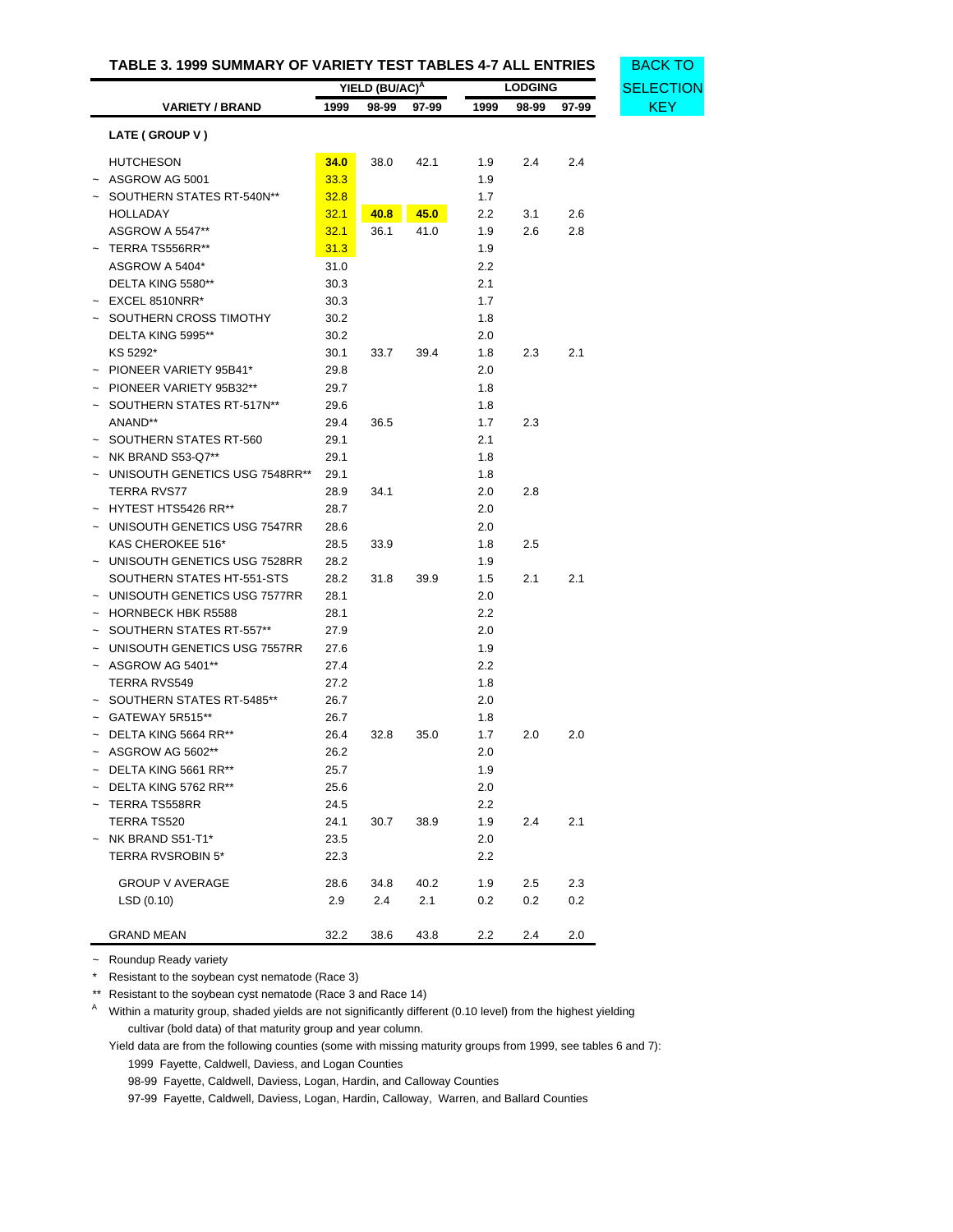|                                | YIELD (BU/AC) <sup>A</sup> |      |      |      | <b>LODGING</b> |       | SELECTION  |  |
|--------------------------------|----------------------------|------|------|------|----------------|-------|------------|--|
| <b>VARIETY / BRAND</b>         | 1999<br>98-99<br>97-99     |      |      | 1999 | 98-99          | 97-99 | <b>KEY</b> |  |
| LATE (GROUP V)                 |                            |      |      |      |                |       |            |  |
| <b>HUTCHESON</b>               | 34.0                       | 38.0 | 42.1 | 1.9  | 2.4            | 2.4   |            |  |
| ASGROW AG 5001                 | 33.3                       |      |      | 1.9  |                |       |            |  |
| SOUTHERN STATES RT-540N**      | 32.8                       |      |      | 1.7  |                |       |            |  |
| HOLLADAY                       | 32.1                       | 40.8 | 45.0 | 2.2  | 3.1            | 2.6   |            |  |
| <b>ASGROW A 5547**</b>         | 32.1                       | 36.1 | 41.0 | 1.9  | 2.6            | 2.8   |            |  |
| $~\sim~$ TERRA TS556RR**       | 31.3                       |      |      | 1.9  |                |       |            |  |
| ASGROW A 5404*                 | 31.0                       |      |      | 2.2  |                |       |            |  |
| DELTA KING 5580**              | 30.3                       |      |      | 2.1  |                |       |            |  |
|                                |                            |      |      | 1.7  |                |       |            |  |
| $~\sim~$ EXCEL 8510NRR*        | 30.3                       |      |      |      |                |       |            |  |
| ~ SOUTHERN CROSS TIMOTHY       | 30.2                       |      |      | 1.8  |                |       |            |  |
| DELTA KING 5995**              | 30.2                       |      |      | 2.0  |                |       |            |  |
| KS 5292*                       | 30.1                       | 33.7 | 39.4 | 1.8  | 2.3            | 2.1   |            |  |
| PIONEER VARIETY 95B41*         | 29.8                       |      |      | 2.0  |                |       |            |  |
| PIONEER VARIETY 95B32**        | 29.7                       |      |      | 1.8  |                |       |            |  |
| SOUTHERN STATES RT-517N**      | 29.6                       |      |      | 1.8  |                |       |            |  |
| ANAND**                        | 29.4                       | 36.5 |      | 1.7  | 2.3            |       |            |  |
| SOUTHERN STATES RT-560         | 29.1                       |      |      | 2.1  |                |       |            |  |
| NK BRAND S53-Q7**              | 29.1                       |      |      | 1.8  |                |       |            |  |
| UNISOUTH GENETICS USG 7548RR** | 29.1                       |      |      | 1.8  |                |       |            |  |
| TERRA RVS77                    | 28.9                       | 34.1 |      | 2.0  | 2.8            |       |            |  |
| HYTEST HTS5426 RR**            | 28.7                       |      |      | 2.0  |                |       |            |  |
| UNISOUTH GENETICS USG 7547RR   | 28.6                       |      |      | 2.0  |                |       |            |  |
| KAS CHEROKEE 516*              | 28.5                       | 33.9 |      | 1.8  | 2.5            |       |            |  |
| UNISOUTH GENETICS USG 7528RR   | 28.2                       |      |      | 1.9  |                |       |            |  |
| SOUTHERN STATES HT-551-STS     | 28.2                       | 31.8 | 39.9 | 1.5  | 2.1            | 2.1   |            |  |
| UNISOUTH GENETICS USG 7577RR   | 28.1                       |      |      | 2.0  |                |       |            |  |
| <b>HORNBECK HBK R5588</b>      | 28.1                       |      |      | 2.2  |                |       |            |  |
| ~ SOUTHERN STATES RT-557**     | 27.9                       |      |      | 2.0  |                |       |            |  |
| UNISOUTH GENETICS USG 7557RR   | 27.6                       |      |      | 1.9  |                |       |            |  |
| ASGROW AG 5401**               | 27.4                       |      |      | 2.2  |                |       |            |  |
| TERRA RVS549                   | 27.2                       |      |      | 1.8  |                |       |            |  |
| SOUTHERN STATES RT-5485**      | 26.7                       |      |      | 2.0  |                |       |            |  |
| $~\sim~$ GATEWAY 5R515**       | 26.7                       |      |      | 1.8  |                |       |            |  |
| $\sim$ DELTA KING 5664 RR**    | 26.4                       | 32.8 | 35.0 | 1.7  | 2.0            | 2.0   |            |  |
| $~\sim~$ ASGROW AG 5602**      | 26.2                       |      |      | 2.0  |                |       |            |  |
| $\sim$ DELTA KING 5661 RR**    | 25.7                       |      |      | 1.9  |                |       |            |  |
| $\sim$ DELTA KING 5762 RR**    | 25.6                       |      |      | 2.0  |                |       |            |  |
| TERRA TS558RR                  | 24.5                       |      |      | 2.2  |                |       |            |  |
| TERRA TS520                    | 24.1                       | 30.7 | 38.9 | 1.9  | 2.4            | 2.1   |            |  |
| $~\sim~$ NK BRAND S51-T1*      | 23.5                       |      |      | 2.0  |                |       |            |  |
| <b>TERRA RVSROBIN 5*</b>       | 22.3                       |      |      | 2.2  |                |       |            |  |
| <b>GROUP V AVERAGE</b>         | 28.6                       | 34.8 | 40.2 | 1.9  | 2.5            | 2.3   |            |  |
| LSD(0.10)                      | 2.9                        | 2.4  | 2.1  | 0.2  | 0.2            | 0.2   |            |  |
| <b>GRAND MEAN</b>              | 32.2                       | 38.6 | 43.8 | 2.2  | 2.4            | 2.0   |            |  |

~ Roundup Ready variety

\* Resistant to the soybean cyst nematode (Race 3)

\*\* Resistant to the soybean cyst nematode (Race 3 and Race 14)

<sup>A</sup> Within a maturity group, shaded yields are not significantly different (0.10 level) from the highest yielding cultivar (bold data) of that maturity group and year column.

Yield data are from the following counties (some with missing maturity groups from 1999, see tables 6 and 7): 1999 Fayette, Caldwell, Daviess, and Logan Counties

98-99 Fayette, Caldwell, Daviess, Logan, Hardin, and Calloway Counties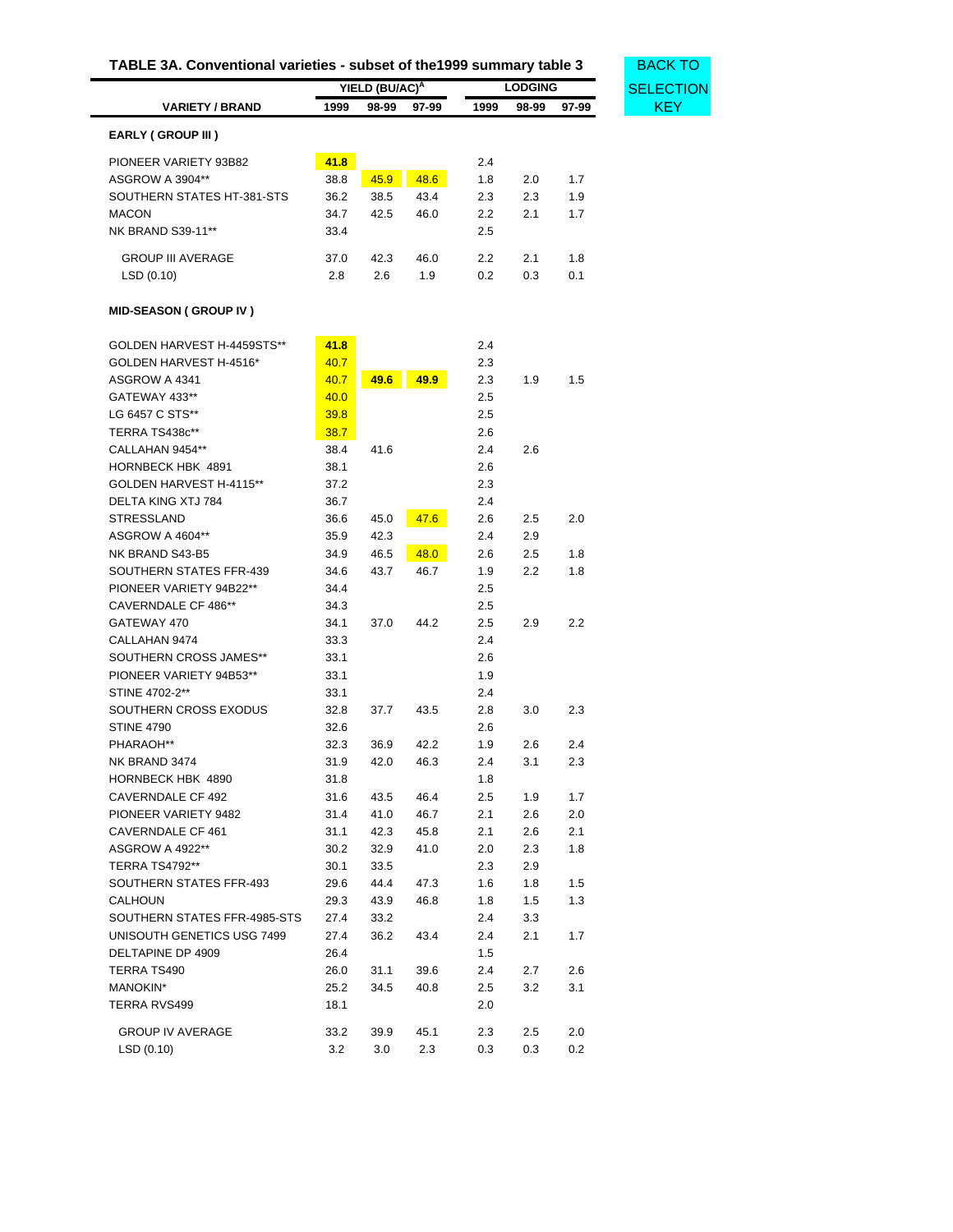<span id="page-26-0"></span>

|                              |      | YIELD (BU/AC) <sup>A</sup> |       |                  | <b>LODGING</b> |       |
|------------------------------|------|----------------------------|-------|------------------|----------------|-------|
| <b>VARIETY / BRAND</b>       | 1999 | 98-99                      | 97-99 | 1999             | 98-99          | 97-99 |
| <b>EARLY (GROUP III)</b>     |      |                            |       |                  |                |       |
| PIONEER VARIETY 93B82        | 41.8 |                            |       | 2.4              |                |       |
| ASGROW A 3904**              | 38.8 | 45.9                       | 48.6  | 1.8              | 2.0            | 1.7   |
| SOUTHERN STATES HT-381-STS   | 36.2 | 38.5                       | 43.4  | 2.3              | 2.3            | 1.9   |
| <b>MACON</b>                 | 34.7 | 42.5                       | 46.0  | $2.2\phantom{0}$ | 2.1            | 1.7   |
| NK BRAND S39-11**            | 33.4 |                            |       | 2.5              |                |       |
|                              |      |                            |       |                  |                |       |
| <b>GROUP III AVERAGE</b>     | 37.0 | 42.3                       | 46.0  | 2.2              | 2.1            | 1.8   |
| LSD(0.10)                    | 2.8  | 2.6                        | 1.9   | 0.2              | 0.3            | 0.1   |
| <b>MID-SEASON (GROUP IV)</b> |      |                            |       |                  |                |       |
| GOLDEN HARVEST H-4459STS**   | 41.8 |                            |       | 2.4              |                |       |
| GOLDEN HARVEST H-4516*       | 40.7 |                            |       | 2.3              |                |       |
| ASGROW A 4341                | 40.7 | 49.6                       | 49.9  | 2.3              | 1.9            | 1.5   |
| GATEWAY 433**                | 40.0 |                            |       | 2.5              |                |       |
| LG 6457 C STS**              | 39.8 |                            |       | 2.5              |                |       |
| TERRA TS438c**               | 38.7 |                            |       | 2.6              |                |       |
| CALLAHAN 9454**              | 38.4 | 41.6                       |       | 2.4              | 2.6            |       |
| HORNBECK HBK 4891            | 38.1 |                            |       | 2.6              |                |       |
| GOLDEN HARVEST H-4115**      | 37.2 |                            |       | 2.3              |                |       |
| <b>DELTA KING XTJ 784</b>    | 36.7 |                            |       | 2.4              |                |       |
| <b>STRESSLAND</b>            | 36.6 | 45.0                       | 47.6  | 2.6              | 2.5            | 2.0   |
| ASGROW A 4604**              | 35.9 | 42.3                       |       | 2.4              | 2.9            |       |
| NK BRAND S43-B5              | 34.9 | 46.5                       | 48.0  | 2.6              | 2.5            | 1.8   |
| SOUTHERN STATES FFR-439      | 34.6 | 43.7                       | 46.7  | 1.9              | 2.2            | 1.8   |
| PIONEER VARIETY 94B22**      | 34.4 |                            |       | 2.5              |                |       |
| CAVERNDALE CF 486**          | 34.3 |                            |       | 2.5              |                |       |
| GATEWAY 470                  | 34.1 | 37.0                       | 44.2  | $2.5\,$          | 2.9            | 2.2   |
| CALLAHAN 9474                | 33.3 |                            |       | 2.4              |                |       |
| SOUTHERN CROSS JAMES**       | 33.1 |                            |       | 2.6              |                |       |
| PIONEER VARIETY 94B53**      | 33.1 |                            |       | 1.9              |                |       |
| STINE 4702-2**               | 33.1 |                            |       | 2.4              |                |       |
| SOUTHERN CROSS EXODUS        | 32.8 | 37.7                       | 43.5  | 2.8              | 3.0            | 2.3   |
| <b>STINE 4790</b>            | 32.6 |                            |       | 2.6              |                |       |
| PHARAOH**                    | 32.3 | 36.9                       | 42.2  | 1.9              | 2.6            | 2.4   |
| NK BRAND 3474                | 31.9 | 42.0                       | 46.3  | 2.4              | 3.1            | 2.3   |
| HORNBECK HBK 4890            | 31.8 |                            |       | 1.8              |                |       |
| CAVERNDALE CF 492            | 31.6 | 43.5                       | 46.4  | 2.5              | 1.9            | 1.7   |
| PIONEER VARIETY 9482         | 31.4 | 41.0                       | 46.7  | 2.1              | 2.6            | 2.0   |
| CAVERNDALE CF 461            | 31.1 | 42.3                       | 45.8  | 2.1              | 2.6            | 2.1   |
| ASGROW A 4922**              | 30.2 | 32.9                       | 41.0  | 2.0              | 2.3            | 1.8   |
| TERRA TS4792**               | 30.1 | 33.5                       |       | 2.3              | 2.9            |       |
| SOUTHERN STATES FFR-493      | 29.6 | 44.4                       | 47.3  | 1.6              | 1.8            | 1.5   |
| CALHOUN                      | 29.3 | 43.9                       | 46.8  | 1.8              | 1.5            | 1.3   |
| SOUTHERN STATES FFR-4985-STS | 27.4 | 33.2                       |       | 2.4              | 3.3            |       |
| UNISOUTH GENETICS USG 7499   | 27.4 | 36.2                       | 43.4  | 2.4              | 2.1            | 1.7   |
| DELTAPINE DP 4909            | 26.4 |                            |       | 1.5              |                |       |
| TERRA TS490                  | 26.0 | 31.1                       | 39.6  | 2.4              | 2.7            | 2.6   |
| MANOKIN*                     | 25.2 | 34.5                       | 40.8  | $2.5\,$          | 3.2            | 3.1   |
| TERRA RVS499                 | 18.1 |                            |       | 2.0              |                |       |
|                              |      |                            |       |                  |                |       |
| <b>GROUP IV AVERAGE</b>      | 33.2 | 39.9                       | 45.1  | 2.3              | 2.5            | 2.0   |

LSD (0.10) 3.2 3.0 2.3 0.3 0.3 0.2

# **TABLE 3A. Conventional varieties - subset of the1999 summary table 3** BACK TO

ECTION<br>KEY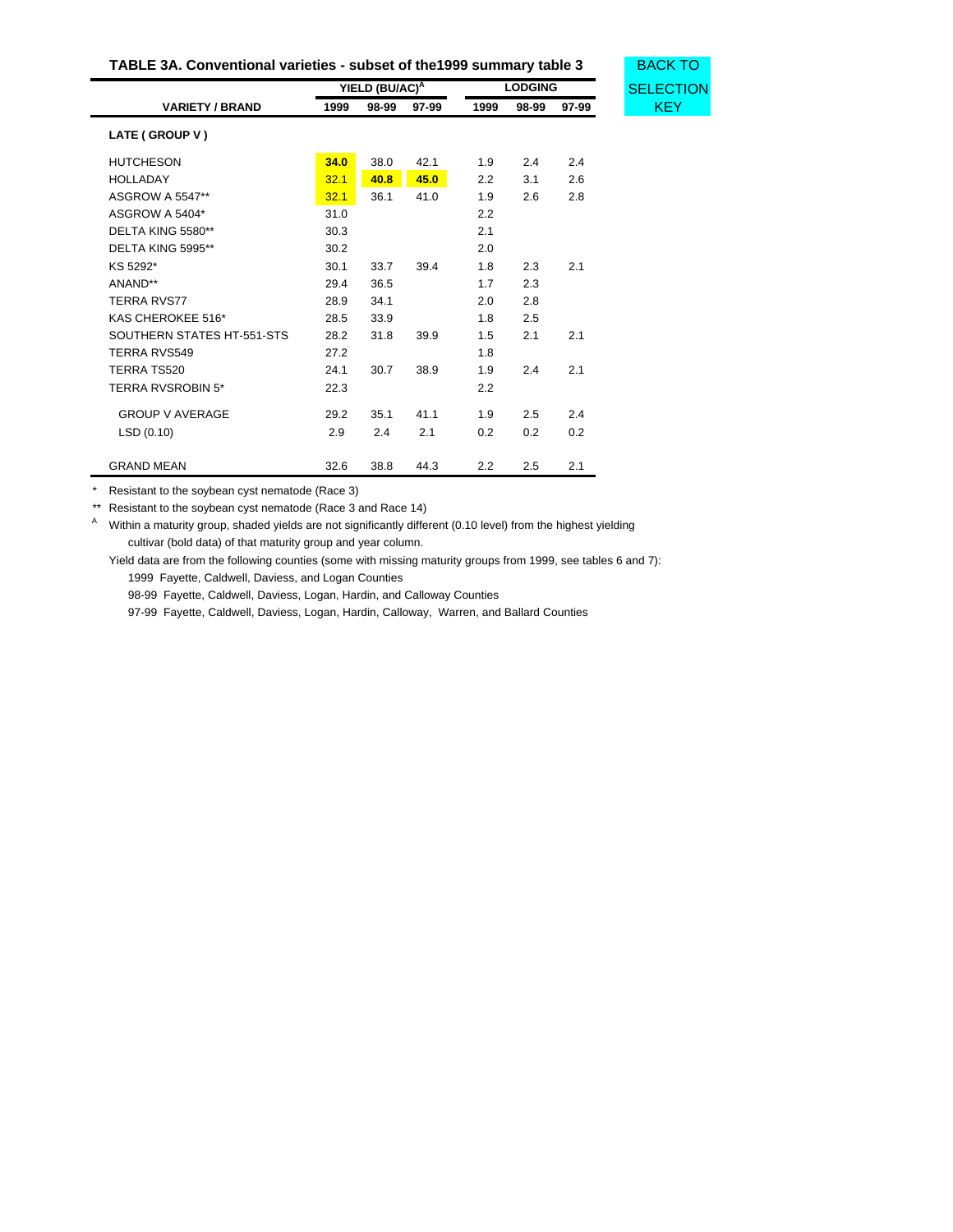| TABLE 3A. Conventional varieties - subset of the 1999 summary table 3 | <b>BACK TO</b> |
|-----------------------------------------------------------------------|----------------|
|-----------------------------------------------------------------------|----------------|

CTION

|                            | YIELD (BU/AC)A |       |       | <b>LODGING</b> |       |       | <b>SELECT</b> |
|----------------------------|----------------|-------|-------|----------------|-------|-------|---------------|
| <b>VARIETY / BRAND</b>     | 1999           | 98-99 | 97-99 | 1999           | 98-99 | 97-99 |               |
| LATE (GROUP V)             |                |       |       |                |       |       |               |
| <b>HUTCHESON</b>           | 34.0           | 38.0  | 42.1  | 1.9            | 2.4   | 2.4   |               |
| <b>HOLLADAY</b>            | 32.1           | 40.8  | 45.0  | 2.2            | 3.1   | 2.6   |               |
| <b>ASGROW A 5547**</b>     | 32.1           | 36.1  | 41.0  | 1.9            | 2.6   | 2.8   |               |
| ASGROW A 5404*             | 31.0           |       |       | 2.2            |       |       |               |
| DELTA KING 5580**          | 30.3           |       |       | 2.1            |       |       |               |
| DELTA KING 5995**          | 30.2           |       |       | 2.0            |       |       |               |
| KS 5292*                   | 30.1           | 33.7  | 39.4  | 1.8            | 2.3   | 2.1   |               |
| ANAND**                    | 29.4           | 36.5  |       | 1.7            | 2.3   |       |               |
| <b>TERRA RVS77</b>         | 28.9           | 34.1  |       | 2.0            | 2.8   |       |               |
| KAS CHEROKEE 516*          | 28.5           | 33.9  |       | 1.8            | 2.5   |       |               |
| SOUTHERN STATES HT-551-STS | 28.2           | 31.8  | 39.9  | 1.5            | 2.1   | 2.1   |               |
| <b>TERRA RVS549</b>        | 27.2           |       |       | 1.8            |       |       |               |
| TERRA TS520                | 24.1           | 30.7  | 38.9  | 1.9            | 2.4   | 2.1   |               |
| <b>TERRA RVSROBIN 5*</b>   | 22.3           |       |       | 2.2            |       |       |               |
| <b>GROUP V AVERAGE</b>     | 29.2           | 35.1  | 41.1  | 1.9            | 2.5   | 2.4   |               |
| LSD(0.10)                  | 2.9            | 2.4   | 2.1   | 0.2            | 0.2   | 0.2   |               |
| <b>GRAND MEAN</b>          | 32.6           | 38.8  | 44.3  | 2.2            | 2.5   | 2.1   |               |

\* Resistant to the soybean cyst nematode (Race 3)

\*\* Resistant to the soybean cyst nematode (Race 3 and Race 14)

A Within a maturity group, shaded yields are not significantly different (0.10 level) from the highest yielding cultivar (bold data) of that maturity group and year column.

Yield data are from the following counties (some with missing maturity groups from 1999, see tables 6 and 7): 1999 Fayette, Caldwell, Daviess, and Logan Counties

98-99 Fayette, Caldwell, Daviess, Logan, Hardin, and Calloway Counties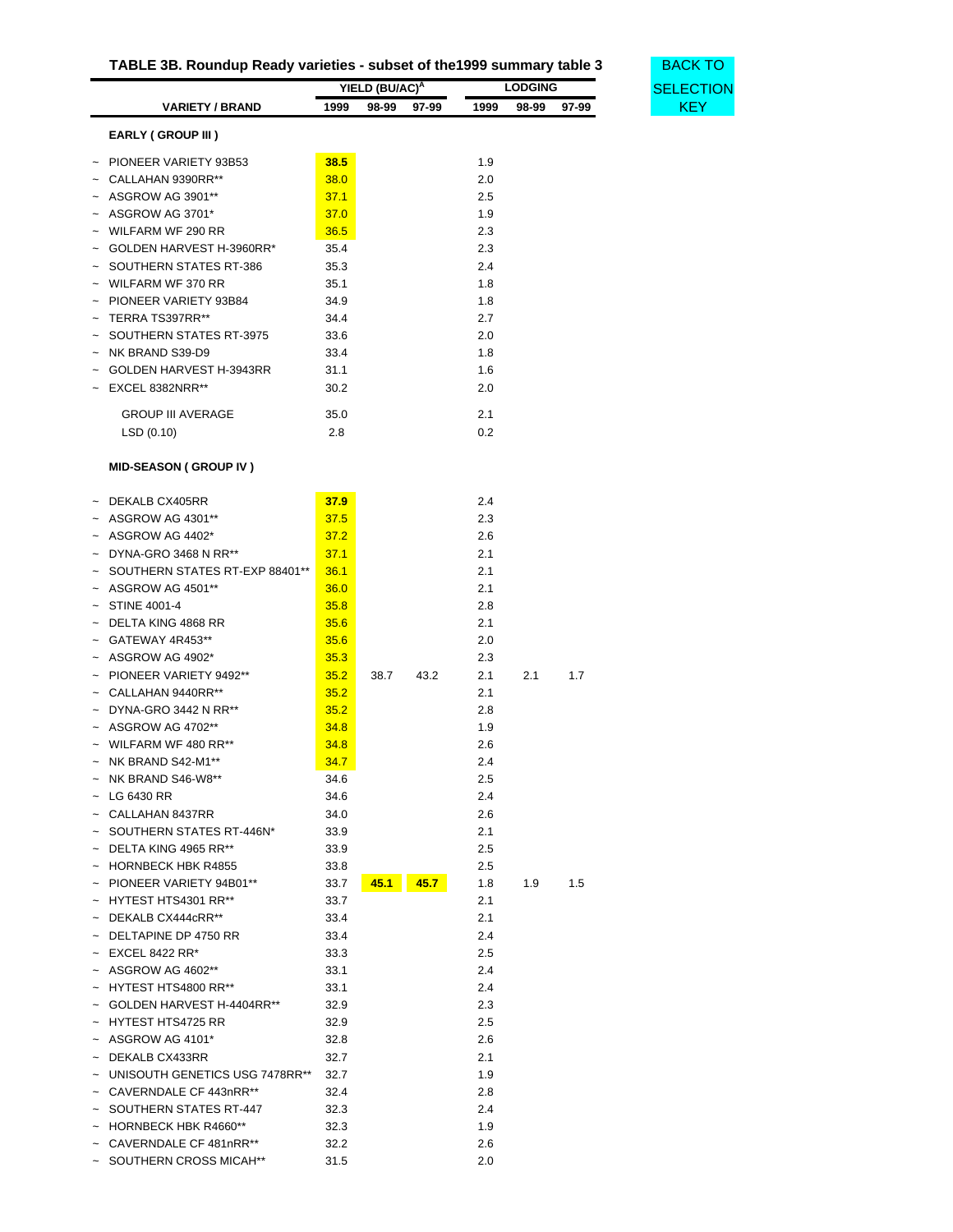| TABLE 3B. Roundup Ready varieties - subset of the 1999 summary table 3 |  |  |  |
|------------------------------------------------------------------------|--|--|--|
|                                                                        |  |  |  |

**BACK TO [SELECTION](#page-22-1)** 

<span id="page-28-0"></span>

|                                  |      | YIELD (BU/AC) <sup>A</sup> |       |      | <b>LODGING</b> |       | SELECT     |
|----------------------------------|------|----------------------------|-------|------|----------------|-------|------------|
| <b>VARIETY / BRAND</b>           | 1999 | 98-99                      | 97-99 | 1999 | 98-99          | 97-99 | <b>KEY</b> |
| EARLY (GROUP III)                |      |                            |       |      |                |       |            |
| PIONEER VARIETY 93B53            | 38.5 |                            |       | 1.9  |                |       |            |
|                                  |      |                            |       |      |                |       |            |
| CALLAHAN 9390RR**                | 38.0 |                            |       | 2.0  |                |       |            |
| ASGROW AG 3901**                 | 37.1 |                            |       | 2.5  |                |       |            |
| ASGROW AG 3701*                  | 37.0 |                            |       | 1.9  |                |       |            |
| WILFARM WF 290 RR                | 36.5 |                            |       | 2.3  |                |       |            |
| GOLDEN HARVEST H-3960RR*         | 35.4 |                            |       | 2.3  |                |       |            |
| SOUTHERN STATES RT-386           | 35.3 |                            |       | 2.4  |                |       |            |
| WILFARM WF 370 RR                | 35.1 |                            |       | 1.8  |                |       |            |
| PIONEER VARIETY 93B84            | 34.9 |                            |       | 1.8  |                |       |            |
| TERRA TS397RR**                  | 34.4 |                            |       | 2.7  |                |       |            |
| SOUTHERN STATES RT-3975          | 33.6 |                            |       | 2.0  |                |       |            |
| NK BRAND S39-D9                  | 33.4 |                            |       | 1.8  |                |       |            |
| GOLDEN HARVEST H-3943RR          | 31.1 |                            |       | 1.6  |                |       |            |
| EXCEL 8382NRR**                  | 30.2 |                            |       | 2.0  |                |       |            |
|                                  |      |                            |       |      |                |       |            |
| <b>GROUP III AVERAGE</b>         | 35.0 |                            |       | 2.1  |                |       |            |
| LSD(0.10)                        | 2.8  |                            |       | 0.2  |                |       |            |
| <b>MID-SEASON (GROUP IV)</b>     |      |                            |       |      |                |       |            |
|                                  |      |                            |       |      |                |       |            |
| DEKALB CX405RR                   | 37.9 |                            |       | 2.4  |                |       |            |
| ASGROW AG 4301**                 | 37.5 |                            |       | 2.3  |                |       |            |
| ASGROW AG 4402*                  | 37.2 |                            |       | 2.6  |                |       |            |
| DYNA-GRO 3468 N RR**             | 37.1 |                            |       | 2.1  |                |       |            |
| SOUTHERN STATES RT-EXP 88401**   | 36.1 |                            |       | 2.1  |                |       |            |
| ASGROW AG 4501**                 | 36.0 |                            |       | 2.1  |                |       |            |
| <b>STINE 4001-4</b>              | 35.8 |                            |       | 2.8  |                |       |            |
| DELTA KING 4868 RR               | 35.6 |                            |       | 2.1  |                |       |            |
| GATEWAY 4R453**                  | 35.6 |                            |       | 2.0  |                |       |            |
| ASGROW AG 4902*                  | 35.3 |                            |       | 2.3  |                |       |            |
| PIONEER VARIETY 9492**           | 35.2 | 38.7                       | 43.2  | 2.1  | 2.1            | 1.7   |            |
| CALLAHAN 9440RR**                | 35.2 |                            |       | 2.1  |                |       |            |
| DYNA-GRO 3442 N RR**             | 35.2 |                            |       | 2.8  |                |       |            |
| ASGROW AG 4702**                 | 34.8 |                            |       | 1.9  |                |       |            |
| WILFARM WF 480 RR**              | 34.8 |                            |       | 2.6  |                |       |            |
| NK BRAND S42-M1**                | 34.7 |                            |       | 2.4  |                |       |            |
| NK BRAND S46-W8**                | 34.6 |                            |       | 2.5  |                |       |            |
|                                  |      |                            |       |      |                |       |            |
| $\sim$ LG 6430 RR                | 34.6 |                            |       | 2.4  |                |       |            |
| $~\sim~$ CALLAHAN 8437RR         | 34.0 |                            |       | 2.6  |                |       |            |
| SOUTHERN STATES RT-446N*         | 33.9 |                            |       | 2.1  |                |       |            |
| $\sim$ DELTA KING 4965 RR**      | 33.9 |                            |       | 2.5  |                |       |            |
| <b>HORNBECK HBK R4855</b>        | 33.8 |                            |       | 2.5  |                |       |            |
| ~ PIONEER VARIETY 94B01**        | 33.7 | 45.1                       | 45.7  | 1.8  | 1.9            | 1.5   |            |
| ~ HYTEST HTS4301 RR**            | 33.7 |                            |       | 2.1  |                |       |            |
| $~\sim~$ DEKALB CX444cRR**       | 33.4 |                            |       | 2.1  |                |       |            |
| $~\sim~$ DELTAPINE DP 4750 RR    | 33.4 |                            |       | 2.4  |                |       |            |
| $~\sim~$ EXCEL 8422 RR*          | 33.3 |                            |       | 2.5  |                |       |            |
| ~ ASGROW AG 4602**               | 33.1 |                            |       | 2.4  |                |       |            |
| ~ HYTEST HTS4800 RR**            | 33.1 |                            |       | 2.4  |                |       |            |
| ~ GOLDEN HARVEST H-4404RR**      | 32.9 |                            |       | 2.3  |                |       |            |
| HYTEST HTS4725 RR                | 32.9 |                            |       | 2.5  |                |       |            |
| $~\sim~$ ASGROW AG 4101*         | 32.8 |                            |       | 2.6  |                |       |            |
| $~\sim~$ DEKALB CX433RR          | 32.7 |                            |       | 2.1  |                |       |            |
| ~ UNISOUTH GENETICS USG 7478RR** | 32.7 |                            |       | 1.9  |                |       |            |
| ~ CAVERNDALE CF 443nRR**         | 32.4 |                            |       | 2.8  |                |       |            |
| SOUTHERN STATES RT-447           | 32.3 |                            |       | 2.4  |                |       |            |
| $\sim$ HORNBECK HBK R4660**      | 32.3 |                            |       | 1.9  |                |       |            |
| CAVERNDALE CF 481nRR**           | 32.2 |                            |       | 2.6  |                |       |            |
| SOUTHERN CROSS MICAH**           | 31.5 |                            |       | 2.0  |                |       |            |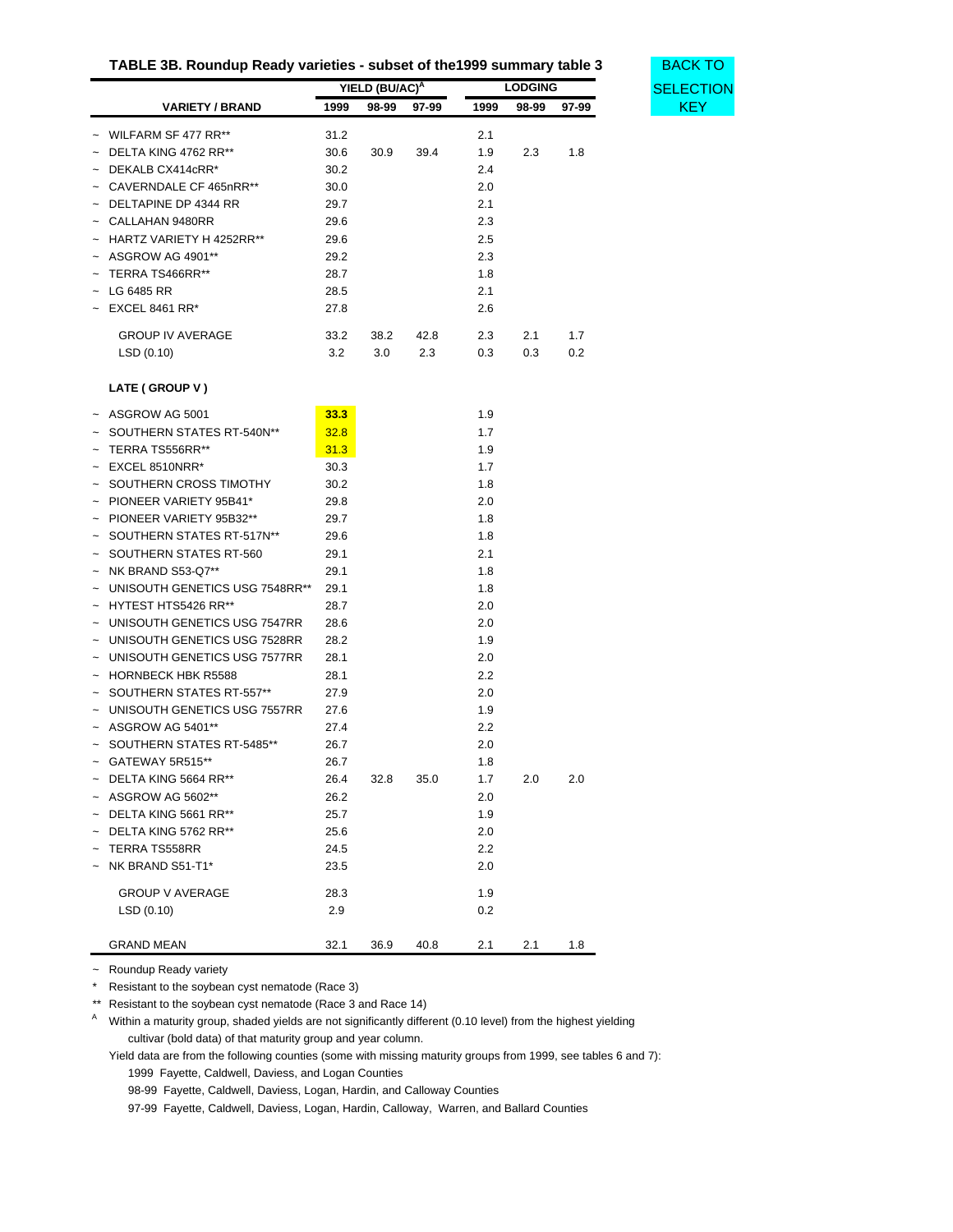| TABLE 3B. Roundup Ready varieties - subset of the 1999 summary table 3 |  |
|------------------------------------------------------------------------|--|
|------------------------------------------------------------------------|--|

**BACK TO [SELECTION](#page-22-1)** 

|                                |      | YIELD (BU/AC) <sup>A</sup> |       |      | <b>LODGING</b> |       |
|--------------------------------|------|----------------------------|-------|------|----------------|-------|
| <b>VARIETY / BRAND</b>         | 1999 | 98-99                      | 97-99 | 1999 | 98-99          | 97-99 |
| WILFARM SF 477 RR**            | 31.2 |                            |       | 2.1  |                |       |
| DELTA KING 4762 RR**           | 30.6 | 30.9                       | 39.4  | 1.9  | 2.3            | 1.8   |
| DEKALB CX414cRR*               | 30.2 |                            |       | 2.4  |                |       |
| CAVERNDALE CF 465nRR**         | 30.0 |                            |       | 2.0  |                |       |
| DELTAPINE DP 4344 RR           | 29.7 |                            |       | 2.1  |                |       |
| CALLAHAN 9480RR                | 29.6 |                            |       | 2.3  |                |       |
| HARTZ VARIETY H 4252RR**       | 29.6 |                            |       | 2.5  |                |       |
| ASGROW AG 4901**               | 29.2 |                            |       | 2.3  |                |       |
| TERRA TS466RR**                | 28.7 |                            |       | 1.8  |                |       |
| LG 6485 RR                     | 28.5 |                            |       | 2.1  |                |       |
| <b>EXCEL 8461 RR*</b>          | 27.8 |                            |       | 2.6  |                |       |
|                                |      |                            |       |      |                |       |
| <b>GROUP IV AVERAGE</b>        | 33.2 | 38.2                       | 42.8  | 2.3  | 2.1            | 1.7   |
| LSD(0.10)                      | 3.2  | 3.0                        | 2.3   | 0.3  | 0.3            | 0.2   |
| LATE (GROUP V)                 |      |                            |       |      |                |       |
| $~\sim~$ ASGROW AG 5001        | 33.3 |                            |       | 1.9  |                |       |
| SOUTHERN STATES RT-540N**      | 32.8 |                            |       | 1.7  |                |       |
| TERRA TS556RR**                | 31.3 |                            |       | 1.9  |                |       |
| EXCEL 8510NRR*                 | 30.3 |                            |       | 1.7  |                |       |
| SOUTHERN CROSS TIMOTHY         | 30.2 |                            |       | 1.8  |                |       |
| PIONEER VARIETY 95B41*         | 29.8 |                            |       | 2.0  |                |       |
| PIONEER VARIETY 95B32**        | 29.7 |                            |       | 1.8  |                |       |
| SOUTHERN STATES RT-517N**      | 29.6 |                            |       | 1.8  |                |       |
| SOUTHERN STATES RT-560         | 29.1 |                            |       | 2.1  |                |       |
| NK BRAND S53-Q7**              | 29.1 |                            |       | 1.8  |                |       |
| UNISOUTH GENETICS USG 7548RR** | 29.1 |                            |       | 1.8  |                |       |
| HYTEST HTS5426 RR**            | 28.7 |                            |       | 2.0  |                |       |
| UNISOUTH GENETICS USG 7547RR   | 28.6 |                            |       | 2.0  |                |       |
| UNISOUTH GENETICS USG 7528RR   | 28.2 |                            |       | 1.9  |                |       |
| UNISOUTH GENETICS USG 7577RR   | 28.1 |                            |       | 2.0  |                |       |
| <b>HORNBECK HBK R5588</b>      | 28.1 |                            |       | 2.2  |                |       |
| SOUTHERN STATES RT-557**       | 27.9 |                            |       | 2.0  |                |       |
| UNISOUTH GENETICS USG 7557RR   | 27.6 |                            |       | 1.9  |                |       |
| ASGROW AG 5401**               | 27.4 |                            |       | 2.2  |                |       |
| SOUTHERN STATES RT-5485**      | 26.7 |                            |       | 2.0  |                |       |
| ~ GATEWAY 5R515**              | 26.7 |                            |       | 1.8  |                |       |
| $\sim$ DELTA KING 5664 RR**    | 26.4 | 32.8                       | 35.0  | 1.7  | 2.0            | 2.0   |
| $~\sim~$ ASGROW AG 5602**      | 26.2 |                            |       | 2.0  |                |       |
| $\sim$ DELTA KING 5661 RR**    | 25.7 |                            |       | 1.9  |                |       |
| DELTA KING 5762 RR**           | 25.6 |                            |       | 2.0  |                |       |
| $\sim$ TERRA TS558RR           | 24.5 |                            |       | 2.2  |                |       |
| NK BRAND S51-T1*               | 23.5 |                            |       | 2.0  |                |       |
|                                |      |                            |       |      |                |       |
| <b>GROUP V AVERAGE</b>         | 28.3 |                            |       | 1.9  |                |       |
| LSD(0.10)                      | 2.9  |                            |       | 0.2  |                |       |
| <b>GRAND MEAN</b>              | 32.1 | 36.9                       | 40.8  | 2.1  | 2.1            | 1.8   |

~ Roundup Ready variety

\* Resistant to the soybean cyst nematode (Race 3)

\*\* Resistant to the soybean cyst nematode (Race 3 and Race 14)

A Within a maturity group, shaded yields are not significantly different (0.10 level) from the highest yielding cultivar (bold data) of that maturity group and year column.

Yield data are from the following counties (some with missing maturity groups from 1999, see tables 6 and 7): 1999 Fayette, Caldwell, Daviess, and Logan Counties

98-99 Fayette, Caldwell, Daviess, Logan, Hardin, and Calloway Counties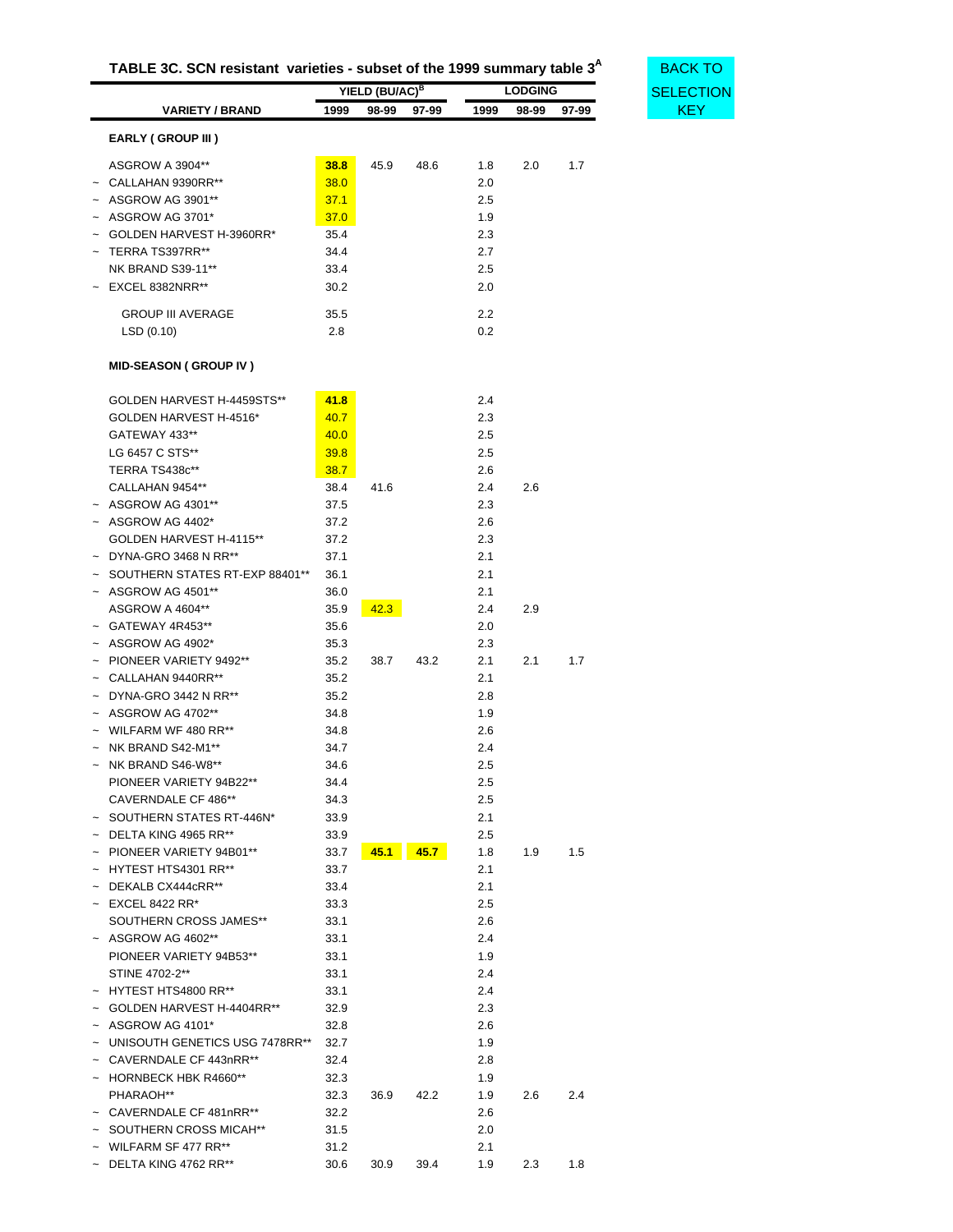| TABLE 3C. SCN resistant varieties - subset of the 1999 summary table 3 <sup>A</sup> |  |  |
|-------------------------------------------------------------------------------------|--|--|
|-------------------------------------------------------------------------------------|--|--|

<span id="page-30-0"></span>

|                                   |      | YIELD (BU/AC) <sup>B</sup> |       |      | <b>LODGING</b> |       | <b>SELECT</b> |
|-----------------------------------|------|----------------------------|-------|------|----------------|-------|---------------|
| <b>VARIETY / BRAND</b>            | 1999 | 98-99                      | 97-99 | 1999 | 98-99          | 97-99 | <b>KEY</b>    |
| EARLY (GROUP III)                 |      |                            |       |      |                |       |               |
| ASGROW A 3904**                   | 38.8 | 45.9                       | 48.6  | 1.8  | 2.0            | 1.7   |               |
| $\sim$ CALLAHAN 9390RR**          | 38.0 |                            |       | 2.0  |                |       |               |
| ~ ASGROW AG 3901**                | 37.1 |                            |       | 2.5  |                |       |               |
| $~\sim~$ ASGROW AG 3701*          | 37.0 |                            |       | 1.9  |                |       |               |
| GOLDEN HARVEST H-3960RR*          | 35.4 |                            |       | 2.3  |                |       |               |
| TERRA TS397RR**                   |      |                            |       |      |                |       |               |
|                                   | 34.4 |                            |       | 2.7  |                |       |               |
| <b>NK BRAND S39-11**</b>          | 33.4 |                            |       | 2.5  |                |       |               |
| $~\sim~$ EXCEL 8382NRR**          | 30.2 |                            |       | 2.0  |                |       |               |
| <b>GROUP III AVERAGE</b>          | 35.5 |                            |       | 2.2  |                |       |               |
| LSD(0.10)                         | 2.8  |                            |       | 0.2  |                |       |               |
| <b>MID-SEASON (GROUP IV)</b>      |      |                            |       |      |                |       |               |
| GOLDEN HARVEST H-4459STS**        | 41.8 |                            |       | 2.4  |                |       |               |
|                                   |      |                            |       |      |                |       |               |
| GOLDEN HARVEST H-4516*            | 40.7 |                            |       | 2.3  |                |       |               |
| GATEWAY 433**                     | 40.0 |                            |       | 2.5  |                |       |               |
| LG 6457 C STS**                   | 39.8 |                            |       | 2.5  |                |       |               |
| TERRA TS438c**                    | 38.7 |                            |       | 2.6  |                |       |               |
| CALLAHAN 9454**                   | 38.4 | 41.6                       |       | 2.4  | 2.6            |       |               |
| $~\sim~$ ASGROW AG 4301**         | 37.5 |                            |       | 2.3  |                |       |               |
| $~\sim~$ ASGROW AG 4402*          | 37.2 |                            |       | 2.6  |                |       |               |
| GOLDEN HARVEST H-4115**           | 37.2 |                            |       | 2.3  |                |       |               |
| $\sim$ DYNA-GRO 3468 N RR**       | 37.1 |                            |       | 2.1  |                |       |               |
| SOUTHERN STATES RT-EXP 88401**    | 36.1 |                            |       | 2.1  |                |       |               |
| $~\sim~$ ASGROW AG 4501**         | 36.0 |                            |       | 2.1  |                |       |               |
| ASGROW A 4604**                   | 35.9 | 42.3                       |       | 2.4  | 2.9            |       |               |
| ~ GATEWAY 4R453**                 | 35.6 |                            |       | 2.0  |                |       |               |
| $~\sim~$ ASGROW AG 4902*          | 35.3 |                            |       | 2.3  |                |       |               |
| ~ PIONEER VARIETY 9492**          | 35.2 | 38.7                       | 43.2  | 2.1  | 2.1            | 1.7   |               |
| $~\sim~$ CALLAHAN 9440RR**        | 35.2 |                            |       | 2.1  |                |       |               |
| $~\sim~$ DYNA-GRO 3442 N RR**     | 35.2 |                            |       | 2.8  |                |       |               |
| $~\sim~$ ASGROW AG 4702**         | 34.8 |                            |       | 1.9  |                |       |               |
| $\sim$ WILFARM WF 480 RR**        | 34.8 |                            |       | 2.6  |                |       |               |
| $~\sim~$ NK BRAND S42-M1**        | 34.7 |                            |       | 2.4  |                |       |               |
| $~\sim~$ NK BRAND S46-W8**        | 34.6 |                            |       | 2.5  |                |       |               |
| PIONEER VARIETY 94B22**           | 34.4 |                            |       | 2.5  |                |       |               |
| CAVERNDALE CF 486**               | 34.3 |                            |       | 2.5  |                |       |               |
| $~\sim~$ SOUTHERN STATES RT-446N* | 33.9 |                            |       | 2.1  |                |       |               |
| $\sim$ DELTA KING 4965 RR**       | 33.9 |                            |       | 2.5  |                |       |               |
| ~ PIONEER VARIETY 94B01**         | 33.7 | 45.1                       | 45.7  | 1.8  | 1.9            | 1.5   |               |
| $~\sim~$ HYTEST HTS4301 RR**      | 33.7 |                            |       | 2.1  |                |       |               |
| $\sim$ DEKALB CX444cRR**          | 33.4 |                            |       | 2.1  |                |       |               |
| $~\sim~$ EXCEL 8422 RR*           | 33.3 |                            |       | 2.5  |                |       |               |
|                                   |      |                            |       |      |                |       |               |
| SOUTHERN CROSS JAMES**            | 33.1 |                            |       | 2.6  |                |       |               |
| $~\sim~$ ASGROW AG 4602**         | 33.1 |                            |       | 2.4  |                |       |               |
| PIONEER VARIETY 94B53**           | 33.1 |                            |       | 1.9  |                |       |               |
| STINE 4702-2**                    | 33.1 |                            |       | 2.4  |                |       |               |
| ~ HYTEST HTS4800 RR**             | 33.1 |                            |       | 2.4  |                |       |               |
| ~ GOLDEN HARVEST H-4404RR**       | 32.9 |                            |       | 2.3  |                |       |               |
| $~\sim~$ ASGROW AG 4101*          | 32.8 |                            |       | 2.6  |                |       |               |
| ~ UNISOUTH GENETICS USG 7478RR**  | 32.7 |                            |       | 1.9  |                |       |               |
| ~ CAVERNDALE CF 443nRR**          | 32.4 |                            |       | 2.8  |                |       |               |
| ~ HORNBECK HBK R4660**            | 32.3 |                            |       | 1.9  |                |       |               |
| PHARAOH**                         | 32.3 | 36.9                       | 42.2  | 1.9  | 2.6            | 2.4   |               |
| ~ CAVERNDALE CF 481nRR**          | 32.2 |                            |       | 2.6  |                |       |               |
| ~ SOUTHERN CROSS MICAH**          | 31.5 |                            |       | 2.0  |                |       |               |
| ~ WILFARM SF 477 RR**             | 31.2 |                            |       | 2.1  |                |       |               |
| $\sim$ DELTA KING 4762 RR**       | 30.6 | 30.9                       | 39.4  | 1.9  | 2.3            | 1.8   |               |

**TABLE 3<sup>A</sup> BACK TO** [SELECTION](#page-22-1)<br>KEY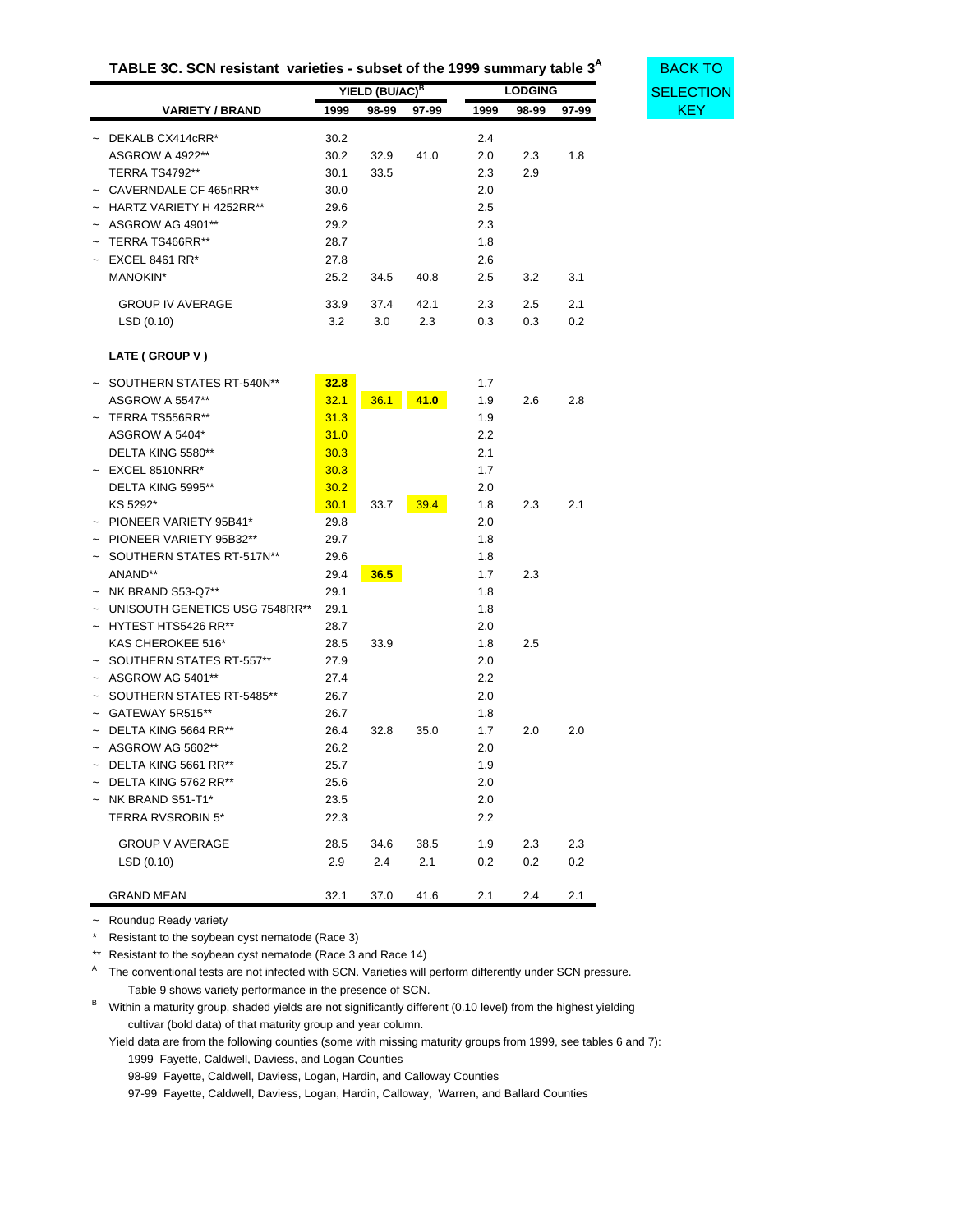| TABLE 3C. SCN resistant varieties - subset of the 1999 summary table 3 <sup>A</sup> |  |  |
|-------------------------------------------------------------------------------------|--|--|
|-------------------------------------------------------------------------------------|--|--|

**BACK TO [SELECTION](#page-22-1)** 

| <b>VARIETY / BRAND</b><br>1999          | 98-99 | 97-99 | 1999                       | 98-99 | 97-99          |
|-----------------------------------------|-------|-------|----------------------------|-------|----------------|
|                                         |       |       |                            |       |                |
| 30.2                                    | 32.9  | 41.0  | 2.0                        | 2.3   | 1.8            |
| 30.1                                    | 33.5  |       | 2.3                        | 2.9   |                |
| $\sim$ CAVERNDALE CF 465nRR**<br>30.0   |       |       | 2.0                        |       |                |
| $\sim$ HARTZ VARIETY H 4252RR**<br>29.6 |       |       | 2.5                        |       |                |
| 29.2                                    |       |       | 2.3                        |       |                |
| 28.7                                    |       |       | 1.8                        |       |                |
| 27.8                                    |       |       | 2.6                        |       |                |
| 25.2                                    | 34.5  | 40.8  | 2.5                        | 3.2   | 3.1            |
| 33.9                                    | 37.4  | 42.1  | 2.3                        | 2.5   | 2.1            |
| 3.2                                     | 3.0   | 2.3   | 0.3                        | 0.3   | 0.2            |
|                                         | 30.2  |       | YIELD (BU/AC) <sup>B</sup> | 2.4   | <b>LODGING</b> |

#### **LATE ( GROUP V )**

| SOUTHERN STATES RT-540N**      | 32.8 |      |      | 1.7 |     |     |
|--------------------------------|------|------|------|-----|-----|-----|
| <b>ASGROW A 5547**</b>         | 32.1 | 36.1 | 41.0 | 1.9 | 2.6 | 2.8 |
| TERRA TS556RR**                | 31.3 |      |      | 1.9 |     |     |
| ASGROW A 5404*                 | 31.0 |      |      | 2.2 |     |     |
| DELTA KING 5580**              | 30.3 |      |      | 2.1 |     |     |
| EXCEL 8510NRR*                 | 30.3 |      |      | 1.7 |     |     |
| DELTA KING 5995**              | 30.2 |      |      | 2.0 |     |     |
| KS 5292*                       | 30.1 | 33.7 | 39.4 | 1.8 | 2.3 | 2.1 |
| PIONEER VARIETY 95B41*         | 29.8 |      |      | 2.0 |     |     |
| PIONEER VARIETY 95B32**        | 29.7 |      |      | 1.8 |     |     |
| SOUTHERN STATES RT-517N**      | 29.6 |      |      | 1.8 |     |     |
| ANAND**                        | 29.4 | 36.5 |      | 1.7 | 2.3 |     |
| NK BRAND S53-Q7**              | 29.1 |      |      | 1.8 |     |     |
| UNISOUTH GENETICS USG 7548RR** | 29.1 |      |      | 1.8 |     |     |
| HYTEST HTS5426 RR**            | 28.7 |      |      | 2.0 |     |     |
| KAS CHEROKEE 516*              | 28.5 | 33.9 |      | 1.8 | 2.5 |     |
| SOUTHERN STATES RT-557**       | 27.9 |      |      | 2.0 |     |     |
| ASGROW AG 5401**               | 27.4 |      |      | 2.2 |     |     |
| SOUTHERN STATES RT-5485**      | 26.7 |      |      | 2.0 |     |     |
| GATEWAY 5R515**                | 26.7 |      |      | 1.8 |     |     |
| DELTA KING 5664 RR**           | 26.4 | 32.8 | 35.0 | 1.7 | 2.0 | 2.0 |
| ASGROW AG 5602**               | 26.2 |      |      | 2.0 |     |     |
| DELTA KING 5661 RR**           | 25.7 |      |      | 1.9 |     |     |
| DELTA KING 5762 RR**           | 25.6 |      |      | 2.0 |     |     |
| NK BRAND S51-T1*               | 23.5 |      |      | 2.0 |     |     |
| <b>TERRA RVSROBIN 5*</b>       | 22.3 |      |      | 2.2 |     |     |
| <b>GROUP V AVERAGE</b>         | 28.5 | 34.6 | 38.5 | 1.9 | 2.3 | 2.3 |
| LSD(0.10)                      | 2.9  | 2.4  | 2.1  | 0.2 | 0.2 | 0.2 |
| <b>GRAND MEAN</b>              | 32.1 | 37.0 | 41.6 | 2.1 | 2.4 | 2.1 |

~ Roundup Ready variety

\* Resistant to the soybean cyst nematode (Race 3)

\*\* Resistant to the soybean cyst nematode (Race 3 and Race 14)

A The conventional tests are not infected with SCN. Varieties will perform differently under SCN pressure. Table 9 shows variety performance in the presence of SCN.

B Within a maturity group, shaded yields are not significantly different (0.10 level) from the highest yielding cultivar (bold data) of that maturity group and year column.

Yield data are from the following counties (some with missing maturity groups from 1999, see tables 6 and 7): 1999 Fayette, Caldwell, Daviess, and Logan Counties

98-99 Fayette, Caldwell, Daviess, Logan, Hardin, and Calloway Counties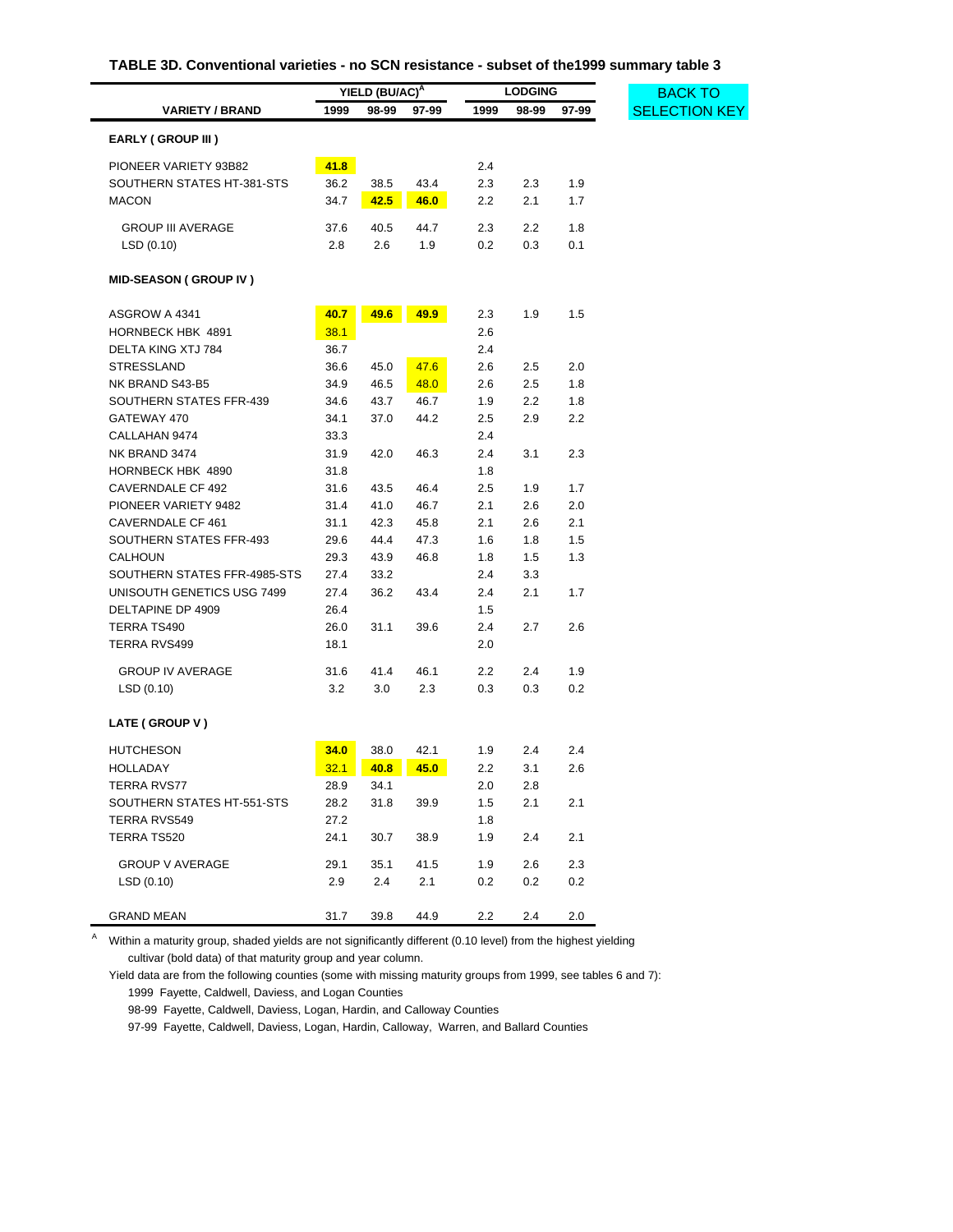| TABLE 3D. Conventional varieties - no SCN resistance - subset of the1999 summary table 3 |  |  |
|------------------------------------------------------------------------------------------|--|--|
|------------------------------------------------------------------------------------------|--|--|

<span id="page-32-0"></span>

|                              | YIELD (BU/AC) <sup>A</sup> |       |       | <b>LODGING</b> |       |       |  |
|------------------------------|----------------------------|-------|-------|----------------|-------|-------|--|
| <b>VARIETY / BRAND</b>       | 1999                       | 98-99 | 97-99 | 1999           | 98-99 | 97-99 |  |
| EARLY (GROUP III)            |                            |       |       |                |       |       |  |
| PIONEER VARIETY 93B82        | 41.8                       |       |       | 2.4            |       |       |  |
| SOUTHERN STATES HT-381-STS   | 36.2                       | 38.5  | 43.4  | 2.3            | 2.3   | 1.9   |  |
| <b>MACON</b>                 | 34.7                       | 42.5  | 46.0  | 2.2            | 2.1   | 1.7   |  |
|                              |                            |       |       |                |       |       |  |
| <b>GROUP III AVERAGE</b>     | 37.6                       | 40.5  | 44.7  | 2.3            | 2.2   | 1.8   |  |
| LSD(0.10)                    | 2.8                        | 2.6   | 1.9   | 0.2            | 0.3   | 0.1   |  |
| <b>MID-SEASON (GROUP IV)</b> |                            |       |       |                |       |       |  |
| ASGROW A 4341                | 40.7                       | 49.6  | 49.9  | 2.3            | 1.9   | 1.5   |  |
| <b>HORNBECK HBK 4891</b>     | 38.1                       |       |       | 2.6            |       |       |  |
| DELTA KING XTJ 784           | 36.7                       |       |       | 2.4            |       |       |  |
| <b>STRESSLAND</b>            | 36.6                       | 45.0  | 47.6  | 2.6            | 2.5   | 2.0   |  |
| NK BRAND S43-B5              | 34.9                       | 46.5  | 48.0  | 2.6            | 2.5   | 1.8   |  |
| SOUTHERN STATES FFR-439      | 34.6                       | 43.7  | 46.7  | 1.9            | 2.2   | 1.8   |  |
| GATEWAY 470                  | 34.1                       | 37.0  | 44.2  | 2.5            | 2.9   | 2.2   |  |
| CALLAHAN 9474                | 33.3                       |       |       | 2.4            |       |       |  |
| NK BRAND 3474                | 31.9                       | 42.0  | 46.3  | 2.4            | 3.1   | 2.3   |  |
| HORNBECK HBK 4890            | 31.8                       |       |       | 1.8            |       |       |  |
| CAVERNDALE CF 492            | 31.6                       | 43.5  | 46.4  | 2.5            | 1.9   | 1.7   |  |
| PIONEER VARIETY 9482         | 31.4                       | 41.0  | 46.7  | 2.1            | 2.6   | 2.0   |  |
| CAVERNDALE CF 461            | 31.1                       | 42.3  | 45.8  | 2.1            | 2.6   | 2.1   |  |
| SOUTHERN STATES FFR-493      | 29.6                       | 44.4  | 47.3  | 1.6            | 1.8   | 1.5   |  |
| <b>CALHOUN</b>               | 29.3                       | 43.9  | 46.8  | 1.8            | 1.5   | 1.3   |  |
| SOUTHERN STATES FFR-4985-STS | 27.4                       | 33.2  |       | 2.4            | 3.3   |       |  |
| UNISOUTH GENETICS USG 7499   | 27.4                       | 36.2  | 43.4  | 2.4            | 2.1   | 1.7   |  |
| DELTAPINE DP 4909            | 26.4                       |       |       | 1.5            |       |       |  |
| TERRA TS490                  | 26.0                       | 31.1  | 39.6  | 2.4            | 2.7   | 2.6   |  |
| TERRA RVS499                 | 18.1                       |       |       | 2.0            |       |       |  |
| <b>GROUP IV AVERAGE</b>      | 31.6                       | 41.4  | 46.1  | 2.2            | 2.4   | 1.9   |  |
| LSD(0.10)                    | 3.2                        | 3.0   | 2.3   | 0.3            | 0.3   | 0.2   |  |
| LATE (GROUP V)               |                            |       |       |                |       |       |  |
| <b>HUTCHESON</b>             | 34.0                       | 38.0  | 42.1  | 1.9            | 2.4   | 2.4   |  |
| <b>HOLLADAY</b>              | 32.1                       | 40.8  | 45.0  | 2.2            | 3.1   | 2.6   |  |
| TERRA RVS77                  | 28.9                       | 34.1  |       | 2.0            | 2.8   |       |  |
| SOUTHERN STATES HT-551-STS   | 28.2                       | 31.8  | 39.9  | 1.5            | 2.1   | 2.1   |  |
| <b>TERRA RVS549</b>          | 27.2                       |       |       | 1.8            |       |       |  |
| TERRA TS520                  | 24.1                       | 30.7  | 38.9  | 1.9            | 2.4   | 2.1   |  |
| <b>GROUP V AVERAGE</b>       | 29.1                       | 35.1  | 41.5  | 1.9            | 2.6   | 2.3   |  |
| LSD(0.10)                    | 2.9                        | 2.4   | 2.1   | 0.2            | 0.2   | 0.2   |  |
| <b>GRAND MEAN</b>            | 31.7                       | 39.8  | 44.9  | $2.2\,$        | 2.4   | 2.0   |  |

A Within a maturity group, shaded yields are not significantly different (0.10 level) from the highest yielding cultivar (bold data) of that maturity group and year column.

Yield data are from the following counties (some with missing maturity groups from 1999, see tables 6 and 7): 1999 Fayette, Caldwell, Daviess, and Logan Counties

98-99 Fayette, Caldwell, Daviess, Logan, Hardin, and Calloway Counties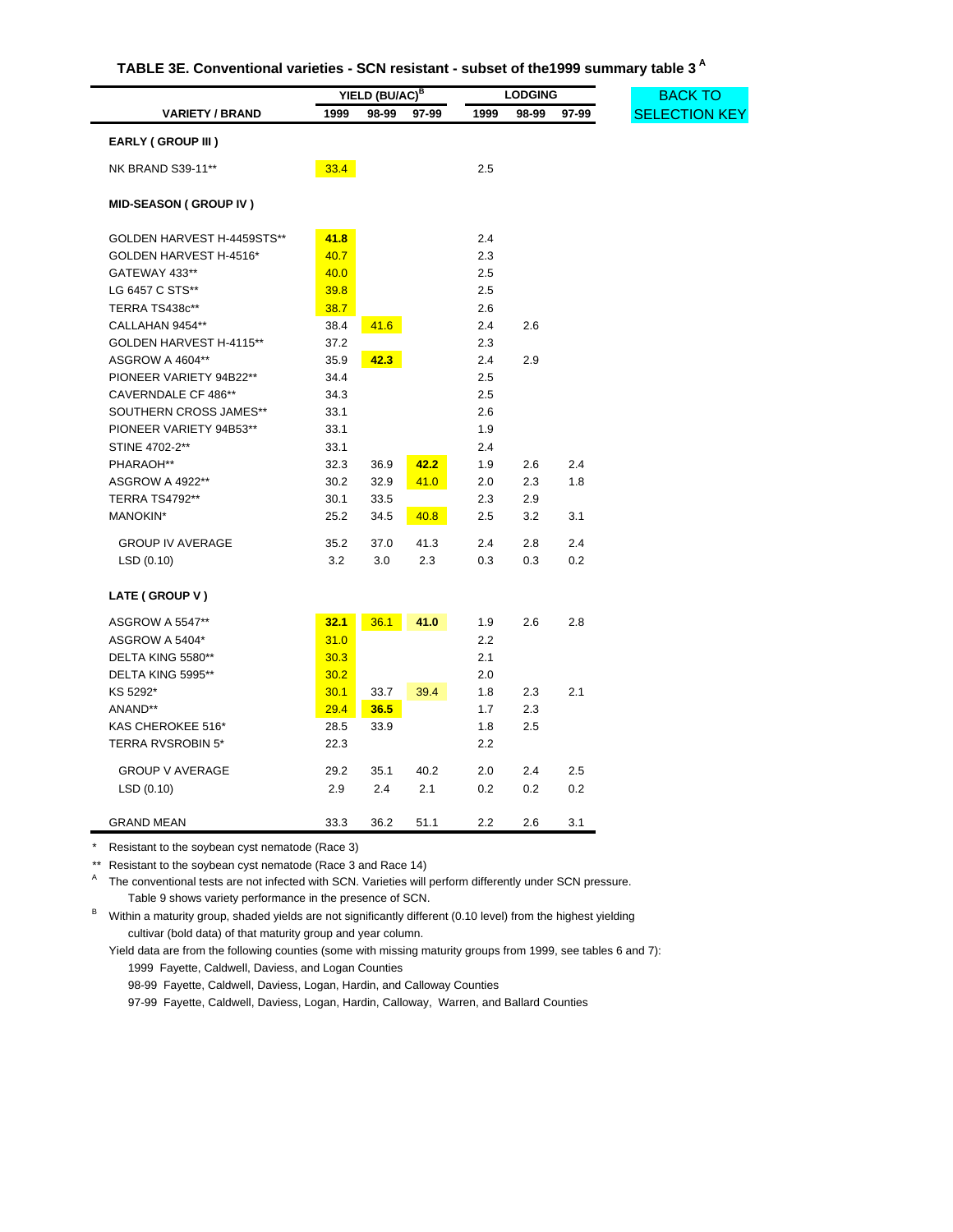| TABLE 3E. Conventional varieties - SCN resistant - subset of the 1999 summary table 3 <sup>A</sup> |  |  |  |
|----------------------------------------------------------------------------------------------------|--|--|--|
|----------------------------------------------------------------------------------------------------|--|--|--|

<span id="page-33-0"></span>

|                              | YIELD (BU/AC) <sup>B</sup> |       |       | <b>LODGING</b> |       |       |  |
|------------------------------|----------------------------|-------|-------|----------------|-------|-------|--|
| <b>VARIETY / BRAND</b>       | 1999                       | 98-99 | 97-99 | 1999           | 98-99 | 97-99 |  |
| <b>EARLY (GROUP III)</b>     |                            |       |       |                |       |       |  |
| NK BRAND S39-11**            | 33.4                       |       |       | 2.5            |       |       |  |
| <b>MID-SEASON (GROUP IV)</b> |                            |       |       |                |       |       |  |
| GOLDEN HARVEST H-4459STS**   | 41.8                       |       |       | 2.4            |       |       |  |
| GOLDEN HARVEST H-4516*       | 40.7                       |       |       | 2.3            |       |       |  |
| GATEWAY 433**                | 40.0                       |       |       | 2.5            |       |       |  |
| LG 6457 C STS**              | 39.8                       |       |       | 2.5            |       |       |  |
| TERRA TS438c**               | 38.7                       |       |       | 2.6            |       |       |  |
| CALLAHAN 9454**              | 38.4                       | 41.6  |       | 2.4            | 2.6   |       |  |
| GOLDEN HARVEST H-4115**      | 37.2                       |       |       | 2.3            |       |       |  |
| ASGROW A 4604**              | 35.9                       | 42.3  |       | 2.4            | 2.9   |       |  |
| PIONEER VARIETY 94B22**      | 34.4                       |       |       | 2.5            |       |       |  |
| CAVERNDALE CF 486**          | 34.3                       |       |       | 2.5            |       |       |  |
| SOUTHERN CROSS JAMES**       | 33.1                       |       |       | 2.6            |       |       |  |
| PIONEER VARIETY 94B53**      | 33.1                       |       |       | 1.9            |       |       |  |
| STINE 4702-2**               | 33.1                       |       |       | 2.4            |       |       |  |
| PHARAOH**                    | 32.3                       | 36.9  | 42.2  | 1.9            | 2.6   | 2.4   |  |
| ASGROW A 4922**              | 30.2                       | 32.9  | 41.0  | 2.0            | 2.3   | 1.8   |  |
| <b>TERRA TS4792**</b>        | 30.1                       | 33.5  |       | 2.3            | 2.9   |       |  |
| MANOKIN*                     | 25.2                       | 34.5  | 40.8  | 2.5            | 3.2   | 3.1   |  |
| <b>GROUP IV AVERAGE</b>      | 35.2                       | 37.0  | 41.3  | 2.4            | 2.8   | 2.4   |  |
| LSD(0.10)                    | 3.2                        | 3.0   | 2.3   | 0.3            | 0.3   | 0.2   |  |
| LATE (GROUP V)               |                            |       |       |                |       |       |  |
| <b>ASGROW A 5547**</b>       | 32.1                       | 36.1  | 41.0  | 1.9            | 2.6   | 2.8   |  |
| ASGROW A 5404*               | 31.0                       |       |       | 2.2            |       |       |  |
| DELTA KING 5580**            | 30.3                       |       |       | 2.1            |       |       |  |
| DELTA KING 5995**            | 30.2                       |       |       | 2.0            |       |       |  |
| KS 5292*                     | 30.1                       | 33.7  | 39.4  | 1.8            | 2.3   | 2.1   |  |
| ANAND**                      | 29.4                       | 36.5  |       | 1.7            | 2.3   |       |  |
| KAS CHEROKEE 516*            | 28.5                       | 33.9  |       | 1.8            | 2.5   |       |  |
| <b>TERRA RVSROBIN 5*</b>     | 22.3                       |       |       | 2.2            |       |       |  |
| <b>GROUP V AVERAGE</b>       | 29.2                       | 35.1  | 40.2  | 2.0            | 2.4   | 2.5   |  |
| LSD (0.10)                   | 2.9                        | 2.4   | 2.1   | 0.2            | 0.2   | 0.2   |  |
| <b>GRAND MEAN</b>            | 33.3                       | 36.2  | 51.1  | 2.2            | 2.6   | 3.1   |  |

Resistant to the soybean cyst nematode (Race 3)

 $\blacksquare$ 

\*\* Resistant to the soybean cyst nematode (Race 3 and Race 14)

A The conventional tests are not infected with SCN. Varieties will perform differently under SCN pressure. Table 9 shows variety performance in the presence of SCN.

B Within a maturity group, shaded yields are not significantly different (0.10 level) from the highest yielding cultivar (bold data) of that maturity group and year column.

Yield data are from the following counties (some with missing maturity groups from 1999, see tables 6 and 7): 1999 Fayette, Caldwell, Daviess, and Logan Counties

98-99 Fayette, Caldwell, Daviess, Logan, Hardin, and Calloway Counties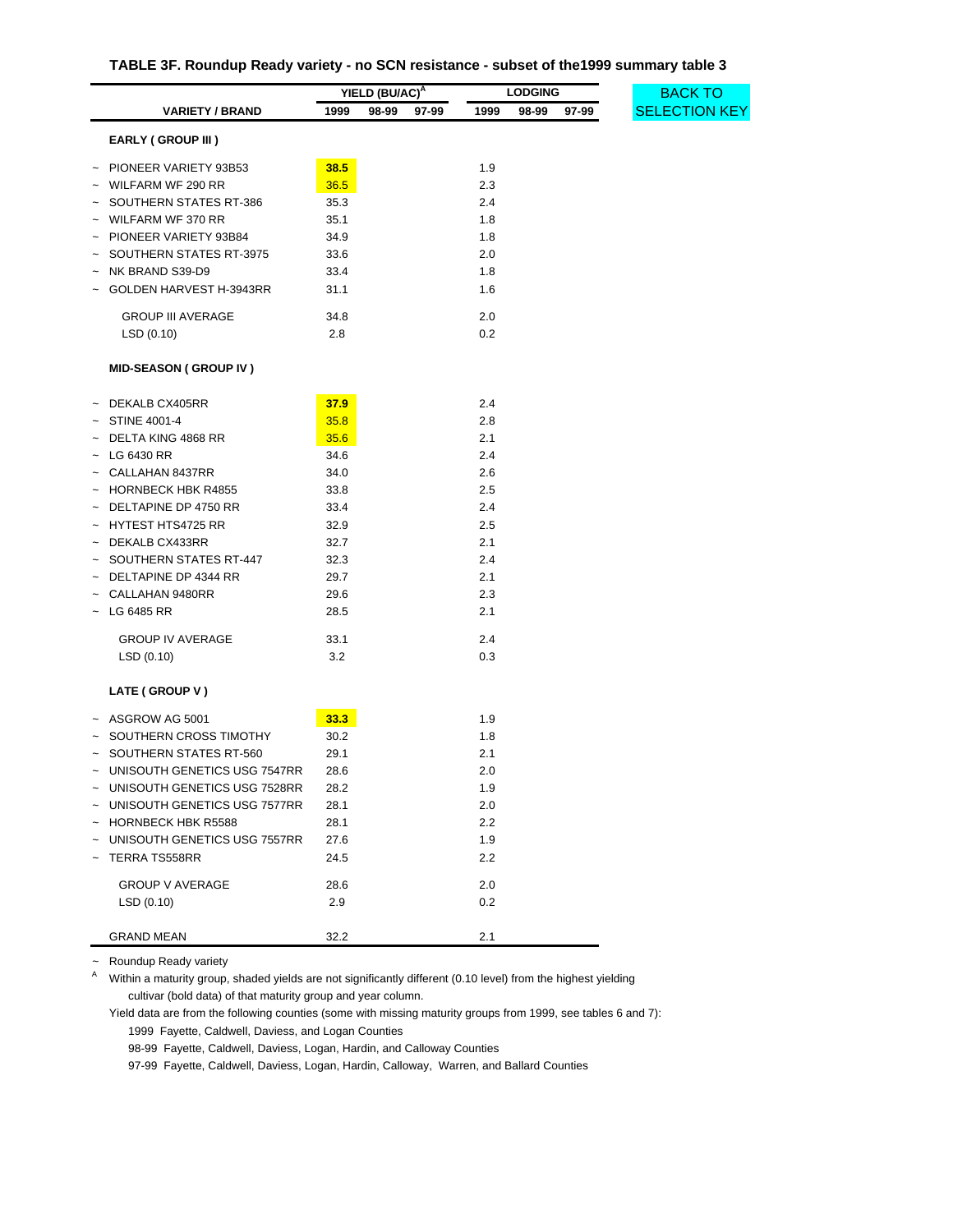| TABLE 3F. Roundup Ready variety - no SCN resistance - subset of the1999 summary table 3 |  |  |  |  |
|-----------------------------------------------------------------------------------------|--|--|--|--|
|-----------------------------------------------------------------------------------------|--|--|--|--|

<span id="page-34-0"></span>

|                                |      | YIELD (BU/AC) <sup>A</sup> |       | <b>LODGING</b> |       |       |  |
|--------------------------------|------|----------------------------|-------|----------------|-------|-------|--|
| <b>VARIETY / BRAND</b>         | 1999 | 98-99                      | 97-99 | 1999           | 98-99 | 97-99 |  |
| <b>EARLY (GROUP III)</b>       |      |                            |       |                |       |       |  |
| ~ PIONEER VARIETY 93B53        | 38.5 |                            |       | 1.9            |       |       |  |
| WILFARM WF 290 RR              | 36.5 |                            |       | 2.3            |       |       |  |
| SOUTHERN STATES RT-386         | 35.3 |                            |       | 2.4            |       |       |  |
| $\sim$ WILFARM WF 370 RR       | 35.1 |                            |       | 1.8            |       |       |  |
| PIONEER VARIETY 93B84          | 34.9 |                            |       | 1.8            |       |       |  |
| SOUTHERN STATES RT-3975        | 33.6 |                            |       | 2.0            |       |       |  |
| NK BRAND S39-D9                | 33.4 |                            |       | 1.8            |       |       |  |
| GOLDEN HARVEST H-3943RR        | 31.1 |                            |       | 1.6            |       |       |  |
| <b>GROUP III AVERAGE</b>       | 34.8 |                            |       | 2.0            |       |       |  |
| LSD (0.10)                     | 2.8  |                            |       | 0.2            |       |       |  |
| <b>MID-SEASON (GROUP IV)</b>   |      |                            |       |                |       |       |  |
| $~\sim~$ DEKALB CX405RR        | 37.9 |                            |       | 2.4            |       |       |  |
| STINE 4001-4                   | 35.8 |                            |       | 2.8            |       |       |  |
| DELTA KING 4868 RR             | 35.6 |                            |       | 2.1            |       |       |  |
| $\sim$ LG 6430 RR              | 34.6 |                            |       | 2.4            |       |       |  |
| $\sim$ CALLAHAN 8437RR         | 34.0 |                            |       | 2.6            |       |       |  |
| $\sim$ HORNBECK HBK R4855      | 33.8 |                            |       | 2.5            |       |       |  |
| $\sim$ DELTAPINE DP 4750 RR    | 33.4 |                            |       | 2.4            |       |       |  |
| ~ HYTEST HTS4725 RR            | 32.9 |                            |       | 2.5            |       |       |  |
| ~ DEKALB CX433RR               | 32.7 |                            |       | 2.1            |       |       |  |
| - SOUTHERN STATES RT-447       | 32.3 |                            |       | 2.4            |       |       |  |
| $~\sim~$ DELTAPINE DP 4344 RR  | 29.7 |                            |       | 2.1            |       |       |  |
| CALLAHAN 9480RR                | 29.6 |                            |       | 2.3            |       |       |  |
| ~ LG 6485 RR                   | 28.5 |                            |       | 2.1            |       |       |  |
| <b>GROUP IV AVERAGE</b>        | 33.1 |                            |       | 2.4            |       |       |  |
| LSD(0.10)                      | 3.2  |                            |       | 0.3            |       |       |  |
| LATE (GROUP V)                 |      |                            |       |                |       |       |  |
| $~\sim~$ ASGROW AG 5001        | 33.3 |                            |       | 1.9            |       |       |  |
| ~ SOUTHERN CROSS TIMOTHY       | 30.2 |                            |       | 1.8            |       |       |  |
| SOUTHERN STATES RT-560         | 29.1 |                            |       | 2.1            |       |       |  |
| ~ UNISOUTH GENETICS USG 7547RR | 28.6 |                            |       | 2.0            |       |       |  |
| ~ UNISOUTH GENETICS USG 7528RR | 28.2 |                            |       | 1.9            |       |       |  |
| ~ UNISOUTH GENETICS USG 7577RR | 28.1 |                            |       | 2.0            |       |       |  |
| ~ HORNBECK HBK R5588           | 28.1 |                            |       | 2.2            |       |       |  |
| ~ UNISOUTH GENETICS USG 7557RR | 27.6 |                            |       | 1.9            |       |       |  |
| TERRA TS558RR                  | 24.5 |                            |       | 2.2            |       |       |  |
| <b>GROUP V AVERAGE</b>         | 28.6 |                            |       | 2.0            |       |       |  |
| LSD(0.10)                      | 2.9  |                            |       | 0.2            |       |       |  |
| <b>GRAND MEAN</b>              | 32.2 |                            |       | 2.1            |       |       |  |

~ Roundup Ready variety

<sup>A</sup> Within a maturity group, shaded yields are not significantly different (0.10 level) from the highest yielding cultivar (bold data) of that maturity group and year column.

Yield data are from the following counties (some with missing maturity groups from 1999, see tables 6 and 7): 1999 Fayette, Caldwell, Daviess, and Logan Counties

98-99 Fayette, Caldwell, Daviess, Logan, Hardin, and Calloway Counties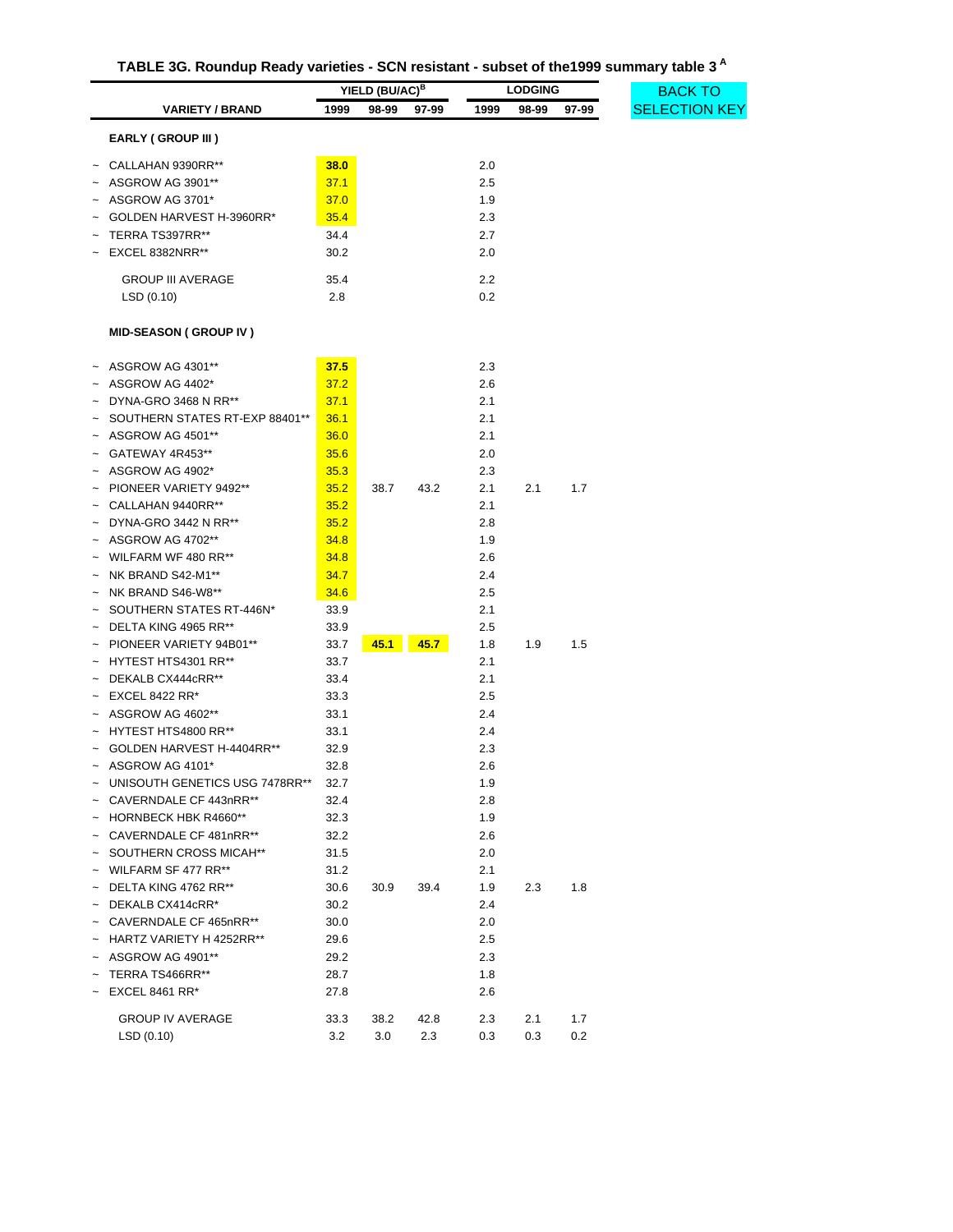| TABLE 3G. Roundup Ready varieties - SCN resistant - subset of the 1999 summary table 3 <sup>A</sup> |
|-----------------------------------------------------------------------------------------------------|
|-----------------------------------------------------------------------------------------------------|

<span id="page-35-0"></span>

|                                     |      | YIELD (BU/AC) <sup>B</sup> |       |      | <b>LODGING</b> |       | <b>BACK TO</b>       |
|-------------------------------------|------|----------------------------|-------|------|----------------|-------|----------------------|
| <b>VARIETY / BRAND</b>              | 1999 | 98-99                      | 97-99 | 1999 | 98-99          | 97-99 | <b>SELECTION KEY</b> |
| <b>EARLY (GROUP III)</b>            |      |                            |       |      |                |       |                      |
| CALLAHAN 9390RR**                   | 38.0 |                            |       | 2.0  |                |       |                      |
| ASGROW AG 3901**                    | 37.1 |                            |       | 2.5  |                |       |                      |
| ASGROW AG 3701*                     | 37.0 |                            |       | 1.9  |                |       |                      |
| GOLDEN HARVEST H-3960RR*            | 35.4 |                            |       | 2.3  |                |       |                      |
| TERRA TS397RR**                     | 34.4 |                            |       | 2.7  |                |       |                      |
| EXCEL 8382NRR**                     | 30.2 |                            |       | 2.0  |                |       |                      |
| <b>GROUP III AVERAGE</b>            | 35.4 |                            |       | 2.2  |                |       |                      |
| LSD(0.10)                           | 2.8  |                            |       | 0.2  |                |       |                      |
| <b>MID-SEASON (GROUP IV)</b>        |      |                            |       |      |                |       |                      |
|                                     |      |                            |       |      |                |       |                      |
| ASGROW AG 4301**                    | 37.5 |                            |       | 2.3  |                |       |                      |
| ASGROW AG 4402*                     | 37.2 |                            |       | 2.6  |                |       |                      |
| DYNA-GRO 3468 N RR**                | 37.1 |                            |       | 2.1  |                |       |                      |
| SOUTHERN STATES RT-EXP 88401**      | 36.1 |                            |       | 2.1  |                |       |                      |
| ASGROW AG 4501**                    | 36.0 |                            |       | 2.1  |                |       |                      |
| GATEWAY 4R453**                     | 35.6 |                            |       | 2.0  |                |       |                      |
| ASGROW AG 4902*                     | 35.3 |                            |       | 2.3  |                |       |                      |
| PIONEER VARIETY 9492**              | 35.2 | 38.7                       | 43.2  | 2.1  | 2.1            | 1.7   |                      |
| CALLAHAN 9440RR**                   | 35.2 |                            |       | 2.1  |                |       |                      |
| DYNA-GRO 3442 N RR**                | 35.2 |                            |       | 2.8  |                |       |                      |
| ASGROW AG 4702**                    | 34.8 |                            |       | 1.9  |                |       |                      |
| WILFARM WF 480 RR**                 | 34.8 |                            |       | 2.6  |                |       |                      |
| NK BRAND S42-M1**<br>$\tilde{}$     | 34.7 |                            |       | 2.4  |                |       |                      |
| NK BRAND S46-W8**                   | 34.6 |                            |       | 2.5  |                |       |                      |
| SOUTHERN STATES RT-446N*            | 33.9 |                            |       | 2.1  |                |       |                      |
| DELTA KING 4965 RR**                | 33.9 |                            |       | 2.5  |                |       |                      |
| PIONEER VARIETY 94B01**             | 33.7 | 45.1                       | 45.7  | 1.8  | 1.9            | 1.5   |                      |
| HYTEST HTS4301 RR**                 | 33.7 |                            |       | 2.1  |                |       |                      |
| DEKALB CX444cRR**                   | 33.4 |                            |       | 2.1  |                |       |                      |
| <b>EXCEL 8422 RR*</b><br>$\tilde{}$ | 33.3 |                            |       | 2.5  |                |       |                      |
| ASGROW AG 4602**                    | 33.1 |                            |       | 2.4  |                |       |                      |
| HYTEST HTS4800 RR**                 | 33.1 |                            |       | 2.4  |                |       |                      |
| GOLDEN HARVEST H-4404RR**           | 32.9 |                            |       | 2.3  |                |       |                      |
| ASGROW AG 4101*                     | 32.8 |                            |       | 2.6  |                |       |                      |
| UNISOUTH GENETICS USG 7478RR**      | 32.7 |                            |       | 1.9  |                |       |                      |
| CAVERNDALE CF 443nRR**              | 32.4 |                            |       | 2.8  |                |       |                      |
| HORNBECK HBK R4660**<br>$\sim$      | 32.3 |                            |       | 1.9  |                |       |                      |
| CAVERNDALE CF 481nRR**              | 32.2 |                            |       | 2.6  |                |       |                      |
| SOUTHERN CROSS MICAH**              | 31.5 |                            |       | 2.0  |                |       |                      |
| WILFARM SF 477 RR**                 | 31.2 |                            |       | 2.1  |                |       |                      |
| DELTA KING 4762 RR**                | 30.6 | 30.9                       | 39.4  | 1.9  | 2.3            | 1.8   |                      |
| DEKALB CX414cRR*                    | 30.2 |                            |       | 2.4  |                |       |                      |
| CAVERNDALE CF 465nRR**              | 30.0 |                            |       | 2.0  |                |       |                      |
| HARTZ VARIETY H 4252RR**            | 29.6 |                            |       | 2.5  |                |       |                      |
| ASGROW AG 4901**                    | 29.2 |                            |       | 2.3  |                |       |                      |
| TERRA TS466RR**                     | 28.7 |                            |       | 1.8  |                |       |                      |
| <b>EXCEL 8461 RR*</b>               | 27.8 |                            |       | 2.6  |                |       |                      |
| <b>GROUP IV AVERAGE</b>             | 33.3 | 38.2                       | 42.8  | 2.3  | 2.1            | 1.7   |                      |
| LSD(0.10)                           | 3.2  | 3.0                        | 2.3   | 0.3  | 0.3            | 0.2   |                      |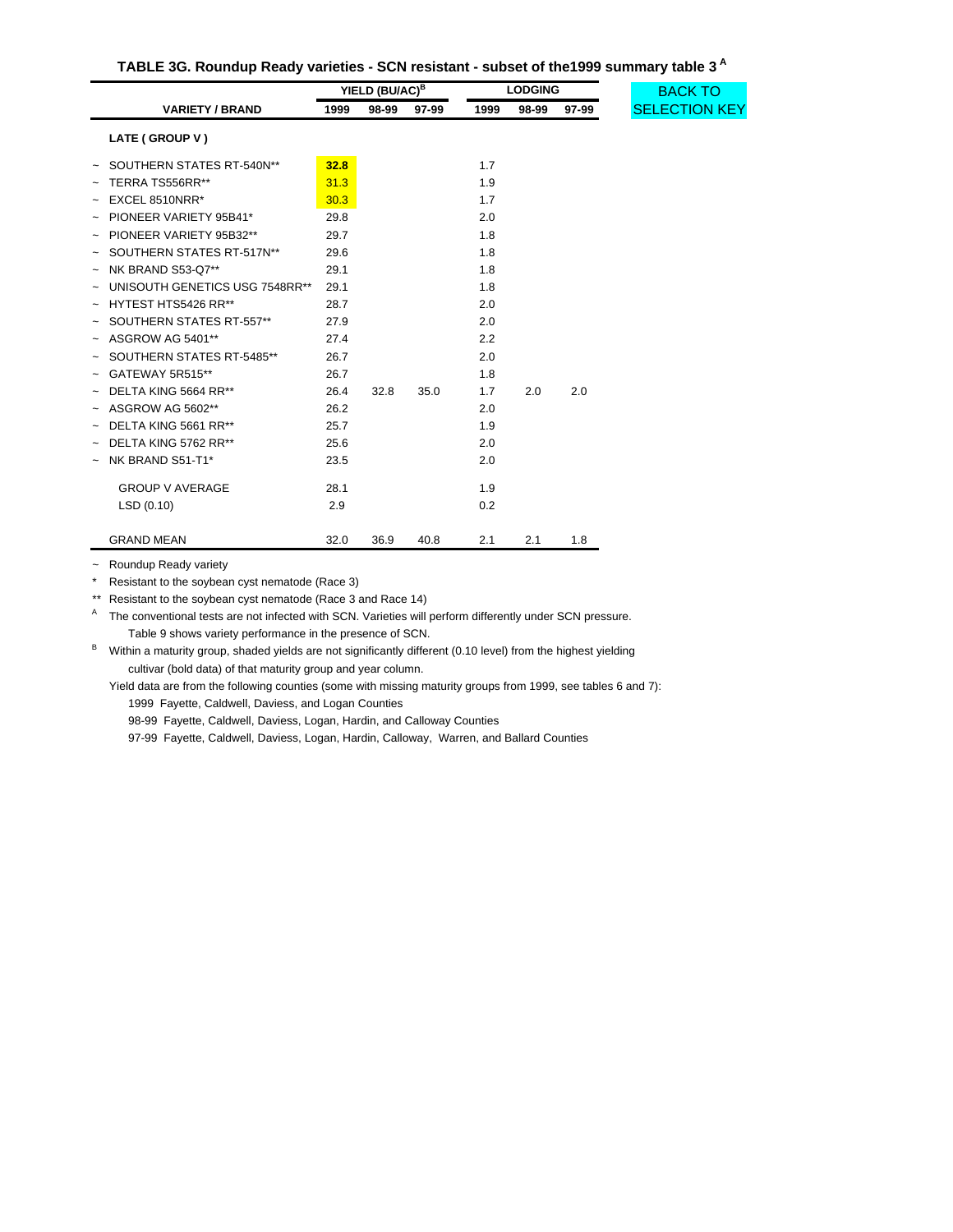| TABLE 3G. Roundup Ready varieties - SCN resistant - subset of the 1999 summary table 3 <sup>A</sup> |
|-----------------------------------------------------------------------------------------------------|
|-----------------------------------------------------------------------------------------------------|

|                                | YIELD (BU/AC) <sup>B</sup> |       | <b>LODGING</b> |      | <b>BACK TO</b> |       |                      |
|--------------------------------|----------------------------|-------|----------------|------|----------------|-------|----------------------|
| <b>VARIETY / BRAND</b>         | 1999                       | 98-99 | 97-99          | 1999 | 98-99          | 97-99 | <b>SELECTION KEY</b> |
| LATE (GROUP V)                 |                            |       |                |      |                |       |                      |
| SOUTHERN STATES RT-540N**      | 32.8                       |       |                | 1.7  |                |       |                      |
| TERRA TS556RR**                | 31.3                       |       |                | 1.9  |                |       |                      |
| EXCEL 8510NRR*                 | 30.3                       |       |                | 1.7  |                |       |                      |
| PIONEER VARIETY 95B41*         | 29.8                       |       |                | 2.0  |                |       |                      |
| PIONEER VARIETY 95B32**        | 29.7                       |       |                | 1.8  |                |       |                      |
| SOUTHERN STATES RT-517N**      | 29.6                       |       |                | 1.8  |                |       |                      |
| NK BRAND S53-Q7**              | 29.1                       |       |                | 1.8  |                |       |                      |
| UNISOUTH GENETICS USG 7548RR** | 29.1                       |       |                | 1.8  |                |       |                      |
| HYTEST HTS5426 RR**            | 28.7                       |       |                | 2.0  |                |       |                      |
| SOUTHERN STATES RT-557**       | 27.9                       |       |                | 2.0  |                |       |                      |
| ASGROW AG 5401**               | 27.4                       |       |                | 2.2  |                |       |                      |
| SOUTHERN STATES RT-5485**      | 26.7                       |       |                | 2.0  |                |       |                      |
| GATEWAY 5R515**                | 26.7                       |       |                | 1.8  |                |       |                      |
| DELTA KING 5664 RR**           | 26.4                       | 32.8  | 35.0           | 1.7  | 2.0            | 2.0   |                      |
| ASGROW AG 5602**               | 26.2                       |       |                | 2.0  |                |       |                      |
| DELTA KING 5661 RR**           | 25.7                       |       |                | 1.9  |                |       |                      |
| DELTA KING 5762 RR**           | 25.6                       |       |                | 2.0  |                |       |                      |
| NK BRAND S51-T1*               | 23.5                       |       |                | 2.0  |                |       |                      |
| <b>GROUP V AVERAGE</b>         | 28.1                       |       |                | 1.9  |                |       |                      |
| LSD(0.10)                      | 2.9                        |       |                | 0.2  |                |       |                      |
| <b>GRAND MEAN</b>              | 32.0                       | 36.9  | 40.8           | 2.1  | 2.1            | 1.8   |                      |

~ Roundup Ready variety

\* Resistant to the soybean cyst nematode (Race 3)

\*\* Resistant to the soybean cyst nematode (Race 3 and Race 14)

A The conventional tests are not infected with SCN. Varieties will perform differently under SCN pressure. Table 9 shows variety performance in the presence of SCN.

B Within a maturity group, shaded yields are not significantly different (0.10 level) from the highest yielding cultivar (bold data) of that maturity group and year column.

Yield data are from the following counties (some with missing maturity groups from 1999, see tables 6 and 7): 1999 Fayette, Caldwell, Daviess, and Logan Counties

98-99 Fayette, Caldwell, Daviess, Logan, Hardin, and Calloway Counties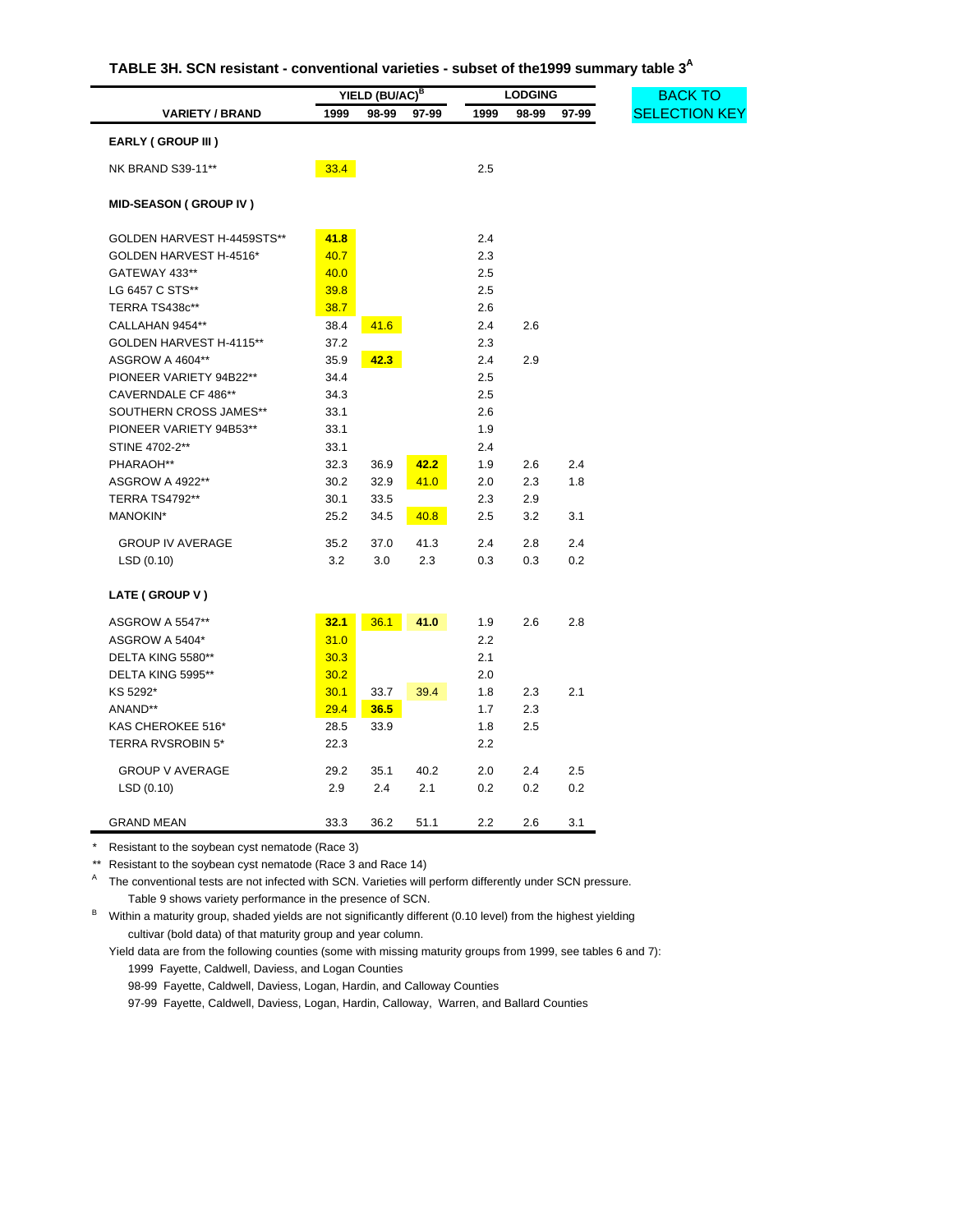| TABLE 3H. SCN resistant - conventional varieties - subset of the1999 summary table $3^\mathsf{A}$ |  |  |  |
|---------------------------------------------------------------------------------------------------|--|--|--|
|---------------------------------------------------------------------------------------------------|--|--|--|

<span id="page-37-0"></span>

|                              |      | <b>LODGING</b><br>YIELD (BU/AC) <sup>B</sup> |       |      |       |       |  |
|------------------------------|------|----------------------------------------------|-------|------|-------|-------|--|
| <b>VARIETY / BRAND</b>       | 1999 | 98-99                                        | 97-99 | 1999 | 98-99 | 97-99 |  |
| <b>EARLY (GROUP III)</b>     |      |                                              |       |      |       |       |  |
| <b>NK BRAND S39-11**</b>     | 33.4 |                                              |       | 2.5  |       |       |  |
|                              |      |                                              |       |      |       |       |  |
| <b>MID-SEASON (GROUP IV)</b> |      |                                              |       |      |       |       |  |
| GOLDEN HARVEST H-4459STS**   | 41.8 |                                              |       | 2.4  |       |       |  |
| GOLDEN HARVEST H-4516*       | 40.7 |                                              |       | 2.3  |       |       |  |
| GATEWAY 433**                | 40.0 |                                              |       | 2.5  |       |       |  |
| LG 6457 C STS**              | 39.8 |                                              |       | 2.5  |       |       |  |
| TERRA TS438c**               | 38.7 |                                              |       | 2.6  |       |       |  |
| CALLAHAN 9454**              | 38.4 | 41.6                                         |       | 2.4  | 2.6   |       |  |
| GOLDEN HARVEST H-4115**      | 37.2 |                                              |       | 2.3  |       |       |  |
| ASGROW A 4604**              | 35.9 | 42.3                                         |       | 2.4  | 2.9   |       |  |
| PIONEER VARIETY 94B22**      | 34.4 |                                              |       | 2.5  |       |       |  |
| CAVERNDALE CF 486**          | 34.3 |                                              |       | 2.5  |       |       |  |
| SOUTHERN CROSS JAMES**       | 33.1 |                                              |       | 2.6  |       |       |  |
| PIONEER VARIETY 94B53**      | 33.1 |                                              |       | 1.9  |       |       |  |
| STINE 4702-2**               | 33.1 |                                              |       | 2.4  |       |       |  |
| PHARAOH**                    | 32.3 | 36.9                                         | 42.2  | 1.9  | 2.6   | 2.4   |  |
| ASGROW A 4922**              | 30.2 | 32.9                                         | 41.0  | 2.0  | 2.3   | 1.8   |  |
| <b>TERRA TS4792**</b>        | 30.1 | 33.5                                         |       | 2.3  | 2.9   |       |  |
| MANOKIN*                     | 25.2 | 34.5                                         | 40.8  | 2.5  | 3.2   | 3.1   |  |
| <b>GROUP IV AVERAGE</b>      | 35.2 | 37.0                                         | 41.3  | 2.4  | 2.8   | 2.4   |  |
| LSD (0.10)                   | 3.2  | 3.0                                          | 2.3   | 0.3  | 0.3   | 0.2   |  |
| LATE (GROUP V)               |      |                                              |       |      |       |       |  |
| <b>ASGROW A 5547**</b>       | 32.1 | 36.1                                         | 41.0  | 1.9  | 2.6   | 2.8   |  |
| ASGROW A 5404*               | 31.0 |                                              |       | 2.2  |       |       |  |
| DELTA KING 5580**            | 30.3 |                                              |       | 2.1  |       |       |  |
| DELTA KING 5995**            | 30.2 |                                              |       | 2.0  |       |       |  |
| KS 5292*                     | 30.1 | 33.7                                         | 39.4  | 1.8  | 2.3   | 2.1   |  |
| ANAND**                      | 29.4 | 36.5                                         |       | 1.7  | 2.3   |       |  |
| KAS CHEROKEE 516*            | 28.5 | 33.9                                         |       | 1.8  | 2.5   |       |  |
| <b>TERRA RVSROBIN 5*</b>     | 22.3 |                                              |       | 2.2  |       |       |  |
|                              |      |                                              |       |      |       |       |  |
| <b>GROUP V AVERAGE</b>       | 29.2 | 35.1                                         | 40.2  | 2.0  | 2.4   | 2.5   |  |
| LSD (0.10)                   | 2.9  | 2.4                                          | 2.1   | 0.2  | 0.2   | 0.2   |  |
| <b>GRAND MEAN</b>            | 33.3 | 36.2                                         | 51.1  | 2.2  | 2.6   | 3.1   |  |

j,

\*\* Resistant to the soybean cyst nematode (Race 3 and Race 14)

A The conventional tests are not infected with SCN. Varieties will perform differently under SCN pressure. Table 9 shows variety performance in the presence of SCN.

B Within a maturity group, shaded yields are not significantly different (0.10 level) from the highest yielding cultivar (bold data) of that maturity group and year column.

Yield data are from the following counties (some with missing maturity groups from 1999, see tables 6 and 7): 1999 Fayette, Caldwell, Daviess, and Logan Counties

98-99 Fayette, Caldwell, Daviess, Logan, Hardin, and Calloway Counties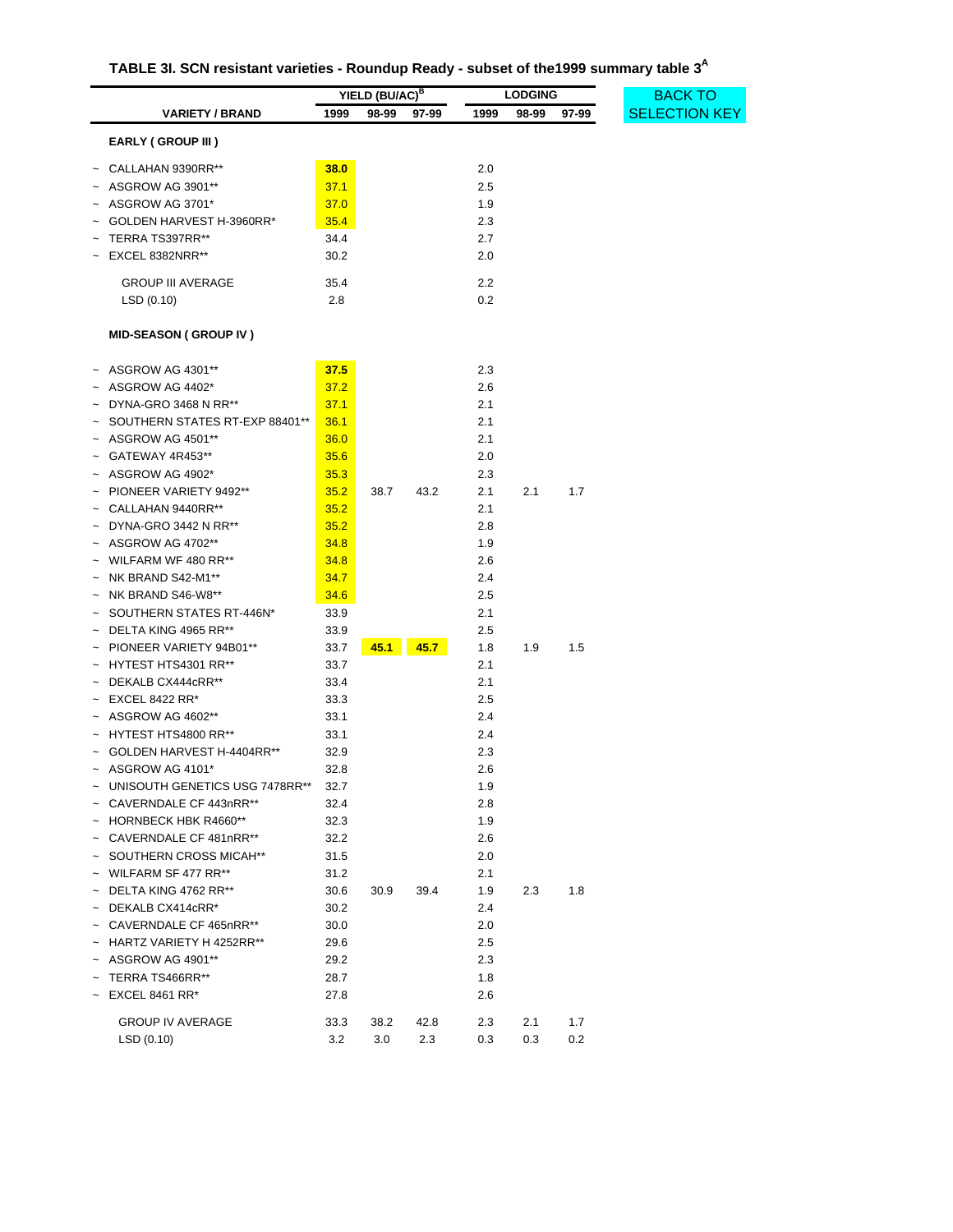| TABLE 3I. SCN resistant varieties - Roundup Ready - subset of the 1999 summary table 3 <sup>A</sup> |  |
|-----------------------------------------------------------------------------------------------------|--|

|                                |             | YIELD (BU/AC) <sup>B</sup> |       |            | <b>LODGING</b> |       | <b>BACK TO</b>       |
|--------------------------------|-------------|----------------------------|-------|------------|----------------|-------|----------------------|
| <b>VARIETY / BRAND</b>         | 1999        | 98-99                      | 97-99 | 1999       | 98-99          | 97-99 | <b>SELECTION KEY</b> |
| EARLY (GROUP III)              |             |                            |       |            |                |       |                      |
| $~\sim~$ CALLAHAN 9390RR**     | 38.0        |                            |       | 2.0        |                |       |                      |
| ASGROW AG 3901**               | 37.1        |                            |       | 2.5        |                |       |                      |
| ASGROW AG 3701*                | 37.0        |                            |       | 1.9        |                |       |                      |
| GOLDEN HARVEST H-3960RR*       | 35.4        |                            |       | 2.3        |                |       |                      |
| TERRA TS397RR**                | 34.4        |                            |       | 2.7        |                |       |                      |
| EXCEL 8382NRR**                | 30.2        |                            |       | 2.0        |                |       |                      |
| <b>GROUP III AVERAGE</b>       |             |                            |       |            |                |       |                      |
|                                | 35.4<br>2.8 |                            |       | 2.2<br>0.2 |                |       |                      |
| LSD(0.10)                      |             |                            |       |            |                |       |                      |
| <b>MID-SEASON (GROUP IV)</b>   |             |                            |       |            |                |       |                      |
| $~\sim~$ ASGROW AG 4301**      | 37.5        |                            |       | 2.3        |                |       |                      |
| ~ ASGROW AG 4402*              | 37.2        |                            |       | 2.6        |                |       |                      |
| DYNA-GRO 3468 N RR**           | 37.1        |                            |       | 2.1        |                |       |                      |
| SOUTHERN STATES RT-EXP 88401** | 36.1        |                            |       | 2.1        |                |       |                      |
| ASGROW AG 4501**               | 36.0        |                            |       | 2.1        |                |       |                      |
| GATEWAY 4R453**                | 35.6        |                            |       | 2.0        |                |       |                      |
| ASGROW AG 4902*                | 35.3        |                            |       | 2.3        |                |       |                      |
| PIONEER VARIETY 9492**         | 35.2        | 38.7                       | 43.2  | 2.1        | 2.1            | 1.7   |                      |
| CALLAHAN 9440RR**              | 35.2        |                            |       | 2.1        |                |       |                      |
| $~\sim~$ DYNA-GRO 3442 N RR**  | 35.2        |                            |       | 2.8        |                |       |                      |
| ASGROW AG 4702**               | 34.8        |                            |       | 1.9        |                |       |                      |
| WILFARM WF 480 RR**            | 34.8        |                            |       | 2.6        |                |       |                      |
| NK BRAND S42-M1**              | 34.7        |                            |       | 2.4        |                |       |                      |
| NK BRAND S46-W8**              | 34.6        |                            |       | 2.5        |                |       |                      |
| SOUTHERN STATES RT-446N*       | 33.9        |                            |       | 2.1        |                |       |                      |
| $\sim$ DELTA KING 4965 RR**    | 33.9        |                            |       | 2.5        |                |       |                      |
| $\sim$ PIONEER VARIETY 94B01** | 33.7        | 45.1                       | 45.7  | 1.8        | 1.9            | 1.5   |                      |
| $\sim$ HYTEST HTS4301 RR**     | 33.7        |                            |       | 2.1        |                |       |                      |
| DEKALB CX444cRR**              | 33.4        |                            |       | 2.1        |                |       |                      |
| EXCEL 8422 RR*                 | 33.3        |                            |       | 2.5        |                |       |                      |
| $~\sim~$ ASGROW AG 4602**      | 33.1        |                            |       | 2.4        |                |       |                      |
| HYTEST HTS4800 RR**            | 33.1        |                            |       | 2.4        |                |       |                      |
| GOLDEN HARVEST H-4404RR**      | 32.9        |                            |       | 2.3        |                |       |                      |
| ASGROW AG 4101*                | 32.8        |                            |       | 2.6        |                |       |                      |
| UNISOUTH GENETICS USG 7478RR** | 32.7        |                            |       | 1.9        |                |       |                      |
| ~ CAVERNDALE CF 443nRR**       | 32.4        |                            |       | 2.8        |                |       |                      |
| ~ HORNBECK HBK R4660**         | 32.3        |                            |       | 1.9        |                |       |                      |
| ~ CAVERNDALE CF 481nRR**       | 32.2        |                            |       | 2.6        |                |       |                      |
| SOUTHERN CROSS MICAH**         | 31.5        |                            |       | 2.0        |                |       |                      |
| $\sim$ WILFARM SF 477 RR**     | 31.2        |                            |       | 2.1        |                |       |                      |
| $\sim$ DELTA KING 4762 RR**    | 30.6        | 30.9                       | 39.4  | 1.9        | 2.3            | 1.8   |                      |
| $\sim$ DEKALB CX414cRR*        | 30.2        |                            |       | 2.4        |                |       |                      |
| $\sim$ CAVERNDALE CF 465nRR**  | 30.0        |                            |       | 2.0        |                |       |                      |
| ~ HARTZ VARIETY H 4252RR**     | 29.6        |                            |       | 2.5        |                |       |                      |
| ASGROW AG 4901**               | 29.2        |                            |       | 2.3        |                |       |                      |
| TERRA TS466RR**                | 28.7        |                            |       | 1.8        |                |       |                      |
| <b>EXCEL 8461 RR*</b>          | 27.8        |                            |       | 2.6        |                |       |                      |
| <b>GROUP IV AVERAGE</b>        | 33.3        | 38.2                       | 42.8  | 2.3        | 2.1            | 1.7   |                      |
| LSD(0.10)                      | 3.2         | 3.0                        | 2.3   | 0.3        | 0.3            | 0.2   |                      |